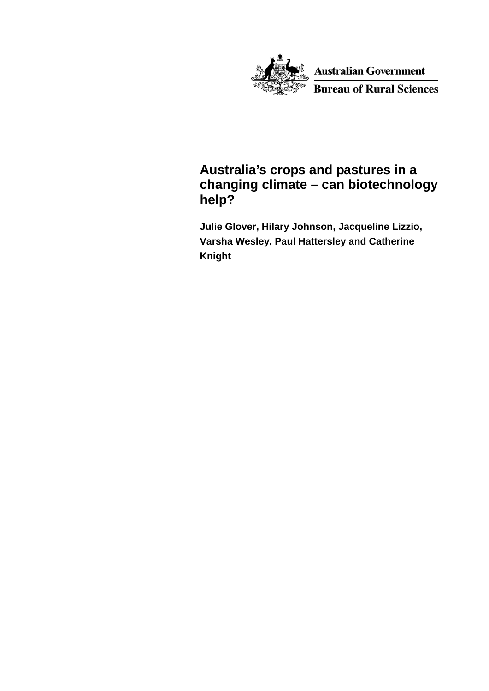

**Australian Government Bureau of Rural Sciences** 

## **Australia's crops and pastures in a changing climate – can biotechnology help?**

**Julie Glover, Hilary Johnson, Jacqueline Lizzio, Varsha Wesley, Paul Hattersley and Catherine Knight**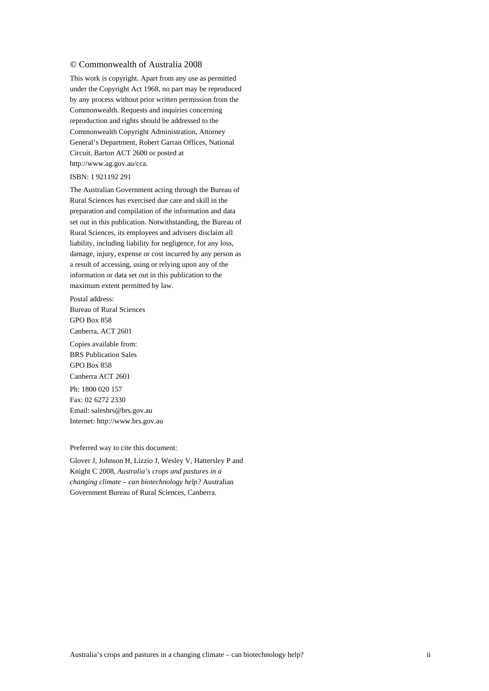#### © Commonwealth of Australia 2008

This work is copyright. Apart from any use as permitted under the Copyright Act 1968, no part may be reproduced by any process without prior written permission from the Commonwealth. Requests and inquiries concerning reproduction and rights should be addressed to the Commonwealth Copyright Administration, Attorney General's Department, Robert Garran Offices, National Circuit, Barton ACT 2600 or posted at http://www.ag.gov.au/cca.

#### ISBN: 1 921192 291

The Australian Government acting through the Bureau of Rural Sciences has exercised due care and skill in the preparation and compilation of the information and data set out in this publication. Notwithstanding, the Bureau of Rural Sciences, its employees and advisers disclaim all liability, including liability for negligence, for any loss, damage, injury, expense or cost incurred by any person as a result of accessing, using or relying upon any of the information or data set out in this publication to the maximum extent permitted by law.

Postal address: Bureau of Rural Sciences GPO Box 858 Canberra, ACT 2601

Copies available from: BRS Publication Sales GPO Box 858 Canberra ACT 2601 Ph: 1800 020 157 Fax: 02 6272 2330

Email: salesbrs@brs.gov.au Internet: http://www.brs.gov.au

Preferred way to cite this document:

Glover J, Johnson H, Lizzio J, Wesley V, Hattersley P and Knight C 2008, *Australia's crops and pastures in a changing climate – can biotechnology help?* Australian Government Bureau of Rural Sciences, Canberra.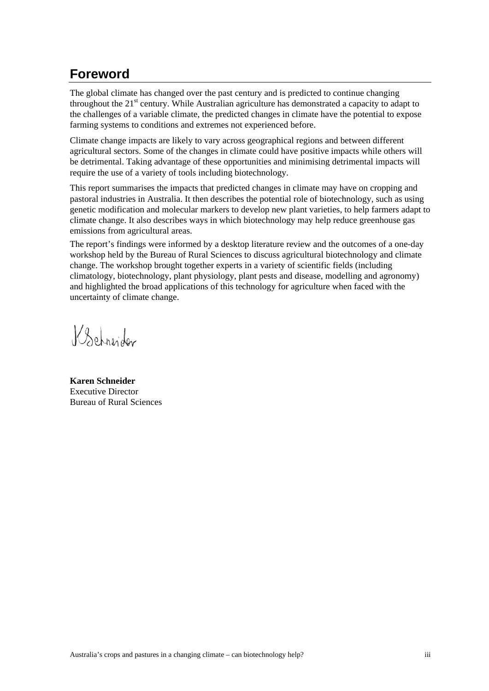# <span id="page-2-0"></span>**Foreword**

The global climate has changed over the past century and is predicted to continue changing throughout the  $21<sup>st</sup>$  century. While Australian agriculture has demonstrated a capacity to adapt to the challenges of a variable climate, the predicted changes in climate have the potential to expose farming systems to conditions and extremes not experienced before.

Climate change impacts are likely to vary across geographical regions and between different agricultural sectors. Some of the changes in climate could have positive impacts while others will be detrimental. Taking advantage of these opportunities and minimising detrimental impacts will require the use of a variety of tools including biotechnology.

This report summarises the impacts that predicted changes in climate may have on cropping and pastoral industries in Australia. It then describes the potential role of biotechnology, such as using genetic modification and molecular markers to develop new plant varieties, to help farmers adapt to climate change. It also describes ways in which biotechnology may help reduce greenhouse gas emissions from agricultural areas.

The report's findings were informed by a desktop literature review and the outcomes of a one-day workshop held by the Bureau of Rural Sciences to discuss agricultural biotechnology and climate change. The workshop brought together experts in a variety of scientific fields (including climatology, biotechnology, plant physiology, plant pests and disease, modelling and agronomy) and highlighted the broad applications of this technology for agriculture when faced with the uncertainty of climate change.

Behreider

**Karen Schneider** Executive Director Bureau of Rural Sciences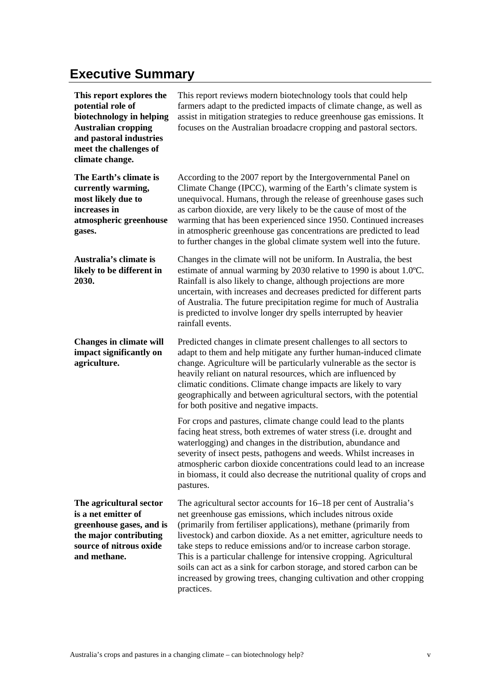# <span id="page-4-0"></span>**Executive Summary**

| This report explores the<br>potential role of<br>biotechnology in helping<br><b>Australian cropping</b><br>and pastoral industries<br>meet the challenges of<br>climate change. | This report reviews modern biotechnology tools that could help<br>farmers adapt to the predicted impacts of climate change, as well as<br>assist in mitigation strategies to reduce greenhouse gas emissions. It<br>focuses on the Australian broadacre cropping and pastoral sectors.                                                                                                                                                                                                                                                                                                  |
|---------------------------------------------------------------------------------------------------------------------------------------------------------------------------------|-----------------------------------------------------------------------------------------------------------------------------------------------------------------------------------------------------------------------------------------------------------------------------------------------------------------------------------------------------------------------------------------------------------------------------------------------------------------------------------------------------------------------------------------------------------------------------------------|
| The Earth's climate is<br>currently warming,<br>most likely due to<br>increases in<br>atmospheric greenhouse<br>gases.                                                          | According to the 2007 report by the Intergovernmental Panel on<br>Climate Change (IPCC), warming of the Earth's climate system is<br>unequivocal. Humans, through the release of greenhouse gases such<br>as carbon dioxide, are very likely to be the cause of most of the<br>warming that has been experienced since 1950. Continued increases<br>in atmospheric greenhouse gas concentrations are predicted to lead<br>to further changes in the global climate system well into the future.                                                                                         |
| Australia's climate is<br>likely to be different in<br>2030.                                                                                                                    | Changes in the climate will not be uniform. In Australia, the best<br>estimate of annual warming by 2030 relative to 1990 is about 1.0°C.<br>Rainfall is also likely to change, although projections are more<br>uncertain, with increases and decreases predicted for different parts<br>of Australia. The future precipitation regime for much of Australia<br>is predicted to involve longer dry spells interrupted by heavier<br>rainfall events.                                                                                                                                   |
| <b>Changes in climate will</b><br>impact significantly on<br>agriculture.                                                                                                       | Predicted changes in climate present challenges to all sectors to<br>adapt to them and help mitigate any further human-induced climate<br>change. Agriculture will be particularly vulnerable as the sector is<br>heavily reliant on natural resources, which are influenced by<br>climatic conditions. Climate change impacts are likely to vary<br>geographically and between agricultural sectors, with the potential<br>for both positive and negative impacts.                                                                                                                     |
|                                                                                                                                                                                 | For crops and pastures, climate change could lead to the plants<br>facing heat stress, both extremes of water stress (i.e. drought and<br>waterlogging) and changes in the distribution, abundance and<br>severity of insect pests, pathogens and weeds. Whilst increases in<br>atmospheric carbon dioxide concentrations could lead to an increase<br>in biomass, it could also decrease the nutritional quality of crops and<br>pastures.                                                                                                                                             |
| The agricultural sector<br>is a net emitter of<br>greenhouse gases, and is<br>the major contributing<br>source of nitrous oxide<br>and methane.                                 | The agricultural sector accounts for 16–18 per cent of Australia's<br>net greenhouse gas emissions, which includes nitrous oxide<br>(primarily from fertiliser applications), methane (primarily from<br>livestock) and carbon dioxide. As a net emitter, agriculture needs to<br>take steps to reduce emissions and/or to increase carbon storage.<br>This is a particular challenge for intensive cropping. Agricultural<br>soils can act as a sink for carbon storage, and stored carbon can be<br>increased by growing trees, changing cultivation and other cropping<br>practices. |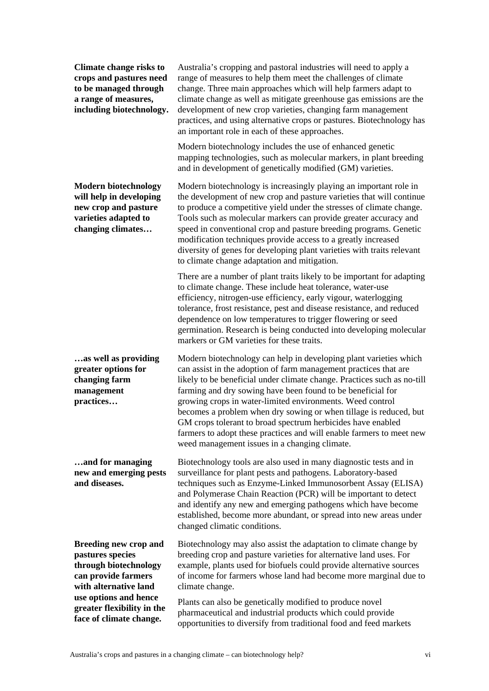**Climate change risks to crops and pastures need to be managed through a range of measures, including biotechnology.** 

**Modern biotechnology will help in developing new crop and pasture varieties adapted to changing climates…** 

**…as well as providing greater options for changing farm management practices…** 

**…and for managing new and emerging pests and diseases.** 

**Breeding new crop and pastures species through biotechnology can provide farmers with alternative land use options and hence greater flexibility in the face of climate change.** 

Australia's cropping and pastoral industries will need to apply a range of measures to help them meet the challenges of climate change. Three main approaches which will help farmers adapt to climate change as well as mitigate greenhouse gas emissions are the development of new crop varieties, changing farm management practices, and using alternative crops or pastures. Biotechnology has an important role in each of these approaches.

Modern biotechnology includes the use of enhanced genetic mapping technologies, such as molecular markers, in plant breeding and in development of genetically modified (GM) varieties.

Modern biotechnology is increasingly playing an important role in the development of new crop and pasture varieties that will continue to produce a competitive yield under the stresses of climate change. Tools such as molecular markers can provide greater accuracy and speed in conventional crop and pasture breeding programs. Genetic modification techniques provide access to a greatly increased diversity of genes for developing plant varieties with traits relevant to climate change adaptation and mitigation.

There are a number of plant traits likely to be important for adapting to climate change. These include heat tolerance, water-use efficiency, nitrogen-use efficiency, early vigour, waterlogging tolerance, frost resistance, pest and disease resistance, and reduced dependence on low temperatures to trigger flowering or seed germination. Research is being conducted into developing molecular markers or GM varieties for these traits.

Modern biotechnology can help in developing plant varieties which can assist in the adoption of farm management practices that are likely to be beneficial under climate change. Practices such as no-till farming and dry sowing have been found to be beneficial for growing crops in water-limited environments. Weed control becomes a problem when dry sowing or when tillage is reduced, but GM crops tolerant to broad spectrum herbicides have enabled farmers to adopt these practices and will enable farmers to meet new weed management issues in a changing climate.

Biotechnology tools are also used in many diagnostic tests and in surveillance for plant pests and pathogens. Laboratory-based techniques such as Enzyme-Linked Immunosorbent Assay (ELISA) and Polymerase Chain Reaction (PCR) will be important to detect and identify any new and emerging pathogens which have become established, become more abundant, or spread into new areas under changed climatic conditions.

Biotechnology may also assist the adaptation to climate change by breeding crop and pasture varieties for alternative land uses. For example, plants used for biofuels could provide alternative sources of income for farmers whose land had become more marginal due to climate change.

Plants can also be genetically modified to produce novel pharmaceutical and industrial products which could provide opportunities to diversify from traditional food and feed markets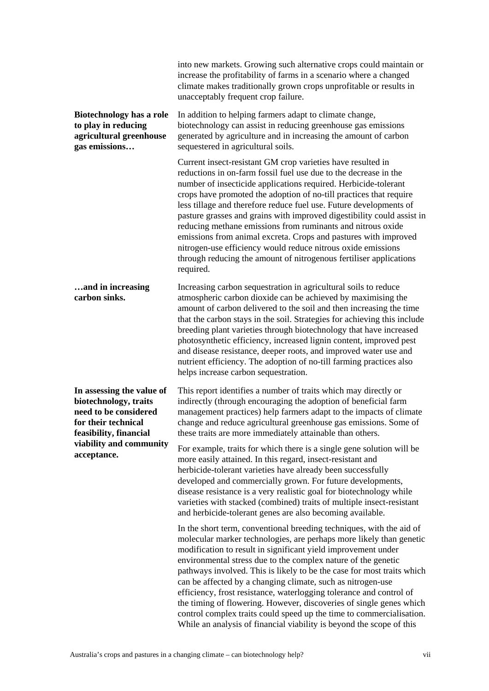|                                                                                                                                                                        | into new markets. Growing such alternative crops could maintain or<br>increase the profitability of farms in a scenario where a changed<br>climate makes traditionally grown crops unprofitable or results in<br>unacceptably frequent crop failure.                                                                                                                                                                                                                                                                                                                                                                                                                                                                 |
|------------------------------------------------------------------------------------------------------------------------------------------------------------------------|----------------------------------------------------------------------------------------------------------------------------------------------------------------------------------------------------------------------------------------------------------------------------------------------------------------------------------------------------------------------------------------------------------------------------------------------------------------------------------------------------------------------------------------------------------------------------------------------------------------------------------------------------------------------------------------------------------------------|
| Biotechnology has a role<br>to play in reducing<br>agricultural greenhouse<br>gas emissions                                                                            | In addition to helping farmers adapt to climate change,<br>biotechnology can assist in reducing greenhouse gas emissions<br>generated by agriculture and in increasing the amount of carbon<br>sequestered in agricultural soils.                                                                                                                                                                                                                                                                                                                                                                                                                                                                                    |
|                                                                                                                                                                        | Current insect-resistant GM crop varieties have resulted in<br>reductions in on-farm fossil fuel use due to the decrease in the<br>number of insecticide applications required. Herbicide-tolerant<br>crops have promoted the adoption of no-till practices that require<br>less tillage and therefore reduce fuel use. Future developments of<br>pasture grasses and grains with improved digestibility could assist in<br>reducing methane emissions from ruminants and nitrous oxide<br>emissions from animal excreta. Crops and pastures with improved<br>nitrogen-use efficiency would reduce nitrous oxide emissions<br>through reducing the amount of nitrogenous fertiliser applications<br>required.        |
| and in increasing<br>carbon sinks.                                                                                                                                     | Increasing carbon sequestration in agricultural soils to reduce<br>atmospheric carbon dioxide can be achieved by maximising the<br>amount of carbon delivered to the soil and then increasing the time<br>that the carbon stays in the soil. Strategies for achieving this include<br>breeding plant varieties through biotechnology that have increased<br>photosynthetic efficiency, increased lignin content, improved pest<br>and disease resistance, deeper roots, and improved water use and<br>nutrient efficiency. The adoption of no-till farming practices also<br>helps increase carbon sequestration.                                                                                                    |
| In assessing the value of<br>biotechnology, traits<br>need to be considered<br>for their technical<br>feasibility, financial<br>viability and community<br>acceptance. | This report identifies a number of traits which may directly or<br>indirectly (through encouraging the adoption of beneficial farm<br>management practices) help farmers adapt to the impacts of climate<br>change and reduce agricultural greenhouse gas emissions. Some of<br>these traits are more immediately attainable than others.                                                                                                                                                                                                                                                                                                                                                                            |
|                                                                                                                                                                        | For example, traits for which there is a single gene solution will be<br>more easily attained. In this regard, insect-resistant and<br>herbicide-tolerant varieties have already been successfully<br>developed and commercially grown. For future developments,<br>disease resistance is a very realistic goal for biotechnology while<br>varieties with stacked (combined) traits of multiple insect-resistant<br>and herbicide-tolerant genes are also becoming available.                                                                                                                                                                                                                                        |
|                                                                                                                                                                        | In the short term, conventional breeding techniques, with the aid of<br>molecular marker technologies, are perhaps more likely than genetic<br>modification to result in significant yield improvement under<br>environmental stress due to the complex nature of the genetic<br>pathways involved. This is likely to be the case for most traits which<br>can be affected by a changing climate, such as nitrogen-use<br>efficiency, frost resistance, waterlogging tolerance and control of<br>the timing of flowering. However, discoveries of single genes which<br>control complex traits could speed up the time to commercialisation.<br>While an analysis of financial viability is beyond the scope of this |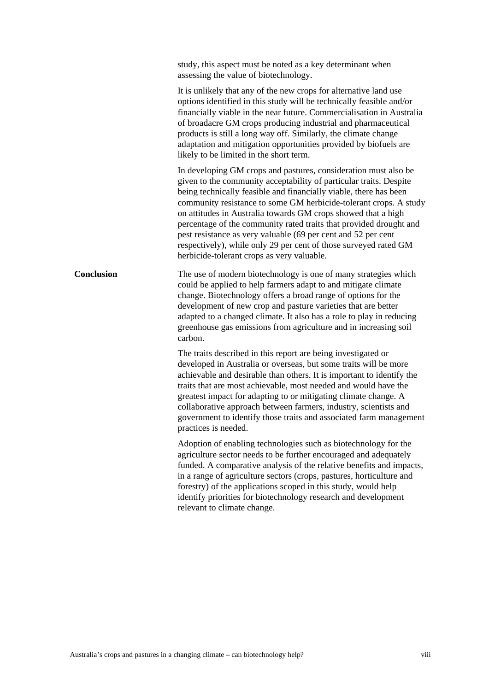study, this aspect must be noted as a key determinant when assessing the value of biotechnology. It is unlikely that any of the new crops for alternative land use options identified in this study will be technically feasible and/or financially viable in the near future. Commercialisation in Australia of broadacre GM crops producing industrial and pharmaceutical products is still a long way off. Similarly, the climate change adaptation and mitigation opportunities provided by biofuels are likely to be limited in the short term. In developing GM crops and pastures, consideration must also be given to the community acceptability of particular traits. Despite being technically feasible and financially viable, there has been community resistance to some GM herbicide-tolerant crops. A study on attitudes in Australia towards GM crops showed that a high percentage of the community rated traits that provided drought and pest resistance as very valuable (69 per cent and 52 per cent respectively), while only 29 per cent of those surveyed rated GM herbicide-tolerant crops as very valuable. **Conclusion The use of modern biotechnology is one of many strategies which** could be applied to help farmers adapt to and mitigate climate change. Biotechnology offers a broad range of options for the development of new crop and pasture varieties that are better adapted to a changed climate. It also has a role to play in reducing greenhouse gas emissions from agriculture and in increasing soil carbon. The traits described in this report are being investigated or developed in Australia or overseas, but some traits will be more achievable and desirable than others. It is important to identify the traits that are most achievable, most needed and would have the greatest impact for adapting to or mitigating climate change. A collaborative approach between farmers, industry, scientists and government to identify those traits and associated farm management practices is needed. Adoption of enabling technologies such as biotechnology for the agriculture sector needs to be further encouraged and adequately funded. A comparative analysis of the relative benefits and impacts, in a range of agriculture sectors (crops, pastures, horticulture and forestry) of the applications scoped in this study, would help identify priorities for biotechnology research and development relevant to climate change.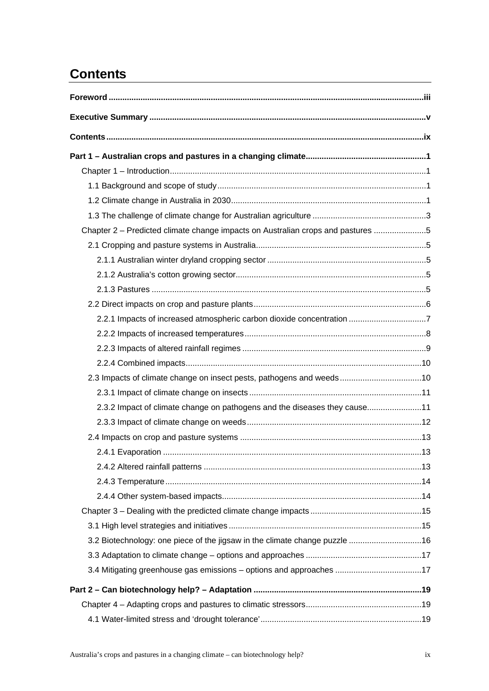# <span id="page-8-0"></span>**Contents**

| Chapter 2 – Predicted climate change impacts on Australian crops and pastures 5 |  |
|---------------------------------------------------------------------------------|--|
|                                                                                 |  |
|                                                                                 |  |
|                                                                                 |  |
|                                                                                 |  |
|                                                                                 |  |
| 2.2.1 Impacts of increased atmospheric carbon dioxide concentration 7           |  |
|                                                                                 |  |
|                                                                                 |  |
|                                                                                 |  |
| 2.3 Impacts of climate change on insect pests, pathogens and weeds10            |  |
|                                                                                 |  |
| 2.3.2 Impact of climate change on pathogens and the diseases they cause11       |  |
|                                                                                 |  |
|                                                                                 |  |
|                                                                                 |  |
|                                                                                 |  |
|                                                                                 |  |
|                                                                                 |  |
|                                                                                 |  |
|                                                                                 |  |
|                                                                                 |  |
|                                                                                 |  |
| 3.4 Mitigating greenhouse gas emissions - options and approaches 17             |  |
|                                                                                 |  |
|                                                                                 |  |
|                                                                                 |  |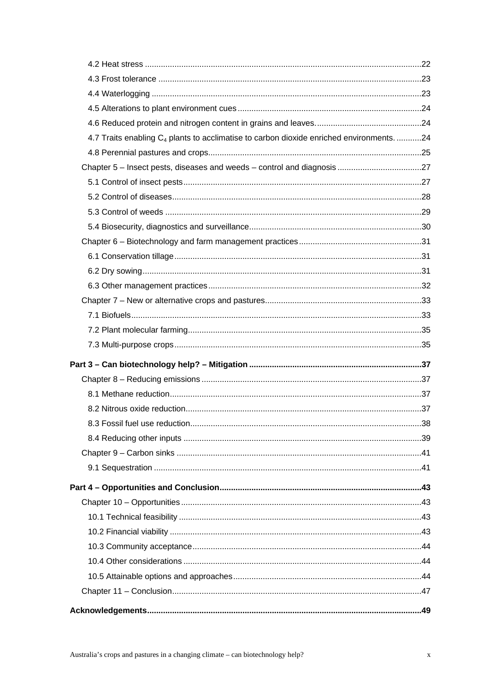| 4.7 Traits enabling C <sub>4</sub> plants to acclimatise to carbon dioxide enriched environments. 24 |     |
|------------------------------------------------------------------------------------------------------|-----|
|                                                                                                      |     |
|                                                                                                      |     |
|                                                                                                      |     |
|                                                                                                      |     |
|                                                                                                      |     |
|                                                                                                      |     |
|                                                                                                      |     |
|                                                                                                      |     |
|                                                                                                      |     |
|                                                                                                      |     |
|                                                                                                      |     |
|                                                                                                      |     |
|                                                                                                      |     |
|                                                                                                      |     |
|                                                                                                      |     |
|                                                                                                      |     |
|                                                                                                      |     |
|                                                                                                      |     |
|                                                                                                      | .38 |
|                                                                                                      |     |
|                                                                                                      |     |
|                                                                                                      |     |
|                                                                                                      |     |
|                                                                                                      |     |
|                                                                                                      |     |
|                                                                                                      |     |
|                                                                                                      |     |
|                                                                                                      |     |
|                                                                                                      |     |
|                                                                                                      |     |
|                                                                                                      |     |
|                                                                                                      |     |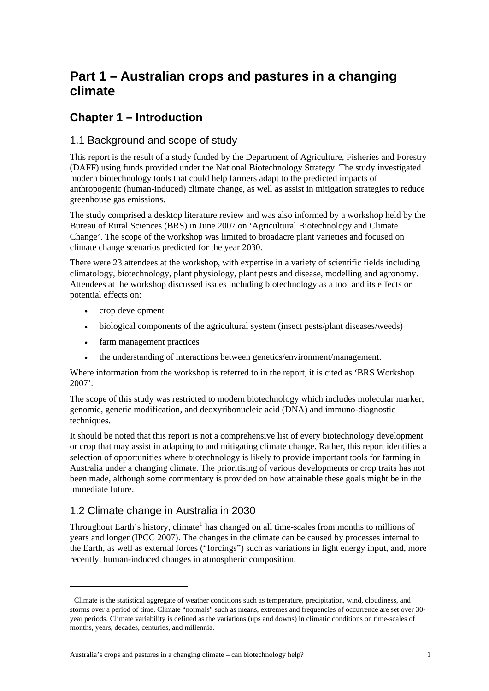## <span id="page-12-0"></span>**Part 1 – Australian crops and pastures in a changing climate**

## **Chapter 1 – Introduction**

#### 1.1 Background and scope of study

This report is the result of a study funded by the Department of Agriculture, Fisheries and Forestry (DAFF) using funds provided under the National Biotechnology Strategy. The study investigated modern biotechnology tools that could help farmers adapt to the predicted impacts of anthropogenic (human-induced) climate change, as well as assist in mitigation strategies to reduce greenhouse gas emissions.

The study comprised a desktop literature review and was also informed by a workshop held by the Bureau of Rural Sciences (BRS) in June 2007 on 'Agricultural Biotechnology and Climate Change'. The scope of the workshop was limited to broadacre plant varieties and focused on climate change scenarios predicted for the year 2030.

There were 23 attendees at the workshop, with expertise in a variety of scientific fields including climatology, biotechnology, plant physiology, plant pests and disease, modelling and agronomy. Attendees at the workshop discussed issues including biotechnology as a tool and its effects or potential effects on:

- crop development
- biological components of the agricultural system (insect pests/plant diseases/weeds)
- farm management practices
- the understanding of interactions between genetics/environment/management.

Where information from the workshop is referred to in the report, it is cited as 'BRS Workshop 2007'.

The scope of this study was restricted to modern biotechnology which includes molecular marker, genomic, genetic modification, and deoxyribonucleic acid (DNA) and immuno-diagnostic techniques.

It should be noted that this report is not a comprehensive list of every biotechnology development or crop that may assist in adapting to and mitigating climate change. Rather, this report identifies a selection of opportunities where biotechnology is likely to provide important tools for farming in Australia under a changing climate. The prioritising of various developments or crop traits has not been made, although some commentary is provided on how attainable these goals might be in the immediate future.

## 1.2 Climate change in Australia in 2030

-

Throughout Earth's history, climate<sup>[1](#page-12-1)</sup> has changed on all time-scales from months to millions of years and longer (IPCC 2007). The changes in the climate can be caused by processes internal to the Earth, as well as external forces ("forcings") such as variations in light energy input, and, more recently, human-induced changes in atmospheric composition.

<span id="page-12-1"></span><sup>&</sup>lt;sup>1</sup> Climate is the statistical aggregate of weather conditions such as temperature, precipitation, wind, cloudiness, and storms over a period of time. Climate "normals" such as means, extremes and frequencies of occurrence are set over 30 year periods. Climate variability is defined as the variations (ups and downs) in climatic conditions on time-scales of months, years, decades, centuries, and millennia.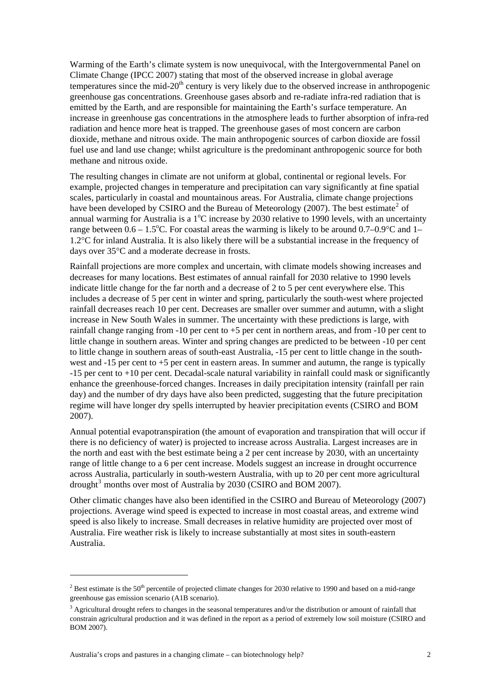Warming of the Earth's climate system is now unequivocal, with the Intergovernmental Panel on Climate Change (IPCC 2007) stating that most of the observed increase in global average temperatures since the mid- $20<sup>th</sup>$  century is very likely due to the observed increase in anthropogenic greenhouse gas concentrations. Greenhouse gases absorb and re-radiate infra-red radiation that is emitted by the Earth, and are responsible for maintaining the Earth's surface temperature. An increase in greenhouse gas concentrations in the atmosphere leads to further absorption of infra-red radiation and hence more heat is trapped. The greenhouse gases of most concern are carbon dioxide, methane and nitrous oxide. The main anthropogenic sources of carbon dioxide are fossil fuel use and land use change; whilst agriculture is the predominant anthropogenic source for both methane and nitrous oxide.

The resulting changes in climate are not uniform at global, continental or regional levels. For example, projected changes in temperature and precipitation can vary significantly at fine spatial scales, particularly in coastal and mountainous areas. For Australia, climate change projections have been developed by CSIRO and the Bureau of Meteorology ([2](#page-13-0)007). The best estimate<sup>2</sup> of annual warming for Australia is a  $1^{\circ}$ C increase by 2030 relative to 1990 levels, with an uncertainty range between  $0.6 - 1.5$ °C. For coastal areas the warming is likely to be around  $0.7 - 0.9$ °C and 1-1.2°C for inland Australia. It is also likely there will be a substantial increase in the frequency of days over 35°C and a moderate decrease in frosts.

Rainfall projections are more complex and uncertain, with climate models showing increases and decreases for many locations. Best estimates of annual rainfall for 2030 relative to 1990 levels indicate little change for the far north and a decrease of 2 to 5 per cent everywhere else. This includes a decrease of 5 per cent in winter and spring, particularly the south-west where projected rainfall decreases reach 10 per cent. Decreases are smaller over summer and autumn, with a slight increase in New South Wales in summer. The uncertainty with these predictions is large, with rainfall change ranging from -10 per cent to +5 per cent in northern areas, and from -10 per cent to little change in southern areas. Winter and spring changes are predicted to be between -10 per cent to little change in southern areas of south-east Australia, -15 per cent to little change in the southwest and -15 per cent to +5 per cent in eastern areas. In summer and autumn, the range is typically -15 per cent to +10 per cent. Decadal-scale natural variability in rainfall could mask or significantly enhance the greenhouse-forced changes. Increases in daily precipitation intensity (rainfall per rain day) and the number of dry days have also been predicted, suggesting that the future precipitation regime will have longer dry spells interrupted by heavier precipitation events (CSIRO and BOM 2007).

Annual potential evapotranspiration (the amount of evaporation and transpiration that will occur if there is no deficiency of water) is projected to increase across Australia. Largest increases are in the north and east with the best estimate being a 2 per cent increase by 2030, with an uncertainty range of little change to a 6 per cent increase. Models suggest an increase in drought occurrence across Australia, particularly in south-western Australia, with up to 20 per cent more agricultural drought<sup>[3](#page-13-1)</sup> months over most of Australia by 2030 (CSIRO and BOM 2007).

Other climatic changes have also been identified in the CSIRO and Bureau of Meteorology (2007) projections. Average wind speed is expected to increase in most coastal areas, and extreme wind speed is also likely to increase. Small decreases in relative humidity are projected over most of Australia. Fire weather risk is likely to increase substantially at most sites in south-eastern Australia.

1

<span id="page-13-0"></span><sup>&</sup>lt;sup>2</sup> Best estimate is the 50<sup>th</sup> percentile of projected climate changes for 2030 relative to 1990 and based on a mid-range greenhouse gas emission scenario (A1B scenario).

<span id="page-13-1"></span><sup>&</sup>lt;sup>3</sup> Agricultural drought refers to changes in the seasonal temperatures and/or the distribution or amount of rainfall that constrain agricultural production and it was defined in the report as a period of extremely low soil moisture (CSIRO and BOM 2007).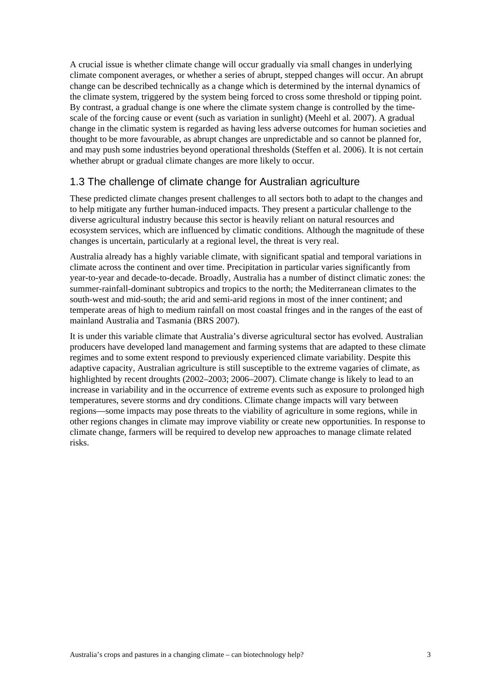<span id="page-14-0"></span>A crucial issue is whether climate change will occur gradually via small changes in underlying climate component averages, or whether a series of abrupt, stepped changes will occur. An abrupt change can be described technically as a change which is determined by the internal dynamics of the climate system, triggered by the system being forced to cross some threshold or tipping point. By contrast, a gradual change is one where the climate system change is controlled by the timescale of the forcing cause or event (such as variation in sunlight) (Meehl et al. 2007). A gradual change in the climatic system is regarded as having less adverse outcomes for human societies and thought to be more favourable, as abrupt changes are unpredictable and so cannot be planned for, and may push some industries beyond operational thresholds (Steffen et al. 2006). It is not certain whether abrupt or gradual climate changes are more likely to occur.

## 1.3 The challenge of climate change for Australian agriculture

These predicted climate changes present challenges to all sectors both to adapt to the changes and to help mitigate any further human-induced impacts. They present a particular challenge to the diverse agricultural industry because this sector is heavily reliant on natural resources and ecosystem services, which are influenced by climatic conditions. Although the magnitude of these changes is uncertain, particularly at a regional level, the threat is very real.

Australia already has a highly variable climate, with significant spatial and temporal variations in climate across the continent and over time. Precipitation in particular varies significantly from year-to-year and decade-to-decade. Broadly, Australia has a number of distinct climatic zones: the summer-rainfall-dominant subtropics and tropics to the north; the Mediterranean climates to the south-west and mid-south; the arid and semi-arid regions in most of the inner continent; and temperate areas of high to medium rainfall on most coastal fringes and in the ranges of the east of mainland Australia and Tasmania (BRS 2007).

It is under this variable climate that Australia's diverse agricultural sector has evolved. Australian producers have developed land management and farming systems that are adapted to these climate regimes and to some extent respond to previously experienced climate variability. Despite this adaptive capacity, Australian agriculture is still susceptible to the extreme vagaries of climate, as highlighted by recent droughts (2002–2003; 2006–2007). Climate change is likely to lead to an increase in variability and in the occurrence of extreme events such as exposure to prolonged high temperatures, severe storms and dry conditions. Climate change impacts will vary between regions—some impacts may pose threats to the viability of agriculture in some regions, while in other regions changes in climate may improve viability or create new opportunities. In response to climate change, farmers will be required to develop new approaches to manage climate related risks.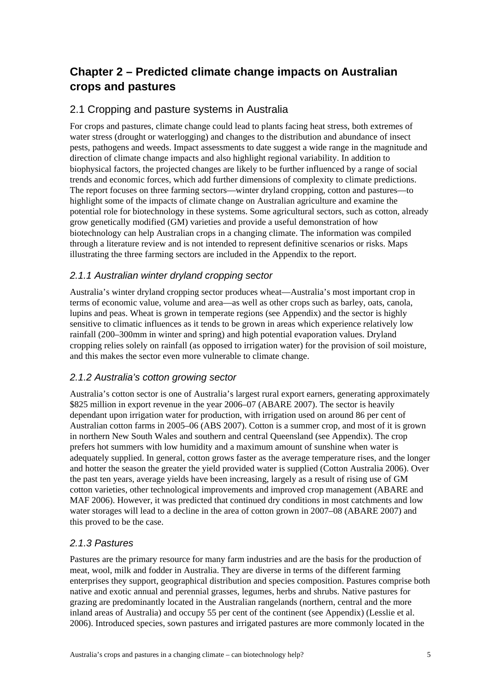## <span id="page-16-0"></span>**Chapter 2 – Predicted climate change impacts on Australian crops and pastures**

### 2.1 Cropping and pasture systems in Australia

For crops and pastures, climate change could lead to plants facing heat stress, both extremes of water stress (drought or waterlogging) and changes to the distribution and abundance of insect pests, pathogens and weeds. Impact assessments to date suggest a wide range in the magnitude and direction of climate change impacts and also highlight regional variability. In addition to biophysical factors, the projected changes are likely to be further influenced by a range of social trends and economic forces, which add further dimensions of complexity to climate predictions. The report focuses on three farming sectors—winter dryland cropping, cotton and pastures—to highlight some of the impacts of climate change on Australian agriculture and examine the potential role for biotechnology in these systems. Some agricultural sectors, such as cotton, already grow genetically modified (GM) varieties and provide a useful demonstration of how biotechnology can help Australian crops in a changing climate. The information was compiled through a literature review and is not intended to represent definitive scenarios or risks. Maps illustrating the three farming sectors are included in the Appendix to the report.

#### *2.1.1 Australian winter dryland cropping sector*

Australia's winter dryland cropping sector produces wheat—Australia's most important crop in terms of economic value, volume and area—as well as other crops such as barley, oats, canola, lupins and peas. Wheat is grown in temperate regions (see Appendix) and the sector is highly sensitive to climatic influences as it tends to be grown in areas which experience relatively low rainfall (200–300mm in winter and spring) and high potential evaporation values. Dryland cropping relies solely on rainfall (as opposed to irrigation water) for the provision of soil moisture, and this makes the sector even more vulnerable to climate change.

#### *2.1.2 Australia's cotton growing sector*

Australia's cotton sector is one of Australia's largest rural export earners, generating approximately \$825 million in export revenue in the year 2006–07 (ABARE 2007). The sector is heavily dependant upon irrigation water for production, with irrigation used on around 86 per cent of Australian cotton farms in 2005–06 (ABS 2007). Cotton is a summer crop, and most of it is grown in northern New South Wales and southern and central Queensland (see Appendix). The crop prefers hot summers with low humidity and a maximum amount of sunshine when water is adequately supplied. In general, cotton grows faster as the average temperature rises, and the longer and hotter the season the greater the yield provided water is supplied (Cotton Australia 2006). Over the past ten years, average yields have been increasing, largely as a result of rising use of GM cotton varieties, other technological improvements and improved crop management (ABARE and MAF 2006). However, it was predicted that continued dry conditions in most catchments and low water storages will lead to a decline in the area of cotton grown in 2007–08 (ABARE 2007) and this proved to be the case.

#### *2.1.3 Pastures*

Pastures are the primary resource for many farm industries and are the basis for the production of meat, wool, milk and fodder in Australia. They are diverse in terms of the different farming enterprises they support, geographical distribution and species composition. Pastures comprise both native and exotic annual and perennial grasses, legumes, herbs and shrubs. Native pastures for grazing are predominantly located in the Australian rangelands (northern, central and the more inland areas of Australia) and occupy 55 per cent of the continent (see Appendix) (Lesslie et al. 2006). Introduced species, sown pastures and irrigated pastures are more commonly located in the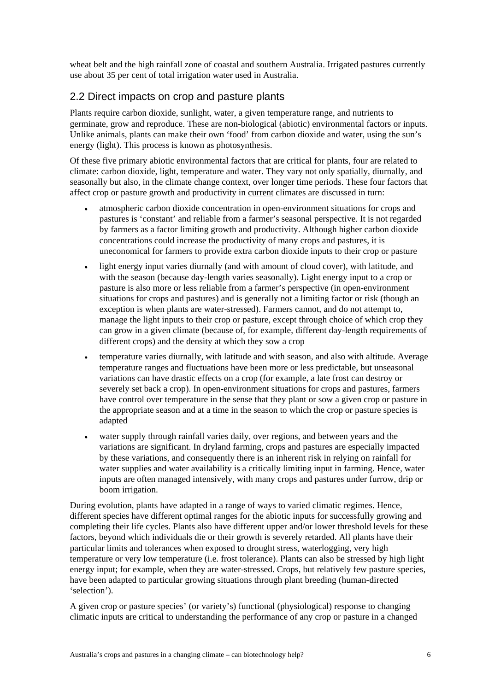<span id="page-17-0"></span>wheat belt and the high rainfall zone of coastal and southern Australia. Irrigated pastures currently use about 35 per cent of total irrigation water used in Australia.

## 2.2 Direct impacts on crop and pasture plants

Plants require carbon dioxide, sunlight, water, a given temperature range, and nutrients to germinate, grow and reproduce. These are non-biological (abiotic) environmental factors or inputs. Unlike animals, plants can make their own 'food' from carbon dioxide and water, using the sun's energy (light). This process is known as photosynthesis.

Of these five primary abiotic environmental factors that are critical for plants, four are related to climate: carbon dioxide, light, temperature and water. They vary not only spatially, diurnally, and seasonally but also, in the climate change context, over longer time periods. These four factors that affect crop or pasture growth and productivity in current climates are discussed in turn:

- atmospheric carbon dioxide concentration in open-environment situations for crops and pastures is 'constant' and reliable from a farmer's seasonal perspective. It is not regarded by farmers as a factor limiting growth and productivity. Although higher carbon dioxide concentrations could increase the productivity of many crops and pastures, it is uneconomical for farmers to provide extra carbon dioxide inputs to their crop or pasture
- light energy input varies diurnally (and with amount of cloud cover), with latitude, and with the season (because day-length varies seasonally). Light energy input to a crop or pasture is also more or less reliable from a farmer's perspective (in open-environment situations for crops and pastures) and is generally not a limiting factor or risk (though an exception is when plants are water-stressed). Farmers cannot, and do not attempt to, manage the light inputs to their crop or pasture, except through choice of which crop they can grow in a given climate (because of, for example, different day-length requirements of different crops) and the density at which they sow a crop
- temperature varies diurnally, with latitude and with season, and also with altitude. Average temperature ranges and fluctuations have been more or less predictable, but unseasonal variations can have drastic effects on a crop (for example, a late frost can destroy or severely set back a crop). In open-environment situations for crops and pastures, farmers have control over temperature in the sense that they plant or sow a given crop or pasture in the appropriate season and at a time in the season to which the crop or pasture species is adapted
- water supply through rainfall varies daily, over regions, and between years and the variations are significant. In dryland farming, crops and pastures are especially impacted by these variations, and consequently there is an inherent risk in relying on rainfall for water supplies and water availability is a critically limiting input in farming. Hence, water inputs are often managed intensively, with many crops and pastures under furrow, drip or boom irrigation.

During evolution, plants have adapted in a range of ways to varied climatic regimes. Hence, different species have different optimal ranges for the abiotic inputs for successfully growing and completing their life cycles. Plants also have different upper and/or lower threshold levels for these factors, beyond which individuals die or their growth is severely retarded. All plants have their particular limits and tolerances when exposed to drought stress, waterlogging, very high temperature or very low temperature (i.e. frost tolerance). Plants can also be stressed by high light energy input; for example, when they are water-stressed. Crops, but relatively few pasture species, have been adapted to particular growing situations through plant breeding (human-directed 'selection').

A given crop or pasture species' (or variety's) functional (physiological) response to changing climatic inputs are critical to understanding the performance of any crop or pasture in a changed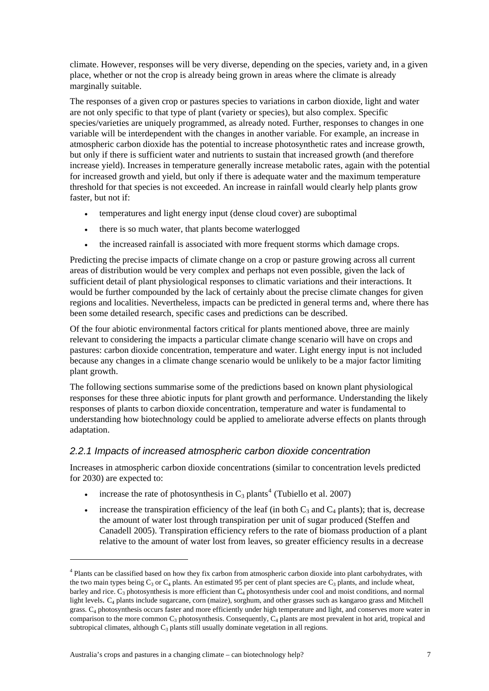<span id="page-18-0"></span>climate. However, responses will be very diverse, depending on the species, variety and, in a given place, whether or not the crop is already being grown in areas where the climate is already marginally suitable.

The responses of a given crop or pastures species to variations in carbon dioxide, light and water are not only specific to that type of plant (variety or species), but also complex. Specific species/varieties are uniquely programmed, as already noted. Further, responses to changes in one variable will be interdependent with the changes in another variable. For example, an increase in atmospheric carbon dioxide has the potential to increase photosynthetic rates and increase growth, but only if there is sufficient water and nutrients to sustain that increased growth (and therefore increase yield). Increases in temperature generally increase metabolic rates, again with the potential for increased growth and yield, but only if there is adequate water and the maximum temperature threshold for that species is not exceeded. An increase in rainfall would clearly help plants grow faster, but not if:

- temperatures and light energy input (dense cloud cover) are suboptimal
- there is so much water, that plants become waterlogged
- the increased rainfall is associated with more frequent storms which damage crops.

Predicting the precise impacts of climate change on a crop or pasture growing across all current areas of distribution would be very complex and perhaps not even possible, given the lack of sufficient detail of plant physiological responses to climatic variations and their interactions. It would be further compounded by the lack of certainly about the precise climate changes for given regions and localities. Nevertheless, impacts can be predicted in general terms and, where there has been some detailed research, specific cases and predictions can be described.

Of the four abiotic environmental factors critical for plants mentioned above, three are mainly relevant to considering the impacts a particular climate change scenario will have on crops and pastures: carbon dioxide concentration, temperature and water. Light energy input is not included because any changes in a climate change scenario would be unlikely to be a major factor limiting plant growth.

The following sections summarise some of the predictions based on known plant physiological responses for these three abiotic inputs for plant growth and performance. Understanding the likely responses of plants to carbon dioxide concentration, temperature and water is fundamental to understanding how biotechnology could be applied to ameliorate adverse effects on plants through adaptation.

#### *2.2.1 Impacts of increased atmospheric carbon dioxide concentration*

Increases in atmospheric carbon dioxide concentrations (similar to concentration levels predicted for 2030) are expected to:

- increase the rate of photosynthesis in  $C_3$  plants<sup>[4](#page-18-1)</sup> (Tubiello et al. 2007)
- increase the transpiration efficiency of the leaf (in both  $C_3$  and  $C_4$  plants); that is, decrease the amount of water lost through transpiration per unit of sugar produced (Steffen and Canadell 2005). Transpiration efficiency refers to the rate of biomass production of a plant relative to the amount of water lost from leaves, so greater efficiency results in a decrease

-

<span id="page-18-1"></span><sup>&</sup>lt;sup>4</sup> Plants can be classified based on how they fix carbon from atmospheric carbon dioxide into plant carbohydrates, with the two main types being  $C_3$  or  $C_4$  plants. An estimated 95 per cent of plant species are  $C_3$  plants, and include wheat, barley and rice.  $C_3$  photosynthesis is more efficient than  $C_4$  photosynthesis under cool and moist conditions, and normal light levels. C<sub>4</sub> plants include sugarcane, corn (maize), sorghum, and other grasses such as kangaroo grass and Mitchell grass. C4 photosynthesis occurs faster and more efficiently under high temperature and light, and conserves more water in comparison to the more common  $C_3$  photosynthesis. Consequently,  $C_4$  plants are most prevalent in hot arid, tropical and subtropical climates, although  $C_3$  plants still usually dominate vegetation in all regions.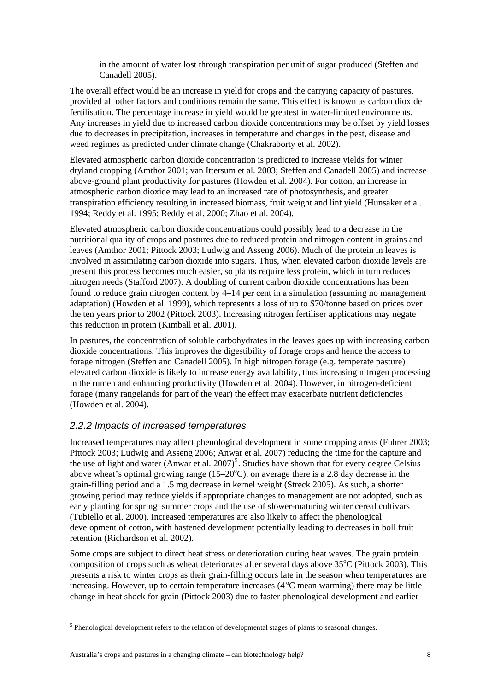in the amount of water lost through transpiration per unit of sugar produced (Steffen and Canadell 2005).

<span id="page-19-0"></span>The overall effect would be an increase in yield for crops and the carrying capacity of pastures, provided all other factors and conditions remain the same. This effect is known as carbon dioxide fertilisation. The percentage increase in yield would be greatest in water-limited environments. Any increases in yield due to increased carbon dioxide concentrations may be offset by yield losses due to decreases in precipitation, increases in temperature and changes in the pest, disease and weed regimes as predicted under climate change (Chakraborty et al. 2002).

Elevated atmospheric carbon dioxide concentration is predicted to increase yields for winter dryland cropping (Amthor 2001; van Ittersum et al. 2003; Steffen and Canadell 2005) and increase above-ground plant productivity for pastures (Howden et al. 2004). For cotton, an increase in atmospheric carbon dioxide may lead to an increased rate of photosynthesis, and greater transpiration efficiency resulting in increased biomass, fruit weight and lint yield (Hunsaker et al. 1994; Reddy et al. 1995; Reddy et al. 2000; Zhao et al. 2004).

Elevated atmospheric carbon dioxide concentrations could possibly lead to a decrease in the nutritional quality of crops and pastures due to reduced protein and nitrogen content in grains and leaves (Amthor 2001; Pittock 2003; Ludwig and Asseng 2006). Much of the protein in leaves is involved in assimilating carbon dioxide into sugars. Thus, when elevated carbon dioxide levels are present this process becomes much easier, so plants require less protein, which in turn reduces nitrogen needs (Stafford 2007). A doubling of current carbon dioxide concentrations has been found to reduce grain nitrogen content by 4–14 per cent in a simulation (assuming no management adaptation) (Howden et al. 1999), which represents a loss of up to \$70/tonne based on prices over the ten years prior to 2002 (Pittock 2003). Increasing nitrogen fertiliser applications may negate this reduction in protein (Kimball et al. 2001).

In pastures, the concentration of soluble carbohydrates in the leaves goes up with increasing carbon dioxide concentrations. This improves the digestibility of forage crops and hence the access to forage nitrogen (Steffen and Canadell 2005). In high nitrogen forage (e.g. temperate pasture) elevated carbon dioxide is likely to increase energy availability, thus increasing nitrogen processing in the rumen and enhancing productivity (Howden et al. 2004). However, in nitrogen-deficient forage (many rangelands for part of the year) the effect may exacerbate nutrient deficiencies (Howden et al. 2004).

#### *2.2.2 Impacts of increased temperatures*

Increased temperatures may affect phenological development in some cropping areas (Fuhrer 2003; Pittock 2003; Ludwig and Asseng 2006; Anwar et al. 2007) reducing the time for the capture and the use of light and water (Anwar et al.  $2007$ )<sup>[5](#page-19-1)</sup>. Studies have shown that for every degree Celsius above wheat's optimal growing range  $(15-20^{\circ}\text{C})$ , on average there is a 2.8 day decrease in the grain-filling period and a 1.5 mg decrease in kernel weight (Streck 2005). As such, a shorter growing period may reduce yields if appropriate changes to management are not adopted, such as early planting for spring–summer crops and the use of slower-maturing winter cereal cultivars (Tubiello et al. 2000). Increased temperatures are also likely to affect the phenological development of cotton, with hastened development potentially leading to decreases in boll fruit retention (Richardson et al. 2002).

Some crops are subject to direct heat stress or deterioration during heat waves. The grain protein composition of crops such as wheat deteriorates after several days above  $35^{\circ}$ C (Pittock 2003). This presents a risk to winter crops as their grain-filling occurs late in the season when temperatures are increasing. However, up to certain temperature increases  $(4^{\circ}C$  mean warming) there may be little change in heat shock for grain (Pittock 2003) due to faster phenological development and earlier

-

<span id="page-19-1"></span> $<sup>5</sup>$  Phenological development refers to the relation of developmental stages of plants to seasonal changes.</sup>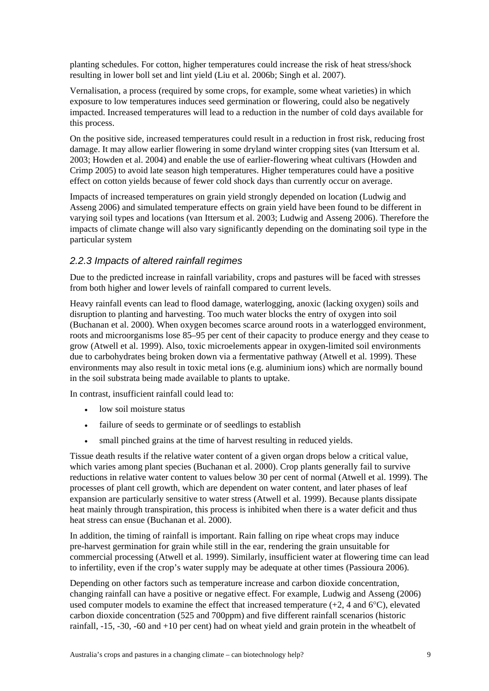<span id="page-20-0"></span>planting schedules. For cotton, higher temperatures could increase the risk of heat stress/shock resulting in lower boll set and lint yield (Liu et al. 2006b; Singh et al. 2007).

Vernalisation, a process (required by some crops, for example, some wheat varieties) in which exposure to low temperatures induces seed germination or flowering, could also be negatively impacted. Increased temperatures will lead to a reduction in the number of cold days available for this process.

On the positive side, increased temperatures could result in a reduction in frost risk, reducing frost damage. It may allow earlier flowering in some dryland winter cropping sites (van Ittersum et al. 2003; Howden et al. 2004) and enable the use of earlier-flowering wheat cultivars (Howden and Crimp 2005) to avoid late season high temperatures. Higher temperatures could have a positive effect on cotton yields because of fewer cold shock days than currently occur on average.

Impacts of increased temperatures on grain yield strongly depended on location (Ludwig and Asseng 2006) and simulated temperature effects on grain yield have been found to be different in varying soil types and locations (van Ittersum et al. 2003; Ludwig and Asseng 2006). Therefore the impacts of climate change will also vary significantly depending on the dominating soil type in the particular system

#### *2.2.3 Impacts of altered rainfall regimes*

Due to the predicted increase in rainfall variability, crops and pastures will be faced with stresses from both higher and lower levels of rainfall compared to current levels.

Heavy rainfall events can lead to flood damage, waterlogging, anoxic (lacking oxygen) soils and disruption to planting and harvesting. Too much water blocks the entry of oxygen into soil (Buchanan et al. 2000). When oxygen becomes scarce around roots in a waterlogged environment, roots and microorganisms lose 85–95 per cent of their capacity to produce energy and they cease to grow (Atwell et al. 1999). Also, toxic microelements appear in oxygen-limited soil environments due to carbohydrates being broken down via a fermentative pathway (Atwell et al. 1999). These environments may also result in toxic metal ions (e.g. aluminium ions) which are normally bound in the soil substrata being made available to plants to uptake.

In contrast, insufficient rainfall could lead to:

- low soil moisture status
- failure of seeds to germinate or of seedlings to establish
- small pinched grains at the time of harvest resulting in reduced yields.

Tissue death results if the relative water content of a given organ drops below a critical value, which varies among plant species (Buchanan et al. 2000). Crop plants generally fail to survive reductions in relative water content to values below 30 per cent of normal (Atwell et al. 1999). The processes of plant cell growth, which are dependent on water content, and later phases of leaf expansion are particularly sensitive to water stress (Atwell et al. 1999). Because plants dissipate heat mainly through transpiration, this process is inhibited when there is a water deficit and thus heat stress can ensue (Buchanan et al. 2000).

In addition, the timing of rainfall is important. Rain falling on ripe wheat crops may induce pre-harvest germination for grain while still in the ear, rendering the grain unsuitable for commercial processing (Atwell et al. 1999). Similarly, insufficient water at flowering time can lead to infertility, even if the crop's water supply may be adequate at other times (Passioura 2006).

Depending on other factors such as temperature increase and carbon dioxide concentration, changing rainfall can have a positive or negative effect. For example, Ludwig and Asseng (2006) used computer models to examine the effect that increased temperature  $(+2, 4 \text{ and } 6^{\circ}\text{C})$ , elevated carbon dioxide concentration (525 and 700ppm) and five different rainfall scenarios (historic rainfall, -15, -30, -60 and +10 per cent) had on wheat yield and grain protein in the wheatbelt of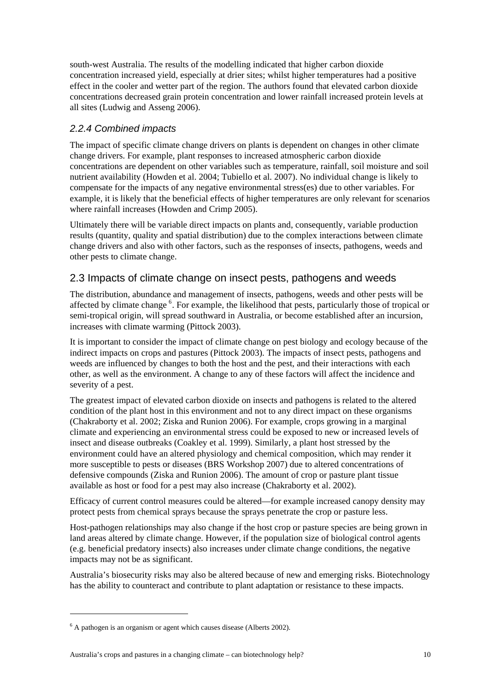<span id="page-21-0"></span>south-west Australia. The results of the modelling indicated that higher carbon dioxide concentration increased yield, especially at drier sites; whilst higher temperatures had a positive effect in the cooler and wetter part of the region. The authors found that elevated carbon dioxide concentrations decreased grain protein concentration and lower rainfall increased protein levels at all sites (Ludwig and Asseng 2006).

### *2.2.4 Combined impacts*

The impact of specific climate change drivers on plants is dependent on changes in other climate change drivers. For example, plant responses to increased atmospheric carbon dioxide concentrations are dependent on other variables such as temperature, rainfall, soil moisture and soil nutrient availability (Howden et al. 2004; Tubiello et al. 2007). No individual change is likely to compensate for the impacts of any negative environmental stress(es) due to other variables. For example, it is likely that the beneficial effects of higher temperatures are only relevant for scenarios where rainfall increases (Howden and Crimp 2005).

Ultimately there will be variable direct impacts on plants and, consequently, variable production results (quantity, quality and spatial distribution) due to the complex interactions between climate change drivers and also with other factors, such as the responses of insects, pathogens, weeds and other pests to climate change.

## 2.3 Impacts of climate change on insect pests, pathogens and weeds

The distribution, abundance and management of insects, pathogens, weeds and other pests will be affected by climate change<sup>[6](#page-21-1)</sup>. For example, the likelihood that pests, particularly those of tropical or semi-tropical origin, will spread southward in Australia, or become established after an incursion, increases with climate warming (Pittock 2003).

It is important to consider the impact of climate change on pest biology and ecology because of the indirect impacts on crops and pastures (Pittock 2003). The impacts of insect pests, pathogens and weeds are influenced by changes to both the host and the pest, and their interactions with each other, as well as the environment. A change to any of these factors will affect the incidence and severity of a pest.

The greatest impact of elevated carbon dioxide on insects and pathogens is related to the altered condition of the plant host in this environment and not to any direct impact on these organisms (Chakraborty et al. 2002; Ziska and Runion 2006). For example, crops growing in a marginal climate and experiencing an environmental stress could be exposed to new or increased levels of insect and disease outbreaks (Coakley et al. 1999). Similarly, a plant host stressed by the environment could have an altered physiology and chemical composition, which may render it more susceptible to pests or diseases (BRS Workshop 2007) due to altered concentrations of defensive compounds (Ziska and Runion 2006). The amount of crop or pasture plant tissue available as host or food for a pest may also increase (Chakraborty et al. 2002).

Efficacy of current control measures could be altered—for example increased canopy density may protect pests from chemical sprays because the sprays penetrate the crop or pasture less.

Host-pathogen relationships may also change if the host crop or pasture species are being grown in land areas altered by climate change. However, if the population size of biological control agents (e.g. beneficial predatory insects) also increases under climate change conditions, the negative impacts may not be as significant.

Australia's biosecurity risks may also be altered because of new and emerging risks. Biotechnology has the ability to counteract and contribute to plant adaptation or resistance to these impacts.

-

<span id="page-21-1"></span> $6$  A pathogen is an organism or agent which causes disease (Alberts 2002).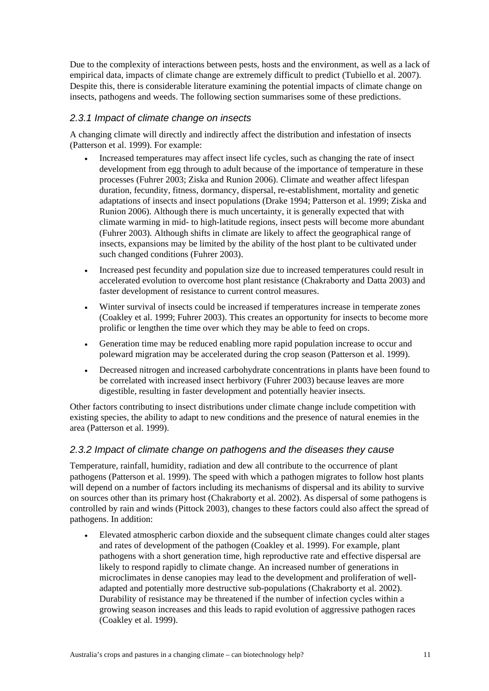<span id="page-22-0"></span>Due to the complexity of interactions between pests, hosts and the environment, as well as a lack of empirical data, impacts of climate change are extremely difficult to predict (Tubiello et al. 2007). Despite this, there is considerable literature examining the potential impacts of climate change on insects, pathogens and weeds. The following section summarises some of these predictions.

#### *2.3.1 Impact of climate change on insects*

A changing climate will directly and indirectly affect the distribution and infestation of insects (Patterson et al. 1999). For example:

- Increased temperatures may affect insect life cycles, such as changing the rate of insect development from egg through to adult because of the importance of temperature in these processes (Fuhrer 2003; Ziska and Runion 2006). Climate and weather affect lifespan duration, fecundity, fitness, dormancy, dispersal, re-establishment, mortality and genetic adaptations of insects and insect populations (Drake 1994; Patterson et al. 1999; Ziska and Runion 2006). Although there is much uncertainty, it is generally expected that with climate warming in mid- to high-latitude regions, insect pests will become more abundant (Fuhrer 2003). Although shifts in climate are likely to affect the geographical range of insects, expansions may be limited by the ability of the host plant to be cultivated under such changed conditions (Fuhrer 2003).
- Increased pest fecundity and population size due to increased temperatures could result in accelerated evolution to overcome host plant resistance (Chakraborty and Datta 2003) and faster development of resistance to current control measures.
- Winter survival of insects could be increased if temperatures increase in temperate zones (Coakley et al. 1999; Fuhrer 2003). This creates an opportunity for insects to become more prolific or lengthen the time over which they may be able to feed on crops.
- Generation time may be reduced enabling more rapid population increase to occur and poleward migration may be accelerated during the crop season (Patterson et al. 1999).
- Decreased nitrogen and increased carbohydrate concentrations in plants have been found to be correlated with increased insect herbivory (Fuhrer 2003) because leaves are more digestible, resulting in faster development and potentially heavier insects.

Other factors contributing to insect distributions under climate change include competition with existing species, the ability to adapt to new conditions and the presence of natural enemies in the area (Patterson et al. 1999).

#### *2.3.2 Impact of climate change on pathogens and the diseases they cause*

Temperature, rainfall, humidity, radiation and dew all contribute to the occurrence of plant pathogens (Patterson et al. 1999). The speed with which a pathogen migrates to follow host plants will depend on a number of factors including its mechanisms of dispersal and its ability to survive on sources other than its primary host (Chakraborty et al. 2002). As dispersal of some pathogens is controlled by rain and winds (Pittock 2003), changes to these factors could also affect the spread of pathogens. In addition:

• Elevated atmospheric carbon dioxide and the subsequent climate changes could alter stages and rates of development of the pathogen (Coakley et al. 1999). For example, plant pathogens with a short generation time, high reproductive rate and effective dispersal are likely to respond rapidly to climate change. An increased number of generations in microclimates in dense canopies may lead to the development and proliferation of welladapted and potentially more destructive sub-populations (Chakraborty et al. 2002). Durability of resistance may be threatened if the number of infection cycles within a growing season increases and this leads to rapid evolution of aggressive pathogen races (Coakley et al. 1999).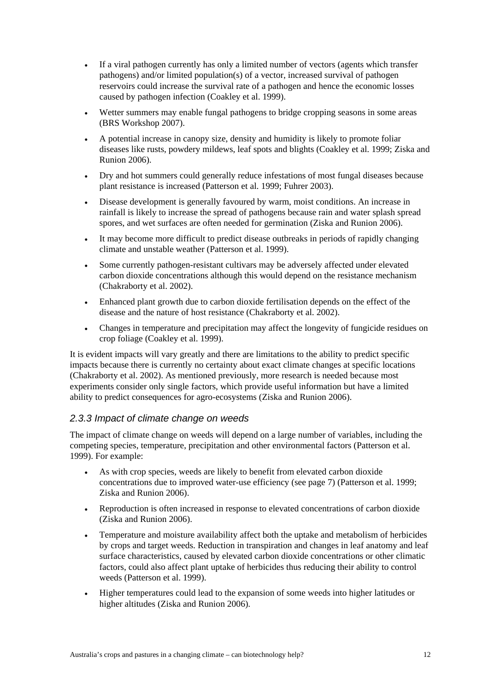- <span id="page-23-0"></span>• If a viral pathogen currently has only a limited number of vectors (agents which transfer pathogens) and/or limited population(s) of a vector, increased survival of pathogen reservoirs could increase the survival rate of a pathogen and hence the economic losses caused by pathogen infection (Coakley et al. 1999).
- Wetter summers may enable fungal pathogens to bridge cropping seasons in some areas (BRS Workshop 2007).
- A potential increase in canopy size, density and humidity is likely to promote foliar diseases like rusts, powdery mildews, leaf spots and blights (Coakley et al. 1999; Ziska and Runion 2006).
- Dry and hot summers could generally reduce infestations of most fungal diseases because plant resistance is increased (Patterson et al. 1999; Fuhrer 2003).
- Disease development is generally favoured by warm, moist conditions. An increase in rainfall is likely to increase the spread of pathogens because rain and water splash spread spores, and wet surfaces are often needed for germination (Ziska and Runion 2006).
- It may become more difficult to predict disease outbreaks in periods of rapidly changing climate and unstable weather (Patterson et al. 1999).
- Some currently pathogen-resistant cultivars may be adversely affected under elevated carbon dioxide concentrations although this would depend on the resistance mechanism (Chakraborty et al. 2002).
- Enhanced plant growth due to carbon dioxide fertilisation depends on the effect of the disease and the nature of host resistance (Chakraborty et al. 2002).
- Changes in temperature and precipitation may affect the longevity of fungicide residues on crop foliage (Coakley et al. 1999).

It is evident impacts will vary greatly and there are limitations to the ability to predict specific impacts because there is currently no certainty about exact climate changes at specific locations (Chakraborty et al. 2002). As mentioned previously, more research is needed because most experiments consider only single factors, which provide useful information but have a limited ability to predict consequences for agro-ecosystems (Ziska and Runion 2006).

#### *2.3.3 Impact of climate change on weeds*

The impact of climate change on weeds will depend on a large number of variables, including the competing species, temperature, precipitation and other environmental factors (Patterson et al. 1999). For example:

- As with crop species, weeds are likely to benefit from elevated carbon dioxide concentrations due to improved water-use efficiency (see page 7) (Patterson et al. 1999; Ziska and Runion 2006).
- Reproduction is often increased in response to elevated concentrations of carbon dioxide (Ziska and Runion 2006).
- Temperature and moisture availability affect both the uptake and metabolism of herbicides by crops and target weeds. Reduction in transpiration and changes in leaf anatomy and leaf surface characteristics, caused by elevated carbon dioxide concentrations or other climatic factors, could also affect plant uptake of herbicides thus reducing their ability to control weeds (Patterson et al. 1999).
- Higher temperatures could lead to the expansion of some weeds into higher latitudes or higher altitudes (Ziska and Runion 2006).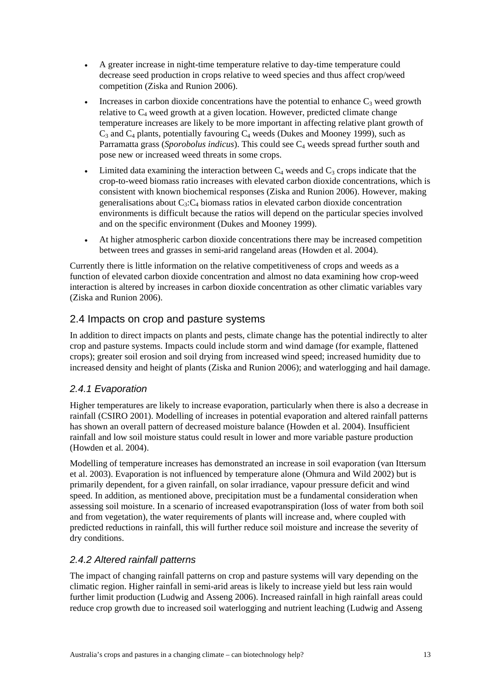- <span id="page-24-0"></span>• A greater increase in night-time temperature relative to day-time temperature could decrease seed production in crops relative to weed species and thus affect crop/weed competition (Ziska and Runion 2006).
- Increases in carbon dioxide concentrations have the potential to enhance  $C_3$  weed growth relative to  $C_4$  weed growth at a given location. However, predicted climate change temperature increases are likely to be more important in affecting relative plant growth of  $C_3$  and  $C_4$  plants, potentially favouring  $C_4$  weeds (Dukes and Mooney 1999), such as Parramatta grass (*Sporobolus indicus*). This could see C<sub>4</sub> weeds spread further south and pose new or increased weed threats in some crops.
- Limited data examining the interaction between  $C_4$  weeds and  $C_3$  crops indicate that the crop-to-weed biomass ratio increases with elevated carbon dioxide concentrations, which is consistent with known biochemical responses (Ziska and Runion 2006). However, making generalisations about  $C_3$ : $C_4$  biomass ratios in elevated carbon dioxide concentration environments is difficult because the ratios will depend on the particular species involved and on the specific environment (Dukes and Mooney 1999).
- At higher atmospheric carbon dioxide concentrations there may be increased competition between trees and grasses in semi-arid rangeland areas (Howden et al. 2004).

Currently there is little information on the relative competitiveness of crops and weeds as a function of elevated carbon dioxide concentration and almost no data examining how crop-weed interaction is altered by increases in carbon dioxide concentration as other climatic variables vary (Ziska and Runion 2006).

## 2.4 Impacts on crop and pasture systems

In addition to direct impacts on plants and pests, climate change has the potential indirectly to alter crop and pasture systems. Impacts could include storm and wind damage (for example, flattened crops); greater soil erosion and soil drying from increased wind speed; increased humidity due to increased density and height of plants (Ziska and Runion 2006); and waterlogging and hail damage.

#### *2.4.1 Evaporation*

Higher temperatures are likely to increase evaporation, particularly when there is also a decrease in rainfall (CSIRO 2001). Modelling of increases in potential evaporation and altered rainfall patterns has shown an overall pattern of decreased moisture balance (Howden et al. 2004). Insufficient rainfall and low soil moisture status could result in lower and more variable pasture production (Howden et al. 2004).

Modelling of temperature increases has demonstrated an increase in soil evaporation (van Ittersum et al. 2003). Evaporation is not influenced by temperature alone (Ohmura and Wild 2002) but is primarily dependent, for a given rainfall, on solar irradiance, vapour pressure deficit and wind speed. In addition, as mentioned above, precipitation must be a fundamental consideration when assessing soil moisture. In a scenario of increased evapotranspiration (loss of water from both soil and from vegetation), the water requirements of plants will increase and, where coupled with predicted reductions in rainfall, this will further reduce soil moisture and increase the severity of dry conditions.

#### *2.4.2 Altered rainfall patterns*

The impact of changing rainfall patterns on crop and pasture systems will vary depending on the climatic region. Higher rainfall in semi-arid areas is likely to increase yield but less rain would further limit production (Ludwig and Asseng 2006). Increased rainfall in high rainfall areas could reduce crop growth due to increased soil waterlogging and nutrient leaching (Ludwig and Asseng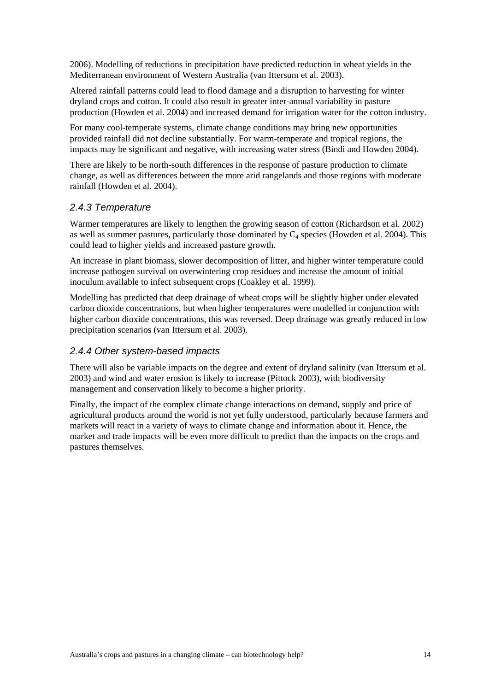<span id="page-25-0"></span>2006). Modelling of reductions in precipitation have predicted reduction in wheat yields in the Mediterranean environment of Western Australia (van Ittersum et al. 2003).

Altered rainfall patterns could lead to flood damage and a disruption to harvesting for winter dryland crops and cotton. It could also result in greater inter-annual variability in pasture production (Howden et al. 2004) and increased demand for irrigation water for the cotton industry.

For many cool-temperate systems, climate change conditions may bring new opportunities provided rainfall did not decline substantially. For warm-temperate and tropical regions, the impacts may be significant and negative, with increasing water stress (Bindi and Howden 2004).

There are likely to be north-south differences in the response of pasture production to climate change, as well as differences between the more arid rangelands and those regions with moderate rainfall (Howden et al. 2004).

#### *2.4.3 Temperature*

Warmer temperatures are likely to lengthen the growing season of cotton (Richardson et al. 2002) as well as summer pastures, particularly those dominated by  $C_4$  species (Howden et al. 2004). This could lead to higher yields and increased pasture growth.

An increase in plant biomass, slower decomposition of litter, and higher winter temperature could increase pathogen survival on overwintering crop residues and increase the amount of initial inoculum available to infect subsequent crops (Coakley et al. 1999).

Modelling has predicted that deep drainage of wheat crops will be slightly higher under elevated carbon dioxide concentrations, but when higher temperatures were modelled in conjunction with higher carbon dioxide concentrations, this was reversed. Deep drainage was greatly reduced in low precipitation scenarios (van Ittersum et al. 2003).

#### *2.4.4 Other system-based impacts*

There will also be variable impacts on the degree and extent of dryland salinity (van Ittersum et al. 2003) and wind and water erosion is likely to increase (Pittock 2003), with biodiversity management and conservation likely to become a higher priority.

Finally, the impact of the complex climate change interactions on demand, supply and price of agricultural products around the world is not yet fully understood, particularly because farmers and markets will react in a variety of ways to climate change and information about it. Hence, the market and trade impacts will be even more difficult to predict than the impacts on the crops and pastures themselves.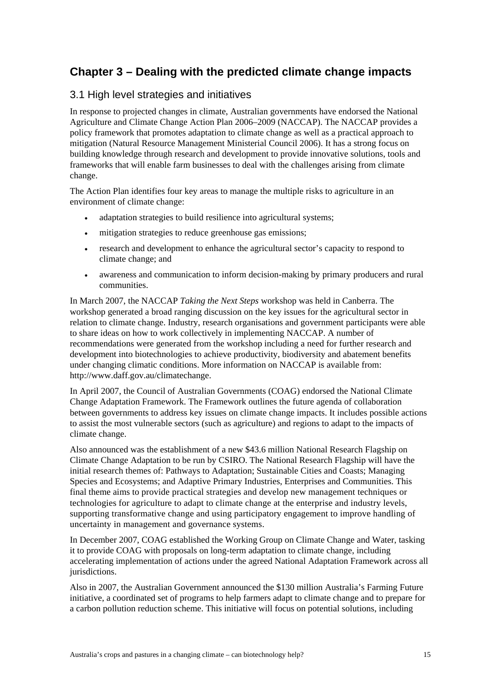## <span id="page-26-0"></span>**Chapter 3 – Dealing with the predicted climate change impacts**

### 3.1 High level strategies and initiatives

In response to projected changes in climate, Australian governments have endorsed the National Agriculture and Climate Change Action Plan 2006–2009 (NACCAP). The NACCAP provides a policy framework that promotes adaptation to climate change as well as a practical approach to mitigation (Natural Resource Management Ministerial Council 2006). It has a strong focus on building knowledge through research and development to provide innovative solutions, tools and frameworks that will enable farm businesses to deal with the challenges arising from climate change.

The Action Plan identifies four key areas to manage the multiple risks to agriculture in an environment of climate change:

- adaptation strategies to build resilience into agricultural systems;
- mitigation strategies to reduce greenhouse gas emissions:
- research and development to enhance the agricultural sector's capacity to respond to climate change; and
- awareness and communication to inform decision-making by primary producers and rural communities.

In March 2007, the NACCAP *Taking the Next Steps* workshop was held in Canberra. The workshop generated a broad ranging discussion on the key issues for the agricultural sector in relation to climate change. Industry, research organisations and government participants were able to share ideas on how to work collectively in implementing NACCAP. A number of recommendations were generated from the workshop including a need for further research and development into biotechnologies to achieve productivity, biodiversity and abatement benefits under changing climatic conditions. More information on NACCAP is available from: http://www.daff.gov.au/climatechange.

In April 2007, the Council of Australian Governments (COAG) endorsed the National Climate Change Adaptation Framework. The Framework outlines the future agenda of collaboration between governments to address key issues on climate change impacts. It includes possible actions to assist the most vulnerable sectors (such as agriculture) and regions to adapt to the impacts of climate change.

Also announced was the establishment of a new \$43.6 million National Research Flagship on Climate Change Adaptation to be run by CSIRO. The National Research Flagship will have the initial research themes of: Pathways to Adaptation; Sustainable Cities and Coasts; Managing Species and Ecosystems; and Adaptive Primary Industries, Enterprises and Communities. This final theme aims to provide practical strategies and develop new management techniques or technologies for agriculture to adapt to climate change at the enterprise and industry levels, supporting transformative change and using participatory engagement to improve handling of uncertainty in management and governance systems.

In December 2007, COAG established the Working Group on Climate Change and Water, tasking it to provide COAG with proposals on long-term adaptation to climate change, including accelerating implementation of actions under the agreed National Adaptation Framework across all jurisdictions.

Also in 2007, the Australian Government announced the \$130 million Australia's Farming Future initiative, a coordinated set of programs to help farmers adapt to climate change and to prepare for a carbon pollution reduction scheme. This initiative will focus on potential solutions, including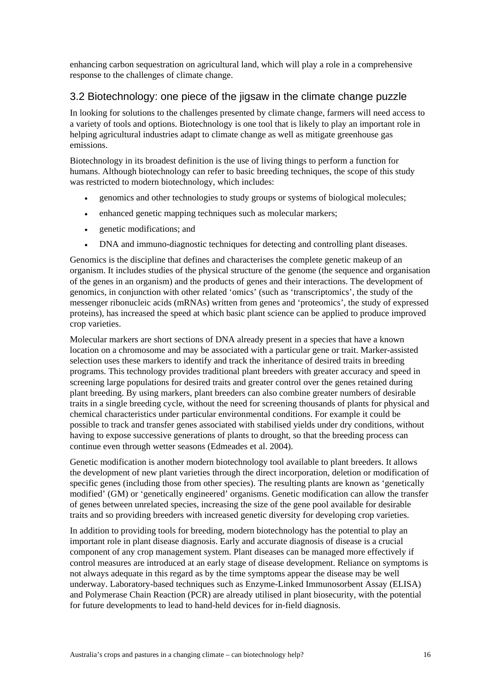<span id="page-27-0"></span>enhancing carbon sequestration on agricultural land, which will play a role in a comprehensive response to the challenges of climate change.

### 3.2 Biotechnology: one piece of the jigsaw in the climate change puzzle

In looking for solutions to the challenges presented by climate change, farmers will need access to a variety of tools and options. Biotechnology is one tool that is likely to play an important role in helping agricultural industries adapt to climate change as well as mitigate greenhouse gas emissions.

Biotechnology in its broadest definition is the use of living things to perform a function for humans. Although biotechnology can refer to basic breeding techniques, the scope of this study was restricted to modern biotechnology, which includes:

- genomics and other technologies to study groups or systems of biological molecules;
- enhanced genetic mapping techniques such as molecular markers;
- genetic modifications; and
- DNA and immuno-diagnostic techniques for detecting and controlling plant diseases.

Genomics is the discipline that defines and characterises the complete genetic makeup of an organism. It includes studies of the physical structure of the genome (the sequence and organisation of the genes in an organism) and the products of genes and their interactions. The development of genomics, in conjunction with other related 'omics' (such as 'transcriptomics', the study of the messenger ribonucleic acids (mRNAs) written from genes and 'proteomics', the study of expressed proteins), has increased the speed at which basic plant science can be applied to produce improved crop varieties.

Molecular markers are short sections of DNA already present in a species that have a known location on a chromosome and may be associated with a particular gene or trait. Marker-assisted selection uses these markers to identify and track the inheritance of desired traits in breeding programs. This technology provides traditional plant breeders with greater accuracy and speed in screening large populations for desired traits and greater control over the genes retained during plant breeding. By using markers, plant breeders can also combine greater numbers of desirable traits in a single breeding cycle, without the need for screening thousands of plants for physical and chemical characteristics under particular environmental conditions. For example it could be possible to track and transfer genes associated with stabilised yields under dry conditions, without having to expose successive generations of plants to drought, so that the breeding process can continue even through wetter seasons (Edmeades et al. 2004).

Genetic modification is another modern biotechnology tool available to plant breeders. It allows the development of new plant varieties through the direct incorporation, deletion or modification of specific genes (including those from other species). The resulting plants are known as 'genetically modified' (GM) or 'genetically engineered' organisms. Genetic modification can allow the transfer of genes between unrelated species, increasing the size of the gene pool available for desirable traits and so providing breeders with increased genetic diversity for developing crop varieties.

In addition to providing tools for breeding, modern biotechnology has the potential to play an important role in plant disease diagnosis. Early and accurate diagnosis of disease is a crucial component of any crop management system. Plant diseases can be managed more effectively if control measures are introduced at an early stage of disease development. Reliance on symptoms is not always adequate in this regard as by the time symptoms appear the disease may be well underway. Laboratory-based techniques such as Enzyme-Linked Immunosorbent Assay (ELISA) and Polymerase Chain Reaction (PCR) are already utilised in plant biosecurity, with the potential for future developments to lead to hand-held devices for in-field diagnosis.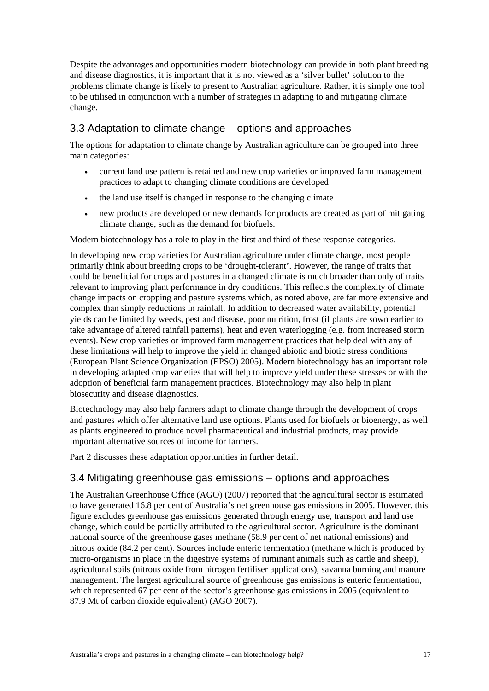<span id="page-28-0"></span>Despite the advantages and opportunities modern biotechnology can provide in both plant breeding and disease diagnostics, it is important that it is not viewed as a 'silver bullet' solution to the problems climate change is likely to present to Australian agriculture. Rather, it is simply one tool to be utilised in conjunction with a number of strategies in adapting to and mitigating climate change.

## 3.3 Adaptation to climate change – options and approaches

The options for adaptation to climate change by Australian agriculture can be grouped into three main categories:

- current land use pattern is retained and new crop varieties or improved farm management practices to adapt to changing climate conditions are developed
- the land use itself is changed in response to the changing climate
- new products are developed or new demands for products are created as part of mitigating climate change, such as the demand for biofuels.

Modern biotechnology has a role to play in the first and third of these response categories.

In developing new crop varieties for Australian agriculture under climate change, most people primarily think about breeding crops to be 'drought-tolerant'. However, the range of traits that could be beneficial for crops and pastures in a changed climate is much broader than only of traits relevant to improving plant performance in dry conditions. This reflects the complexity of climate change impacts on cropping and pasture systems which, as noted above, are far more extensive and complex than simply reductions in rainfall. In addition to decreased water availability, potential yields can be limited by weeds, pest and disease, poor nutrition, frost (if plants are sown earlier to take advantage of altered rainfall patterns), heat and even waterlogging (e.g. from increased storm events). New crop varieties or improved farm management practices that help deal with any of these limitations will help to improve the yield in changed abiotic and biotic stress conditions (European Plant Science Organization (EPSO) 2005). Modern biotechnology has an important role in developing adapted crop varieties that will help to improve yield under these stresses or with the adoption of beneficial farm management practices. Biotechnology may also help in plant biosecurity and disease diagnostics.

Biotechnology may also help farmers adapt to climate change through the development of crops and pastures which offer alternative land use options. Plants used for biofuels or bioenergy, as well as plants engineered to produce novel pharmaceutical and industrial products, may provide important alternative sources of income for farmers.

Part 2 discusses these adaptation opportunities in further detail.

### 3.4 Mitigating greenhouse gas emissions – options and approaches

The Australian Greenhouse Office (AGO) (2007) reported that the agricultural sector is estimated to have generated 16.8 per cent of Australia's net greenhouse gas emissions in 2005. However, this figure excludes greenhouse gas emissions generated through energy use, transport and land use change, which could be partially attributed to the agricultural sector. Agriculture is the dominant national source of the greenhouse gases methane (58.9 per cent of net national emissions) and nitrous oxide (84.2 per cent). Sources include enteric fermentation (methane which is produced by micro-organisms in place in the digestive systems of ruminant animals such as cattle and sheep), agricultural soils (nitrous oxide from nitrogen fertiliser applications), savanna burning and manure management. The largest agricultural source of greenhouse gas emissions is enteric fermentation, which represented 67 per cent of the sector's greenhouse gas emissions in 2005 (equivalent to 87.9 Mt of carbon dioxide equivalent) (AGO 2007).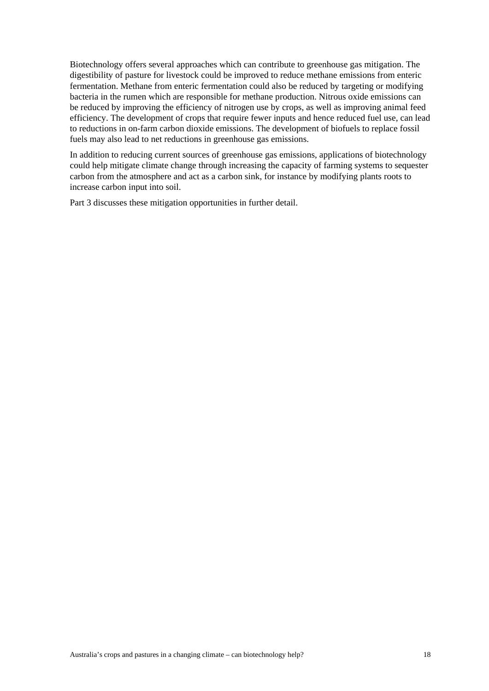Biotechnology offers several approaches which can contribute to greenhouse gas mitigation. The digestibility of pasture for livestock could be improved to reduce methane emissions from enteric fermentation. Methane from enteric fermentation could also be reduced by targeting or modifying bacteria in the rumen which are responsible for methane production. Nitrous oxide emissions can be reduced by improving the efficiency of nitrogen use by crops, as well as improving animal feed efficiency. The development of crops that require fewer inputs and hence reduced fuel use, can lead to reductions in on-farm carbon dioxide emissions. The development of biofuels to replace fossil fuels may also lead to net reductions in greenhouse gas emissions.

In addition to reducing current sources of greenhouse gas emissions, applications of biotechnology could help mitigate climate change through increasing the capacity of farming systems to sequester carbon from the atmosphere and act as a carbon sink, for instance by modifying plants roots to increase carbon input into soil.

Part 3 discusses these mitigation opportunities in further detail.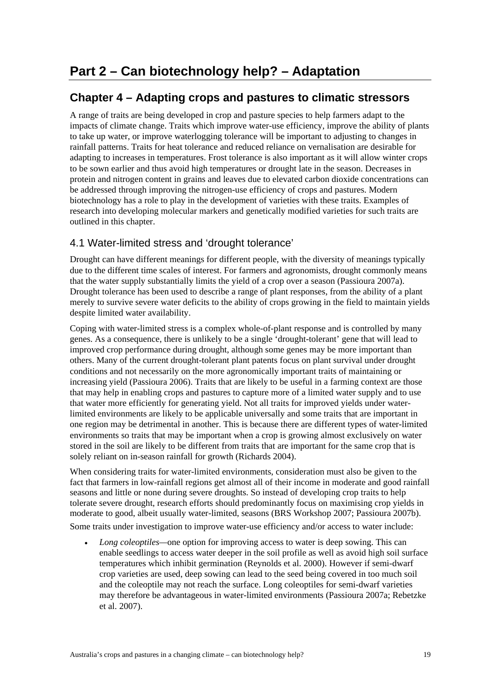## <span id="page-30-0"></span>**Chapter 4 – Adapting crops and pastures to climatic stressors**

A range of traits are being developed in crop and pasture species to help farmers adapt to the impacts of climate change. Traits which improve water-use efficiency, improve the ability of plants to take up water, or improve waterlogging tolerance will be important to adjusting to changes in rainfall patterns. Traits for heat tolerance and reduced reliance on vernalisation are desirable for adapting to increases in temperatures. Frost tolerance is also important as it will allow winter crops to be sown earlier and thus avoid high temperatures or drought late in the season. Decreases in protein and nitrogen content in grains and leaves due to elevated carbon dioxide concentrations can be addressed through improving the nitrogen-use efficiency of crops and pastures. Modern biotechnology has a role to play in the development of varieties with these traits. Examples of research into developing molecular markers and genetically modified varieties for such traits are outlined in this chapter.

## 4.1 Water-limited stress and 'drought tolerance'

Drought can have different meanings for different people, with the diversity of meanings typically due to the different time scales of interest. For farmers and agronomists, drought commonly means that the water supply substantially limits the yield of a crop over a season (Passioura 2007a). Drought tolerance has been used to describe a range of plant responses, from the ability of a plant merely to survive severe water deficits to the ability of crops growing in the field to maintain yields despite limited water availability.

Coping with water-limited stress is a complex whole-of-plant response and is controlled by many genes. As a consequence, there is unlikely to be a single 'drought-tolerant' gene that will lead to improved crop performance during drought, although some genes may be more important than others. Many of the current drought-tolerant plant patents focus on plant survival under drought conditions and not necessarily on the more agronomically important traits of maintaining or increasing yield (Passioura 2006). Traits that are likely to be useful in a farming context are those that may help in enabling crops and pastures to capture more of a limited water supply and to use that water more efficiently for generating yield. Not all traits for improved yields under waterlimited environments are likely to be applicable universally and some traits that are important in one region may be detrimental in another. This is because there are different types of water-limited environments so traits that may be important when a crop is growing almost exclusively on water stored in the soil are likely to be different from traits that are important for the same crop that is solely reliant on in-season rainfall for growth (Richards 2004).

When considering traits for water-limited environments, consideration must also be given to the fact that farmers in low-rainfall regions get almost all of their income in moderate and good rainfall seasons and little or none during severe droughts. So instead of developing crop traits to help tolerate severe drought, research efforts should predominantly focus on maximising crop yields in moderate to good, albeit usually water-limited, seasons (BRS Workshop 2007; Passioura 2007b). Some traits under investigation to improve water-use efficiency and/or access to water include:

*Long coleoptiles—*one option for improving access to water is deep sowing. This can enable seedlings to access water deeper in the soil profile as well as avoid high soil surface temperatures which inhibit germination (Reynolds et al. 2000). However if semi-dwarf crop varieties are used, deep sowing can lead to the seed being covered in too much soil and the coleoptile may not reach the surface. Long coleoptiles for semi-dwarf varieties may therefore be advantageous in water-limited environments (Passioura 2007a; Rebetzke et al. 2007).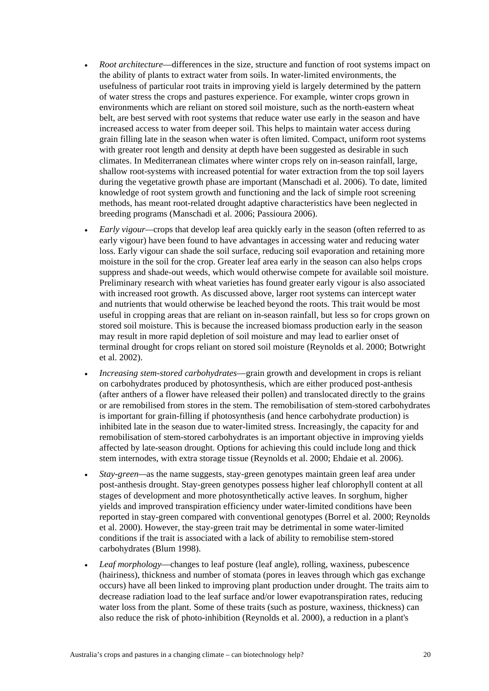- *Root architecture*—differences in the size, structure and function of root systems impact on the ability of plants to extract water from soils. In water-limited environments, the usefulness of particular root traits in improving yield is largely determined by the pattern of water stress the crops and pastures experience. For example, winter crops grown in environments which are reliant on stored soil moisture, such as the north-eastern wheat belt, are best served with root systems that reduce water use early in the season and have increased access to water from deeper soil. This helps to maintain water access during grain filling late in the season when water is often limited. Compact, uniform root systems with greater root length and density at depth have been suggested as desirable in such climates. In Mediterranean climates where winter crops rely on in-season rainfall, large, shallow root-systems with increased potential for water extraction from the top soil layers during the vegetative growth phase are important (Manschadi et al. 2006). To date, limited knowledge of root system growth and functioning and the lack of simple root screening methods, has meant root-related drought adaptive characteristics have been neglected in breeding programs (Manschadi et al. 2006; Passioura 2006).
- *Early vigour—*crops that develop leaf area quickly early in the season (often referred to as early vigour) have been found to have advantages in accessing water and reducing water loss. Early vigour can shade the soil surface, reducing soil evaporation and retaining more moisture in the soil for the crop. Greater leaf area early in the season can also helps crops suppress and shade-out weeds, which would otherwise compete for available soil moisture. Preliminary research with wheat varieties has found greater early vigour is also associated with increased root growth. As discussed above, larger root systems can intercept water and nutrients that would otherwise be leached beyond the roots. This trait would be most useful in cropping areas that are reliant on in-season rainfall, but less so for crops grown on stored soil moisture. This is because the increased biomass production early in the season may result in more rapid depletion of soil moisture and may lead to earlier onset of terminal drought for crops reliant on stored soil moisture (Reynolds et al. 2000; Botwright et al. 2002).
- *Increasing stem-stored carbohydrates*—grain growth and development in crops is reliant on carbohydrates produced by photosynthesis, which are either produced post-anthesis (after anthers of a flower have released their pollen) and translocated directly to the grains or are remobilised from stores in the stem. The remobilisation of stem-stored carbohydrates is important for grain-filling if photosynthesis (and hence carbohydrate production) is inhibited late in the season due to water-limited stress. Increasingly, the capacity for and remobilisation of stem-stored carbohydrates is an important objective in improving yields affected by late-season drought. Options for achieving this could include long and thick stem internodes, with extra storage tissue (Reynolds et al. 2000; Ehdaie et al. 2006).
- *Stay-green—*as the name suggests, stay-green genotypes maintain green leaf area under post-anthesis drought. Stay-green genotypes possess higher leaf chlorophyll content at all stages of development and more photosynthetically active leaves. In sorghum, higher yields and improved transpiration efficiency under water-limited conditions have been reported in stay-green compared with conventional genotypes (Borrel et al. 2000; Reynolds et al. 2000). However, the stay-green trait may be detrimental in some water-limited conditions if the trait is associated with a lack of ability to remobilise stem-stored carbohydrates (Blum 1998).
- *Leaf morphology*—changes to leaf posture (leaf angle), rolling, waxiness, pubescence (hairiness), thickness and number of stomata (pores in leaves through which gas exchange occurs) have all been linked to improving plant production under drought. The traits aim to decrease radiation load to the leaf surface and/or lower evapotranspiration rates, reducing water loss from the plant. Some of these traits (such as posture, waxiness, thickness) can also reduce the risk of photo-inhibition (Reynolds et al. 2000), a reduction in a plant's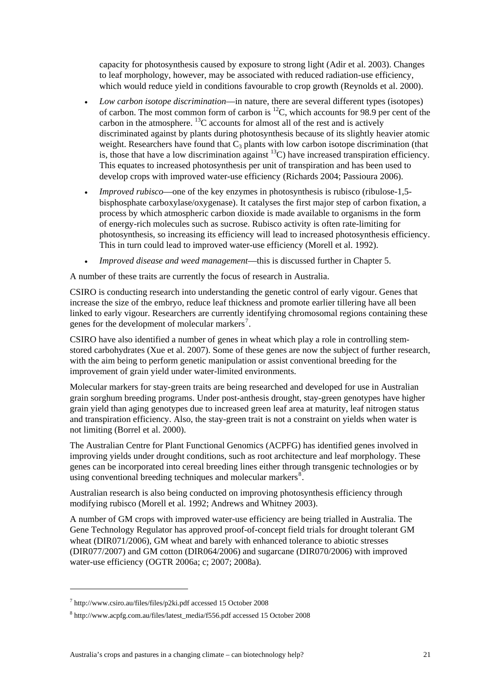capacity for photosynthesis caused by exposure to strong light (Adir et al. 2003). Changes to leaf morphology, however, may be associated with reduced radiation-use efficiency, which would reduce yield in conditions favourable to crop growth (Reynolds et al. 2000).

- *Low carbon isotope discrimination*—in nature, there are several different types (isotopes) of carbon. The most common form of carbon is  ${}^{12}C$ , which accounts for 98.9 per cent of the carbon in the atmosphere. <sup>13</sup>C accounts for almost all of the rest and is actively discriminated against by plants during photosynthesis because of its slightly heavier atomic weight. Researchers have found that  $\overline{C_3}$  plants with low carbon isotope discrimination (that is, those that have a low discrimination against  $^{13}$ C) have increased transpiration efficiency. This equates to increased photosynthesis per unit of transpiration and has been used to develop crops with improved water-use efficiency (Richards 2004; Passioura 2006).
- *Improved rubisco*—one of the key enzymes in photosynthesis is rubisco (ribulose-1,5 bisphosphate carboxylase/oxygenase). It catalyses the first major step of carbon fixation, a process by which atmospheric carbon dioxide is made available to organisms in the form of energy-rich molecules such as sucrose. Rubisco activity is often rate-limiting for photosynthesis, so increasing its efficiency will lead to increased photosynthesis efficiency. This in turn could lead to improved water-use efficiency (Morell et al. 1992).
- *Improved disease and weed management*—this is discussed further in Chapter 5.

A number of these traits are currently the focus of research in Australia.

CSIRO is conducting research into understanding the genetic control of early vigour. Genes that increase the size of the embryo, reduce leaf thickness and promote earlier tillering have all been linked to early vigour. Researchers are currently identifying chromosomal regions containing these genes for the development of molecular markers<sup>[7](#page-32-0)</sup>.

CSIRO have also identified a number of genes in wheat which play a role in controlling stemstored carbohydrates (Xue et al. 2007). Some of these genes are now the subject of further research, with the aim being to perform genetic manipulation or assist conventional breeding for the improvement of grain yield under water-limited environments.

Molecular markers for stay-green traits are being researched and developed for use in Australian grain sorghum breeding programs. Under post-anthesis drought, stay-green genotypes have higher grain yield than aging genotypes due to increased green leaf area at maturity, leaf nitrogen status and transpiration efficiency. Also, the stay-green trait is not a constraint on yields when water is not limiting (Borrel et al. 2000).

The Australian Centre for Plant Functional Genomics (ACPFG) has identified genes involved in improving yields under drought conditions, such as root architecture and leaf morphology. These genes can be incorporated into cereal breeding lines either through transgenic technologies or by using conventional breeding techniques and molecular markers<sup>[8](#page-32-1)</sup>.

Australian research is also being conducted on improving photosynthesis efficiency through modifying rubisco (Morell et al. 1992; Andrews and Whitney 2003).

A number of GM crops with improved water-use efficiency are being trialled in Australia. The Gene Technology Regulator has approved proof-of-concept field trials for drought tolerant GM wheat (DIR071/2006), GM wheat and barely with enhanced tolerance to abiotic stresses (DIR077/2007) and GM cotton (DIR064/2006) and sugarcane (DIR070/2006) with improved water-use efficiency (OGTR 2006a; c; 2007; 2008a).

-

<span id="page-32-0"></span><sup>7</sup> http://www.csiro.au/files/files/p2ki.pdf accessed 15 October 2008

<span id="page-32-1"></span><sup>8</sup> http://www.acpfg.com.au/files/latest\_media/f556.pdf accessed 15 October 2008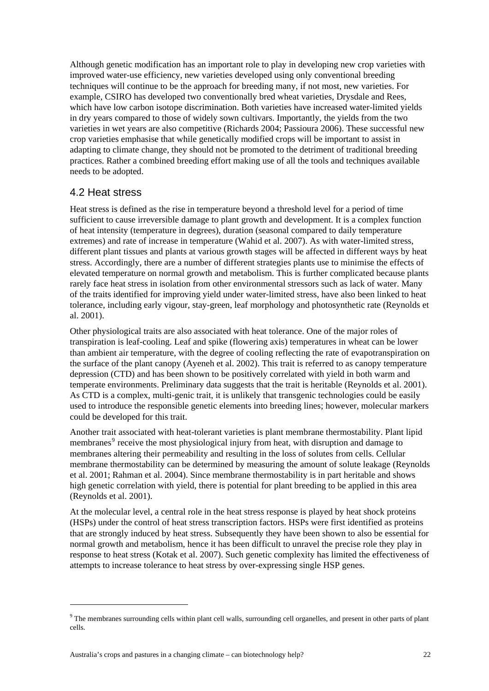<span id="page-33-0"></span>Although genetic modification has an important role to play in developing new crop varieties with improved water-use efficiency, new varieties developed using only conventional breeding techniques will continue to be the approach for breeding many, if not most, new varieties. For example, CSIRO has developed two conventionally bred wheat varieties, Drysdale and Rees, which have low carbon isotope discrimination. Both varieties have increased water-limited yields in dry years compared to those of widely sown cultivars. Importantly, the yields from the two varieties in wet years are also competitive (Richards 2004; Passioura 2006). These successful new crop varieties emphasise that while genetically modified crops will be important to assist in adapting to climate change, they should not be promoted to the detriment of traditional breeding practices. Rather a combined breeding effort making use of all the tools and techniques available needs to be adopted.

#### 4.2 Heat stress

1

Heat stress is defined as the rise in temperature beyond a threshold level for a period of time sufficient to cause irreversible damage to plant growth and development. It is a complex function of heat intensity (temperature in degrees), duration (seasonal compared to daily temperature extremes) and rate of increase in temperature (Wahid et al. 2007). As with water-limited stress, different plant tissues and plants at various growth stages will be affected in different ways by heat stress. Accordingly, there are a number of different strategies plants use to minimise the effects of elevated temperature on normal growth and metabolism. This is further complicated because plants rarely face heat stress in isolation from other environmental stressors such as lack of water. Many of the traits identified for improving yield under water-limited stress, have also been linked to heat tolerance, including early vigour, stay-green, leaf morphology and photosynthetic rate (Reynolds et al. 2001).

Other physiological traits are also associated with heat tolerance. One of the major roles of transpiration is leaf-cooling. Leaf and spike (flowering axis) temperatures in wheat can be lower than ambient air temperature, with the degree of cooling reflecting the rate of evapotranspiration on the surface of the plant canopy (Ayeneh et al. 2002). This trait is referred to as canopy temperature depression (CTD) and has been shown to be positively correlated with yield in both warm and temperate environments. Preliminary data suggests that the trait is heritable (Reynolds et al. 2001). As CTD is a complex, multi-genic trait, it is unlikely that transgenic technologies could be easily used to introduce the responsible genetic elements into breeding lines; however, molecular markers could be developed for this trait.

Another trait associated with heat-tolerant varieties is plant membrane thermostability. Plant lipid membranes<sup>[9](#page-33-1)</sup> receive the most physiological injury from heat, with disruption and damage to membranes altering their permeability and resulting in the loss of solutes from cells. Cellular membrane thermostability can be determined by measuring the amount of solute leakage (Reynolds et al. 2001; Rahman et al. 2004). Since membrane thermostability is in part heritable and shows high genetic correlation with yield, there is potential for plant breeding to be applied in this area (Reynolds et al. 2001).

At the molecular level, a central role in the heat stress response is played by heat shock proteins (HSPs) under the control of heat stress transcription factors. HSPs were first identified as proteins that are strongly induced by heat stress. Subsequently they have been shown to also be essential for normal growth and metabolism, hence it has been difficult to unravel the precise role they play in response to heat stress (Kotak et al. 2007). Such genetic complexity has limited the effectiveness of attempts to increase tolerance to heat stress by over-expressing single HSP genes.

<span id="page-33-1"></span> $9<sup>9</sup>$  The membranes surrounding cells within plant cell walls, surrounding cell organelles, and present in other parts of plant cells.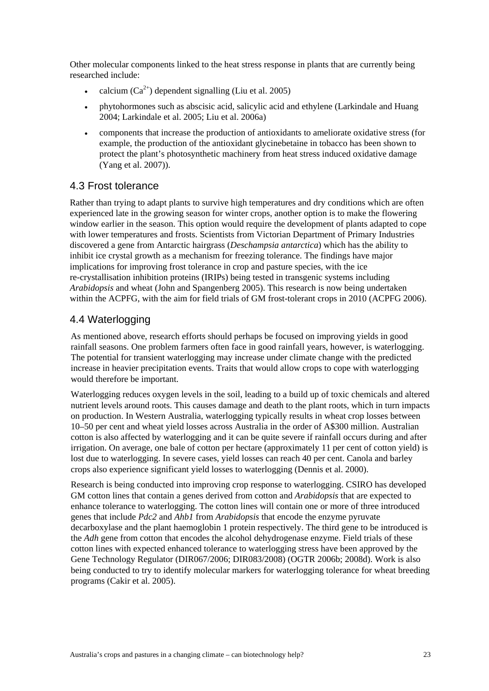<span id="page-34-0"></span>Other molecular components linked to the heat stress response in plants that are currently being researched include:

- calcium  $(Ca^{2+})$  dependent signalling (Liu et al. 2005)
- phytohormones such as abscisic acid, salicylic acid and ethylene (Larkindale and Huang 2004; Larkindale et al. 2005; Liu et al. 2006a)
- components that increase the production of antioxidants to ameliorate oxidative stress (for example, the production of the antioxidant glycinebetaine in tobacco has been shown to protect the plant's photosynthetic machinery from heat stress induced oxidative damage (Yang et al. 2007)).

#### 4.3 Frost tolerance

Rather than trying to adapt plants to survive high temperatures and dry conditions which are often experienced late in the growing season for winter crops, another option is to make the flowering window earlier in the season. This option would require the development of plants adapted to cope with lower temperatures and frosts. Scientists from Victorian Department of Primary Industries discovered a gene from Antarctic hairgrass (*Deschampsia antarctica*) which has the ability to inhibit ice crystal growth as a mechanism for freezing tolerance. The findings have major implications for improving frost tolerance in crop and pasture species, with the ice re-crystallisation inhibition proteins (IRIPs) being tested in transgenic systems including *Arabidopsis* and wheat (John and Spangenberg 2005). This research is now being undertaken within the ACPFG, with the aim for field trials of GM frost-tolerant crops in 2010 (ACPFG 2006).

### 4.4 Waterlogging

As mentioned above, research efforts should perhaps be focused on improving yields in good rainfall seasons. One problem farmers often face in good rainfall years, however, is waterlogging. The potential for transient waterlogging may increase under climate change with the predicted increase in heavier precipitation events. Traits that would allow crops to cope with waterlogging would therefore be important.

Waterlogging reduces oxygen levels in the soil, leading to a build up of toxic chemicals and altered nutrient levels around roots. This causes damage and death to the plant roots, which in turn impacts on production. In Western Australia, waterlogging typically results in wheat crop losses between 10–50 per cent and wheat yield losses across Australia in the order of A\$300 million. Australian cotton is also affected by waterlogging and it can be quite severe if rainfall occurs during and after irrigation. On average, one bale of cotton per hectare (approximately 11 per cent of cotton yield) is lost due to waterlogging. In severe cases, yield losses can reach 40 per cent. Canola and barley crops also experience significant yield losses to waterlogging (Dennis et al. 2000).

Research is being conducted into improving crop response to waterlogging. CSIRO has developed GM cotton lines that contain a genes derived from cotton and *Arabidopsis* that are expected to enhance tolerance to waterlogging. The cotton lines will contain one or more of three introduced genes that include *Pdc2* and *Ahb1* from *Arabidopsis* that encode the enzyme pyruvate decarboxylase and the plant haemoglobin 1 protein respectively. The third gene to be introduced is the *Adh* gene from cotton that encodes the alcohol dehydrogenase enzyme. Field trials of these cotton lines with expected enhanced tolerance to waterlogging stress have been approved by the Gene Technology Regulator (DIR067/2006; DIR083/2008) (OGTR 2006b; 2008d). Work is also being conducted to try to identify molecular markers for waterlogging tolerance for wheat breeding programs (Cakir et al. 2005).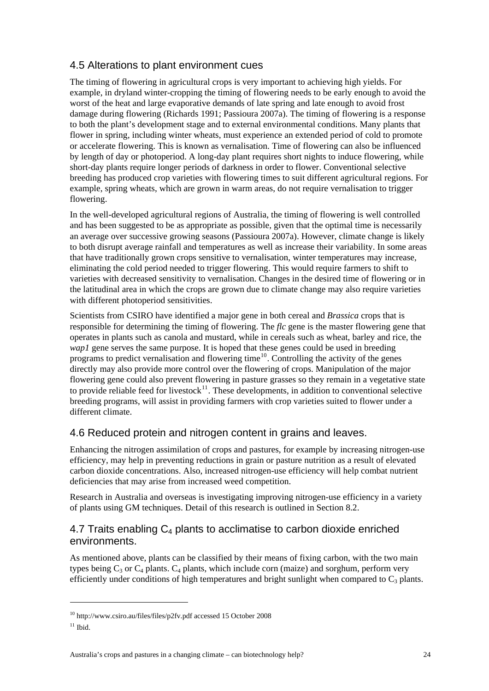## <span id="page-35-0"></span>4.5 Alterations to plant environment cues

The timing of flowering in agricultural crops is very important to achieving high yields. For example, in dryland winter-cropping the timing of flowering needs to be early enough to avoid the worst of the heat and large evaporative demands of late spring and late enough to avoid frost damage during flowering (Richards 1991; Passioura 2007a). The timing of flowering is a response to both the plant's development stage and to external environmental conditions. Many plants that flower in spring, including winter wheats, must experience an extended period of cold to promote or accelerate flowering. This is known as vernalisation. Time of flowering can also be influenced by length of day or photoperiod. A long-day plant requires short nights to induce flowering, while short-day plants require longer periods of darkness in order to flower. Conventional selective breeding has produced crop varieties with flowering times to suit different agricultural regions. For example, spring wheats, which are grown in warm areas, do not require vernalisation to trigger flowering.

In the well-developed agricultural regions of Australia, the timing of flowering is well controlled and has been suggested to be as appropriate as possible, given that the optimal time is necessarily an average over successive growing seasons (Passioura 2007a). However, climate change is likely to both disrupt average rainfall and temperatures as well as increase their variability. In some areas that have traditionally grown crops sensitive to vernalisation, winter temperatures may increase, eliminating the cold period needed to trigger flowering. This would require farmers to shift to varieties with decreased sensitivity to vernalisation. Changes in the desired time of flowering or in the latitudinal area in which the crops are grown due to climate change may also require varieties with different photoperiod sensitivities.

Scientists from CSIRO have identified a major gene in both cereal and *Brassica* crops that is responsible for determining the timing of flowering. The *flc* gene is the master flowering gene that operates in plants such as canola and mustard, while in cereals such as wheat, barley and rice, the *wap1* gene serves the same purpose. It is hoped that these genes could be used in breeding programs to predict vernalisation and flowering time<sup>[10](#page-35-1)</sup>. Controlling the activity of the genes directly may also provide more control over the flowering of crops. Manipulation of the major flowering gene could also prevent flowering in pasture grasses so they remain in a vegetative state to provide reliable feed for livestock $11$ . These developments, in addition to conventional selective breeding programs, will assist in providing farmers with crop varieties suited to flower under a different climate.

### 4.6 Reduced protein and nitrogen content in grains and leaves.

Enhancing the nitrogen assimilation of crops and pastures, for example by increasing nitrogen-use efficiency, may help in preventing reductions in grain or pasture nutrition as a result of elevated carbon dioxide concentrations. Also, increased nitrogen-use efficiency will help combat nutrient deficiencies that may arise from increased weed competition.

Research in Australia and overseas is investigating improving nitrogen-use efficiency in a variety of plants using GM techniques. Detail of this research is outlined in Section 8.2.

#### 4.7 Traits enabling  $C_4$  plants to acclimatise to carbon dioxide enriched environments.

As mentioned above, plants can be classified by their means of fixing carbon, with the two main types being  $C_3$  or  $C_4$  plants.  $C_4$  plants, which include corn (maize) and sorghum, perform very efficiently under conditions of high temperatures and bright sunlight when compared to  $C_3$  plants.

1

<span id="page-35-1"></span> $10$  http://www.csiro.au/files/files/p2fv.pdf accessed 15 October 2008

<span id="page-35-2"></span> $11$  Ibid.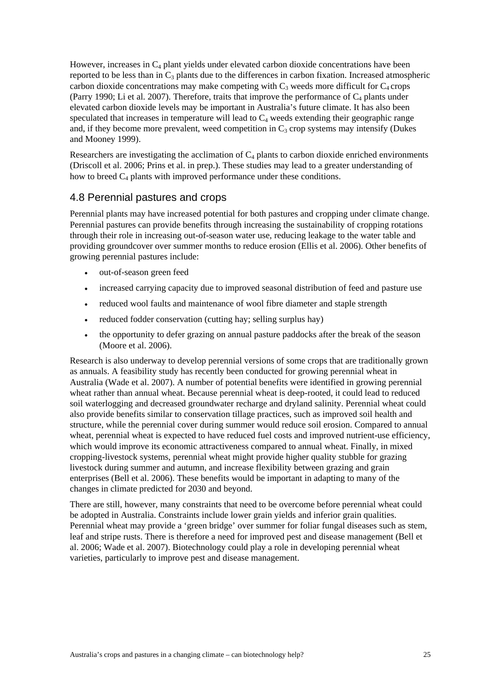However, increases in  $C_4$  plant yields under elevated carbon dioxide concentrations have been reported to be less than in  $C_3$  plants due to the differences in carbon fixation. Increased atmospheric carbon dioxide concentrations may make competing with  $C_3$  weeds more difficult for  $C_4$  crops (Parry 1990; Li et al. 2007). Therefore, traits that improve the performance of  $C_4$  plants under elevated carbon dioxide levels may be important in Australia's future climate. It has also been speculated that increases in temperature will lead to  $C_4$  weeds extending their geographic range and, if they become more prevalent, weed competition in  $C_3$  crop systems may intensify (Dukes and Mooney 1999).

Researchers are investigating the acclimation of  $C_4$  plants to carbon dioxide enriched environments (Driscoll et al. 2006; Prins et al. in prep.). These studies may lead to a greater understanding of how to breed  $C_4$  plants with improved performance under these conditions.

### 4.8 Perennial pastures and crops

Perennial plants may have increased potential for both pastures and cropping under climate change. Perennial pastures can provide benefits through increasing the sustainability of cropping rotations through their role in increasing out-of-season water use, reducing leakage to the water table and providing groundcover over summer months to reduce erosion (Ellis et al. 2006). Other benefits of growing perennial pastures include:

- out-of-season green feed
- increased carrying capacity due to improved seasonal distribution of feed and pasture use
- reduced wool faults and maintenance of wool fibre diameter and staple strength
- reduced fodder conservation (cutting hay; selling surplus hay)
- the opportunity to defer grazing on annual pasture paddocks after the break of the season (Moore et al. 2006).

Research is also underway to develop perennial versions of some crops that are traditionally grown as annuals. A feasibility study has recently been conducted for growing perennial wheat in Australia (Wade et al. 2007). A number of potential benefits were identified in growing perennial wheat rather than annual wheat. Because perennial wheat is deep-rooted, it could lead to reduced soil waterlogging and decreased groundwater recharge and dryland salinity. Perennial wheat could also provide benefits similar to conservation tillage practices, such as improved soil health and structure, while the perennial cover during summer would reduce soil erosion. Compared to annual wheat, perennial wheat is expected to have reduced fuel costs and improved nutrient-use efficiency, which would improve its economic attractiveness compared to annual wheat. Finally, in mixed cropping-livestock systems, perennial wheat might provide higher quality stubble for grazing livestock during summer and autumn, and increase flexibility between grazing and grain enterprises (Bell et al. 2006). These benefits would be important in adapting to many of the changes in climate predicted for 2030 and beyond.

There are still, however, many constraints that need to be overcome before perennial wheat could be adopted in Australia. Constraints include lower grain yields and inferior grain qualities. Perennial wheat may provide a 'green bridge' over summer for foliar fungal diseases such as stem, leaf and stripe rusts. There is therefore a need for improved pest and disease management (Bell et al. 2006; Wade et al. 2007). Biotechnology could play a role in developing perennial wheat varieties, particularly to improve pest and disease management.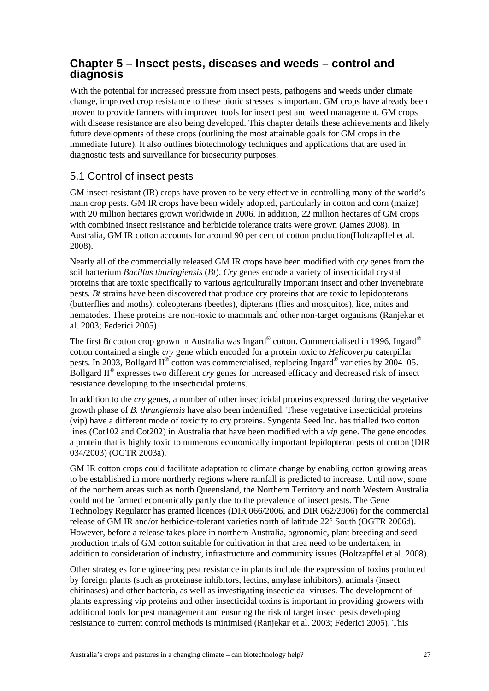### **Chapter 5 – Insect pests, diseases and weeds – control and diagnosis**

With the potential for increased pressure from insect pests, pathogens and weeds under climate change, improved crop resistance to these biotic stresses is important. GM crops have already been proven to provide farmers with improved tools for insect pest and weed management. GM crops with disease resistance are also being developed. This chapter details these achievements and likely future developments of these crops (outlining the most attainable goals for GM crops in the immediate future). It also outlines biotechnology techniques and applications that are used in diagnostic tests and surveillance for biosecurity purposes.

### 5.1 Control of insect pests

GM insect-resistant (IR) crops have proven to be very effective in controlling many of the world's main crop pests. GM IR crops have been widely adopted, particularly in cotton and corn (maize) with 20 million hectares grown worldwide in 2006. In addition, 22 million hectares of GM crops with combined insect resistance and herbicide tolerance traits were grown (James 2008). In Australia, GM IR cotton accounts for around 90 per cent of cotton production(Holtzapffel et al. 2008).

Nearly all of the commercially released GM IR crops have been modified with *cry* genes from the soil bacterium *Bacillus thuringiensis* (*Bt*). *Cry* genes encode a variety of insecticidal crystal proteins that are toxic specifically to various agriculturally important insect and other invertebrate pests. *Bt* strains have been discovered that produce cry proteins that are toxic to lepidopterans (butterflies and moths), coleopterans (beetles), dipterans (flies and mosquitos), lice, mites and nematodes. These proteins are non-toxic to mammals and other non-target organisms (Ranjekar et al. 2003; Federici 2005).

The first *Bt* cotton crop grown in Australia was Ingard<sup>®</sup> cotton. Commercialised in 1996, Ingard<sup>®</sup> cotton contained a single *cry* gene which encoded for a protein toxic to *Helicoverpa* caterpillar pests. In 2003, Bollgard II® cotton was commercialised, replacing Ingard® varieties by 2004–05. Bollgard II® expresses two different *cry* genes for increased efficacy and decreased risk of insect resistance developing to the insecticidal proteins.

In addition to the *cry* genes, a number of other insecticidal proteins expressed during the vegetative growth phase of *B. thrungiensis* have also been indentified. These vegetative insecticidal proteins (vip) have a different mode of toxicity to cry proteins. Syngenta Seed Inc. has trialled two cotton lines (Cot102 and Cot202) in Australia that have been modified with a *vip* gene. The gene encodes a protein that is highly toxic to numerous economically important lepidopteran pests of cotton (DIR 034/2003) (OGTR 2003a).

GM IR cotton crops could facilitate adaptation to climate change by enabling cotton growing areas to be established in more northerly regions where rainfall is predicted to increase. Until now, some of the northern areas such as north Queensland, the Northern Territory and north Western Australia could not be farmed economically partly due to the prevalence of insect pests. The Gene Technology Regulator has granted licences (DIR 066/2006, and DIR 062/2006) for the commercial release of GM IR and/or herbicide-tolerant varieties north of latitude 22° South (OGTR 2006d). However, before a release takes place in northern Australia, agronomic, plant breeding and seed production trials of GM cotton suitable for cultivation in that area need to be undertaken, in addition to consideration of industry, infrastructure and community issues (Holtzapffel et al. 2008).

Other strategies for engineering pest resistance in plants include the expression of toxins produced by foreign plants (such as proteinase inhibitors, lectins, amylase inhibitors), animals (insect chitinases) and other bacteria, as well as investigating insecticidal viruses. The development of plants expressing vip proteins and other insecticidal toxins is important in providing growers with additional tools for pest management and ensuring the risk of target insect pests developing resistance to current control methods is minimised (Ranjekar et al. 2003; Federici 2005). This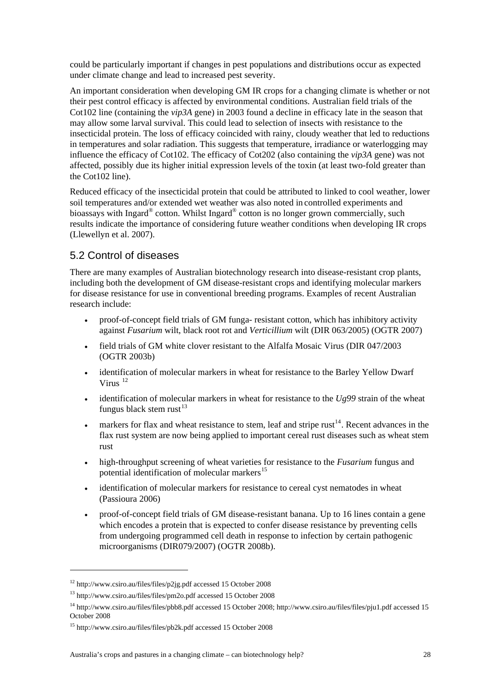could be particularly important if changes in pest populations and distributions occur as expected under climate change and lead to increased pest severity.

An important consideration when developing GM IR crops for a changing climate is whether or not their pest control efficacy is affected by environmental conditions. Australian field trials of the Cot102 line (containing the *vip3A* gene) in 2003 found a decline in efficacy late in the season that may allow some larval survival. This could lead to selection of insects with resistance to the insecticidal protein. The loss of efficacy coincided with rainy, cloudy weather that led to reductions in temperatures and solar radiation. This suggests that temperature, irradiance or waterlogging may influence the efficacy of Cot102. The efficacy of Cot202 (also containing the *vip3A* gene) was not affected, possibly due its higher initial expression levels of the toxin (at least two-fold greater than the Cot102 line).

Reduced efficacy of the insecticidal protein that could be attributed to linked to cool weather, lower soil temperatures and/or extended wet weather was also noted in controlled experiments and bioassays with Ingard<sup>®</sup> cotton. Whilst Ingard<sup>®</sup> cotton is no longer grown commercially, such results indicate the importance of considering future weather conditions when developing IR crops (Llewellyn et al. 2007).

### 5.2 Control of diseases

There are many examples of Australian biotechnology research into disease-resistant crop plants, including both the development of GM disease-resistant crops and identifying molecular markers for disease resistance for use in conventional breeding programs. Examples of recent Australian research include:

- proof-of-concept field trials of GM funga- resistant cotton, which has inhibitory activity against *Fusarium* wilt, black root rot and *Verticillium* wilt (DIR 063/2005) (OGTR 2007)
- field trials of GM white clover resistant to the Alfalfa Mosaic Virus (DIR 047/2003 (OGTR 2003b)
- identification of molecular markers in wheat for resistance to the Barley Yellow Dwarf Virus [12](#page-39-0)
- identification of molecular markers in wheat for resistance to the  $Ug99$  strain of the wheat fungus black stem rust<sup>[13](#page-39-1)</sup>
- markers for flax and wheat resistance to stem, leaf and stripe rust<sup>[14](#page-39-2)</sup>. Recent advances in the flax rust system are now being applied to important cereal rust diseases such as wheat stem rust
- high-throughput screening of wheat varieties for resistance to the *Fusarium* fungus and potential identification of molecular markers<sup>[15](#page-39-3)</sup>
- identification of molecular markers for resistance to cereal cyst nematodes in wheat (Passioura 2006)
- proof-of-concept field trials of GM disease-resistant banana. Up to 16 lines contain a gene which encodes a protein that is expected to confer disease resistance by preventing cells from undergoing programmed cell death in response to infection by certain pathogenic microorganisms (DIR079/2007) (OGTR 2008b).

<u>.</u>

<span id="page-39-0"></span><sup>12</sup> http://www.csiro.au/files/files/p2jg.pdf accessed 15 October 2008

<span id="page-39-1"></span><sup>13</sup> http://www.csiro.au/files/files/pm2o.pdf accessed 15 October 2008

<span id="page-39-2"></span><sup>14</sup> http://www.csiro.au/files/files/pbb8.pdf accessed 15 October 2008; http://www.csiro.au/files/files/pju1.pdf accessed 15 October 2008

<span id="page-39-3"></span><sup>15</sup> http://www.csiro.au/files/files/pb2k.pdf accessed 15 October 2008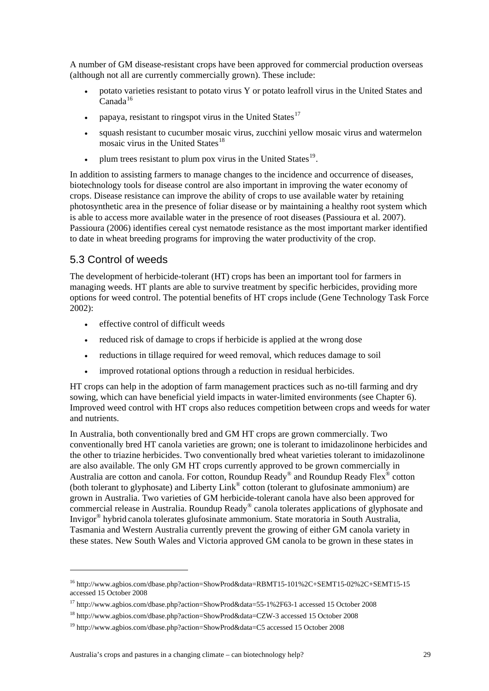A number of GM disease-resistant crops have been approved for commercial production overseas (although not all are currently commercially grown). These include:

- potato varieties resistant to potato virus Y or potato leafroll virus in the United States and  $Canada^{16}$  $Canada^{16}$  $Canada^{16}$
- papaya, resistant to ringspot virus in the United States<sup>[17](#page-40-1)</sup>
- squash resistant to cucumber mosaic virus, zucchini yellow mosaic virus and watermelon mosaic virus in the United States $^{18}$  $^{18}$  $^{18}$
- plum trees resistant to plum pox virus in the United States $^{19}$  $^{19}$  $^{19}$ .

In addition to assisting farmers to manage changes to the incidence and occurrence of diseases, biotechnology tools for disease control are also important in improving the water economy of crops. Disease resistance can improve the ability of crops to use available water by retaining photosynthetic area in the presence of foliar disease or by maintaining a healthy root system which is able to access more available water in the presence of root diseases (Passioura et al. 2007). Passioura (2006) identifies cereal cyst nematode resistance as the most important marker identified to date in wheat breeding programs for improving the water productivity of the crop.

### 5.3 Control of weeds

1

The development of herbicide-tolerant (HT) crops has been an important tool for farmers in managing weeds. HT plants are able to survive treatment by specific herbicides, providing more options for weed control. The potential benefits of HT crops include (Gene Technology Task Force 2002):

- effective control of difficult weeds
- reduced risk of damage to crops if herbicide is applied at the wrong dose
- reductions in tillage required for weed removal, which reduces damage to soil
- improved rotational options through a reduction in residual herbicides.

HT crops can help in the adoption of farm management practices such as no-till farming and dry sowing, which can have beneficial yield impacts in water-limited environments (see Chapter 6). Improved weed control with HT crops also reduces competition between crops and weeds for water and nutrients.

In Australia, both conventionally bred and GM HT crops are grown commercially. Two conventionally bred HT canola varieties are grown; one is tolerant to imidazolinone herbicides and the other to triazine herbicides. Two conventionally bred wheat varieties tolerant to imidazolinone are also available. The only GM HT crops currently approved to be grown commercially in Australia are cotton and canola. For cotton, Roundup Ready® and Roundup Ready Flex® cotton (both tolerant to glyphosate) and Liberty Link® cotton (tolerant to glufosinate ammonium) are grown in Australia. Two varieties of GM herbicide-tolerant canola have also been approved for commercial release in Australia. Roundup Ready® canola tolerates applications of glyphosate and Invigor® hybrid canola tolerates glufosinate ammonium. State moratoria in South Australia, Tasmania and Western Australia currently prevent the growing of either GM canola variety in these states. New South Wales and Victoria approved GM canola to be grown in these states in

<span id="page-40-0"></span><sup>16</sup> http://www.agbios.com/dbase.php?action=ShowProd&data=RBMT15-101%2C+SEMT15-02%2C+SEMT15-15 accessed 15 October 2008

<sup>17</sup> http://www.agbios.com/dbase.php?action=ShowProd&data=55-1%2F63-1 accessed 15 October 2008

<span id="page-40-2"></span><span id="page-40-1"></span><sup>18</sup> http://www.agbios.com/dbase.php?action=ShowProd&data=CZW-3 accessed 15 October 2008

<span id="page-40-3"></span><sup>19</sup> http://www.agbios.com/dbase.php?action=ShowProd&data=C5 accessed 15 October 2008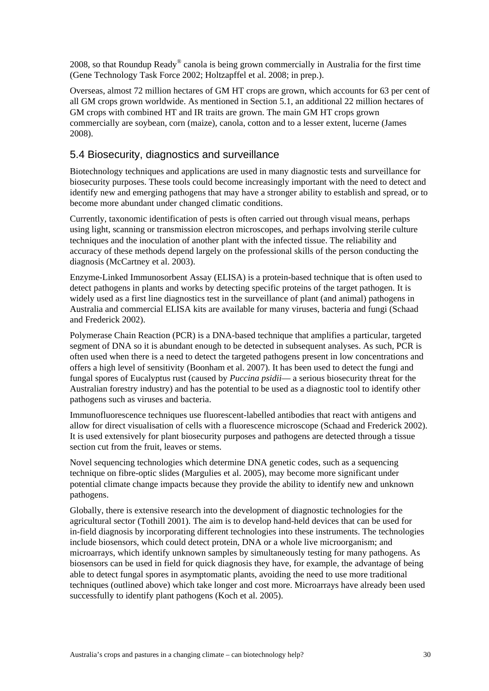2008, so that Roundup Ready® canola is being grown commercially in Australia for the first time (Gene Technology Task Force 2002; Holtzapffel et al. 2008; in prep.).

Overseas, almost 72 million hectares of GM HT crops are grown, which accounts for 63 per cent of all GM crops grown worldwide. As mentioned in Section 5.1, an additional 22 million hectares of GM crops with combined HT and IR traits are grown. The main GM HT crops grown commercially are soybean, corn (maize), canola, cotton and to a lesser extent, lucerne (James 2008).

### 5.4 Biosecurity, diagnostics and surveillance

Biotechnology techniques and applications are used in many diagnostic tests and surveillance for biosecurity purposes. These tools could become increasingly important with the need to detect and identify new and emerging pathogens that may have a stronger ability to establish and spread, or to become more abundant under changed climatic conditions.

Currently, taxonomic identification of pests is often carried out through visual means, perhaps using light, scanning or transmission electron microscopes, and perhaps involving sterile culture techniques and the inoculation of another plant with the infected tissue. The reliability and accuracy of these methods depend largely on the professional skills of the person conducting the diagnosis (McCartney et al. 2003).

Enzyme-Linked Immunosorbent Assay (ELISA) is a protein-based technique that is often used to detect pathogens in plants and works by detecting specific proteins of the target pathogen. It is widely used as a first line diagnostics test in the surveillance of plant (and animal) pathogens in Australia and commercial ELISA kits are available for many viruses, bacteria and fungi (Schaad and Frederick 2002).

Polymerase Chain Reaction (PCR) is a DNA-based technique that amplifies a particular, targeted segment of DNA so it is abundant enough to be detected in subsequent analyses. As such, PCR is often used when there is a need to detect the targeted pathogens present in low concentrations and offers a high level of sensitivity (Boonham et al. 2007). It has been used to detect the fungi and fungal spores of Eucalyptus rust (caused by *Puccina psidii*— a serious biosecurity threat for the Australian forestry industry) and has the potential to be used as a diagnostic tool to identify other pathogens such as viruses and bacteria.

Immunofluorescence techniques use fluorescent-labelled antibodies that react with antigens and allow for direct visualisation of cells with a fluorescence microscope (Schaad and Frederick 2002). It is used extensively for plant biosecurity purposes and pathogens are detected through a tissue section cut from the fruit, leaves or stems.

Novel sequencing technologies which determine DNA genetic codes, such as a sequencing technique on fibre-optic slides (Margulies et al. 2005), may become more significant under potential climate change impacts because they provide the ability to identify new and unknown pathogens.

Globally, there is extensive research into the development of diagnostic technologies for the agricultural sector (Tothill 2001). The aim is to develop hand-held devices that can be used for in-field diagnosis by incorporating different technologies into these instruments. The technologies include biosensors, which could detect protein, DNA or a whole live microorganism; and microarrays, which identify unknown samples by simultaneously testing for many pathogens. As biosensors can be used in field for quick diagnosis they have, for example, the advantage of being able to detect fungal spores in asymptomatic plants, avoiding the need to use more traditional techniques (outlined above) which take longer and cost more. Microarrays have already been used successfully to identify plant pathogens (Koch et al. 2005).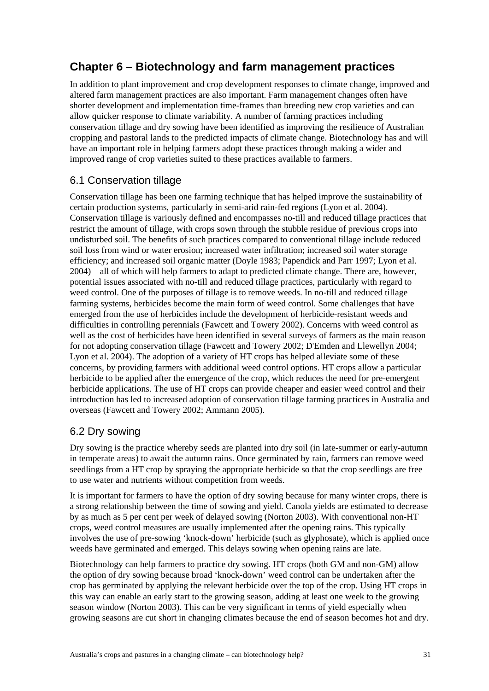## **Chapter 6 – Biotechnology and farm management practices**

In addition to plant improvement and crop development responses to climate change, improved and altered farm management practices are also important. Farm management changes often have shorter development and implementation time-frames than breeding new crop varieties and can allow quicker response to climate variability. A number of farming practices including conservation tillage and dry sowing have been identified as improving the resilience of Australian cropping and pastoral lands to the predicted impacts of climate change. Biotechnology has and will have an important role in helping farmers adopt these practices through making a wider and improved range of crop varieties suited to these practices available to farmers.

### 6.1 Conservation tillage

Conservation tillage has been one farming technique that has helped improve the sustainability of certain production systems, particularly in semi-arid rain-fed regions (Lyon et al. 2004). Conservation tillage is variously defined and encompasses no-till and reduced tillage practices that restrict the amount of tillage, with crops sown through the stubble residue of previous crops into undisturbed soil. The benefits of such practices compared to conventional tillage include reduced soil loss from wind or water erosion; increased water infiltration; increased soil water storage efficiency; and increased soil organic matter (Doyle 1983; Papendick and Parr 1997; Lyon et al. 2004)—all of which will help farmers to adapt to predicted climate change. There are, however, potential issues associated with no-till and reduced tillage practices, particularly with regard to weed control. One of the purposes of tillage is to remove weeds. In no-till and reduced tillage farming systems, herbicides become the main form of weed control. Some challenges that have emerged from the use of herbicides include the development of herbicide-resistant weeds and difficulties in controlling perennials (Fawcett and Towery 2002). Concerns with weed control as well as the cost of herbicides have been identified in several surveys of farmers as the main reason for not adopting conservation tillage (Fawcett and Towery 2002; D'Emden and Llewellyn 2004; Lyon et al. 2004). The adoption of a variety of HT crops has helped alleviate some of these concerns, by providing farmers with additional weed control options. HT crops allow a particular herbicide to be applied after the emergence of the crop, which reduces the need for pre-emergent herbicide applications. The use of HT crops can provide cheaper and easier weed control and their introduction has led to increased adoption of conservation tillage farming practices in Australia and overseas (Fawcett and Towery 2002; Ammann 2005).

### 6.2 Dry sowing

Dry sowing is the practice whereby seeds are planted into dry soil (in late-summer or early-autumn in temperate areas) to await the autumn rains. Once germinated by rain, farmers can remove weed seedlings from a HT crop by spraying the appropriate herbicide so that the crop seedlings are free to use water and nutrients without competition from weeds.

It is important for farmers to have the option of dry sowing because for many winter crops, there is a strong relationship between the time of sowing and yield. Canola yields are estimated to decrease by as much as 5 per cent per week of delayed sowing (Norton 2003). With conventional non-HT crops, weed control measures are usually implemented after the opening rains. This typically involves the use of pre-sowing 'knock-down' herbicide (such as glyphosate), which is applied once weeds have germinated and emerged. This delays sowing when opening rains are late.

Biotechnology can help farmers to practice dry sowing. HT crops (both GM and non-GM) allow the option of dry sowing because broad 'knock-down' weed control can be undertaken after the crop has germinated by applying the relevant herbicide over the top of the crop. Using HT crops in this way can enable an early start to the growing season, adding at least one week to the growing season window (Norton 2003). This can be very significant in terms of yield especially when growing seasons are cut short in changing climates because the end of season becomes hot and dry.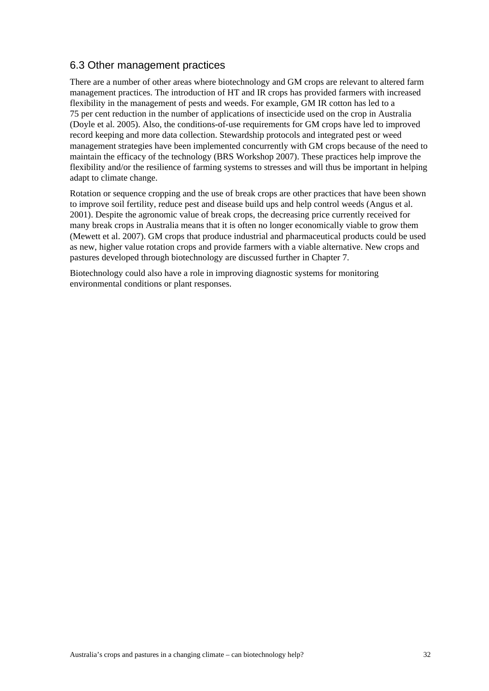### 6.3 Other management practices

There are a number of other areas where biotechnology and GM crops are relevant to altered farm management practices. The introduction of HT and IR crops has provided farmers with increased flexibility in the management of pests and weeds. For example, GM IR cotton has led to a 75 per cent reduction in the number of applications of insecticide used on the crop in Australia (Doyle et al. 2005). Also, the conditions-of-use requirements for GM crops have led to improved record keeping and more data collection. Stewardship protocols and integrated pest or weed management strategies have been implemented concurrently with GM crops because of the need to maintain the efficacy of the technology (BRS Workshop 2007). These practices help improve the flexibility and/or the resilience of farming systems to stresses and will thus be important in helping adapt to climate change.

Rotation or sequence cropping and the use of break crops are other practices that have been shown to improve soil fertility, reduce pest and disease build ups and help control weeds (Angus et al. 2001). Despite the agronomic value of break crops, the decreasing price currently received for many break crops in Australia means that it is often no longer economically viable to grow them (Mewett et al. 2007). GM crops that produce industrial and pharmaceutical products could be used as new, higher value rotation crops and provide farmers with a viable alternative. New crops and pastures developed through biotechnology are discussed further in Chapter 7.

Biotechnology could also have a role in improving diagnostic systems for monitoring environmental conditions or plant responses.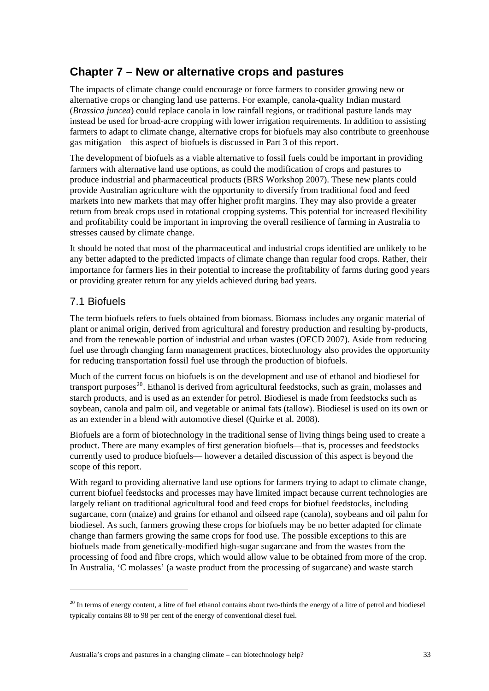### **Chapter 7 – New or alternative crops and pastures**

The impacts of climate change could encourage or force farmers to consider growing new or alternative crops or changing land use patterns. For example, canola-quality Indian mustard (*Brassica juncea*) could replace canola in low rainfall regions, or traditional pasture lands may instead be used for broad-acre cropping with lower irrigation requirements. In addition to assisting farmers to adapt to climate change, alternative crops for biofuels may also contribute to greenhouse gas mitigation—this aspect of biofuels is discussed in Part 3 of this report.

The development of biofuels as a viable alternative to fossil fuels could be important in providing farmers with alternative land use options, as could the modification of crops and pastures to produce industrial and pharmaceutical products (BRS Workshop 2007). These new plants could provide Australian agriculture with the opportunity to diversify from traditional food and feed markets into new markets that may offer higher profit margins. They may also provide a greater return from break crops used in rotational cropping systems. This potential for increased flexibility and profitability could be important in improving the overall resilience of farming in Australia to stresses caused by climate change.

It should be noted that most of the pharmaceutical and industrial crops identified are unlikely to be any better adapted to the predicted impacts of climate change than regular food crops. Rather, their importance for farmers lies in their potential to increase the profitability of farms during good years or providing greater return for any yields achieved during bad years.

### 7.1 Biofuels

<u>.</u>

The term biofuels refers to fuels obtained from biomass. Biomass includes any organic material of plant or animal origin, derived from agricultural and forestry production and resulting by-products, and from the renewable portion of industrial and urban wastes (OECD 2007). Aside from reducing fuel use through changing farm management practices, biotechnology also provides the opportunity for reducing transportation fossil fuel use through the production of biofuels.

Much of the current focus on biofuels is on the development and use of ethanol and biodiesel for transport purposes<sup>[20](#page-44-0)</sup>. Ethanol is derived from agricultural feedstocks, such as grain, molasses and starch products, and is used as an extender for petrol. Biodiesel is made from feedstocks such as soybean, canola and palm oil, and vegetable or animal fats (tallow). Biodiesel is used on its own or as an extender in a blend with automotive diesel (Quirke et al. 2008).

Biofuels are a form of biotechnology in the traditional sense of living things being used to create a product. There are many examples of first generation biofuels—that is, processes and feedstocks currently used to produce biofuels— however a detailed discussion of this aspect is beyond the scope of this report.

With regard to providing alternative land use options for farmers trying to adapt to climate change, current biofuel feedstocks and processes may have limited impact because current technologies are largely reliant on traditional agricultural food and feed crops for biofuel feedstocks, including sugarcane, corn (maize) and grains for ethanol and oilseed rape (canola), soybeans and oil palm for biodiesel. As such, farmers growing these crops for biofuels may be no better adapted for climate change than farmers growing the same crops for food use. The possible exceptions to this are biofuels made from genetically-modified high-sugar sugarcane and from the wastes from the processing of food and fibre crops, which would allow value to be obtained from more of the crop. In Australia, 'C molasses' (a waste product from the processing of sugarcane) and waste starch

<span id="page-44-0"></span> $^{20}$  In terms of energy content, a litre of fuel ethanol contains about two-thirds the energy of a litre of petrol and biodiesel typically contains 88 to 98 per cent of the energy of conventional diesel fuel.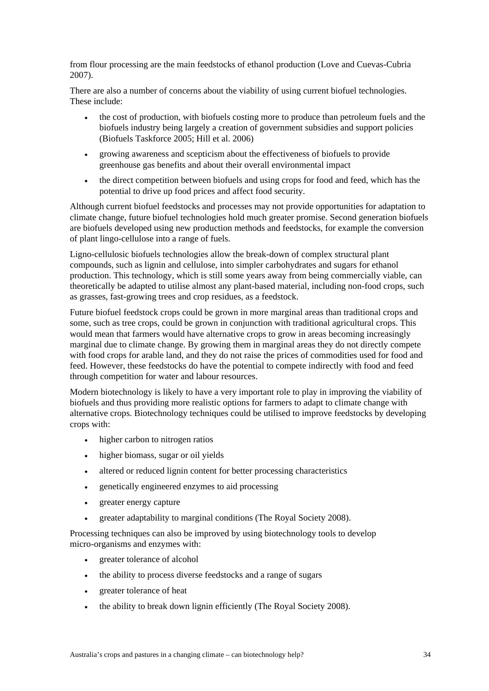from flour processing are the main feedstocks of ethanol production (Love and Cuevas-Cubria 2007).

There are also a number of concerns about the viability of using current biofuel technologies. These include:

- the cost of production, with biofuels costing more to produce than petroleum fuels and the biofuels industry being largely a creation of government subsidies and support policies (Biofuels Taskforce 2005; Hill et al. 2006)
- growing awareness and scepticism about the effectiveness of biofuels to provide greenhouse gas benefits and about their overall environmental impact
- the direct competition between biofuels and using crops for food and feed, which has the potential to drive up food prices and affect food security.

Although current biofuel feedstocks and processes may not provide opportunities for adaptation to climate change, future biofuel technologies hold much greater promise. Second generation biofuels are biofuels developed using new production methods and feedstocks, for example the conversion of plant lingo-cellulose into a range of fuels.

Ligno-cellulosic biofuels technologies allow the break-down of complex structural plant compounds, such as lignin and cellulose, into simpler carbohydrates and sugars for ethanol production. This technology, which is still some years away from being commercially viable, can theoretically be adapted to utilise almost any plant-based material, including non-food crops, such as grasses, fast-growing trees and crop residues, as a feedstock.

Future biofuel feedstock crops could be grown in more marginal areas than traditional crops and some, such as tree crops, could be grown in conjunction with traditional agricultural crops. This would mean that farmers would have alternative crops to grow in areas becoming increasingly marginal due to climate change. By growing them in marginal areas they do not directly compete with food crops for arable land, and they do not raise the prices of commodities used for food and feed. However, these feedstocks do have the potential to compete indirectly with food and feed through competition for water and labour resources.

Modern biotechnology is likely to have a very important role to play in improving the viability of biofuels and thus providing more realistic options for farmers to adapt to climate change with alternative crops. Biotechnology techniques could be utilised to improve feedstocks by developing crops with:

- higher carbon to nitrogen ratios
- higher biomass, sugar or oil yields
- altered or reduced lignin content for better processing characteristics
- genetically engineered enzymes to aid processing
- greater energy capture
- greater adaptability to marginal conditions (The Royal Society 2008).

Processing techniques can also be improved by using biotechnology tools to develop micro-organisms and enzymes with:

- greater tolerance of alcohol
- the ability to process diverse feedstocks and a range of sugars
- greater tolerance of heat
- the ability to break down lignin efficiently (The Royal Society 2008).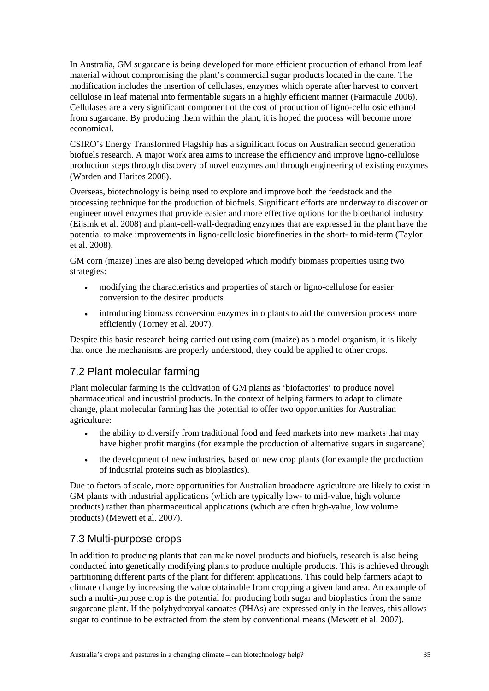In Australia, GM sugarcane is being developed for more efficient production of ethanol from leaf material without compromising the plant's commercial sugar products located in the cane. The modification includes the insertion of cellulases, enzymes which operate after harvest to convert cellulose in leaf material into fermentable sugars in a highly efficient manner (Farmacule 2006). Cellulases are a very significant component of the cost of production of ligno-cellulosic ethanol from sugarcane. By producing them within the plant, it is hoped the process will become more economical.

CSIRO's Energy Transformed Flagship has a significant focus on Australian second generation biofuels research. A major work area aims to increase the efficiency and improve ligno-cellulose production steps through discovery of novel enzymes and through engineering of existing enzymes (Warden and Haritos 2008).

Overseas, biotechnology is being used to explore and improve both the feedstock and the processing technique for the production of biofuels. Significant efforts are underway to discover or engineer novel enzymes that provide easier and more effective options for the bioethanol industry (Eijsink et al. 2008) and plant-cell-wall-degrading enzymes that are expressed in the plant have the potential to make improvements in ligno-cellulosic biorefineries in the short- to mid-term (Taylor et al. 2008).

GM corn (maize) lines are also being developed which modify biomass properties using two strategies:

- modifying the characteristics and properties of starch or ligno-cellulose for easier conversion to the desired products
- introducing biomass conversion enzymes into plants to aid the conversion process more efficiently (Torney et al. 2007).

Despite this basic research being carried out using corn (maize) as a model organism, it is likely that once the mechanisms are properly understood, they could be applied to other crops.

#### 7.2 Plant molecular farming

Plant molecular farming is the cultivation of GM plants as 'biofactories' to produce novel pharmaceutical and industrial products. In the context of helping farmers to adapt to climate change, plant molecular farming has the potential to offer two opportunities for Australian agriculture:

- the ability to diversify from traditional food and feed markets into new markets that may have higher profit margins (for example the production of alternative sugars in sugarcane)
- the development of new industries, based on new crop plants (for example the production of industrial proteins such as bioplastics).

Due to factors of scale, more opportunities for Australian broadacre agriculture are likely to exist in GM plants with industrial applications (which are typically low- to mid-value, high volume products) rather than pharmaceutical applications (which are often high-value, low volume products) (Mewett et al. 2007).

### 7.3 Multi-purpose crops

In addition to producing plants that can make novel products and biofuels, research is also being conducted into genetically modifying plants to produce multiple products. This is achieved through partitioning different parts of the plant for different applications. This could help farmers adapt to climate change by increasing the value obtainable from cropping a given land area. An example of such a multi-purpose crop is the potential for producing both sugar and bioplastics from the same sugarcane plant. If the polyhydroxyalkanoates (PHAs) are expressed only in the leaves, this allows sugar to continue to be extracted from the stem by conventional means (Mewett et al. 2007).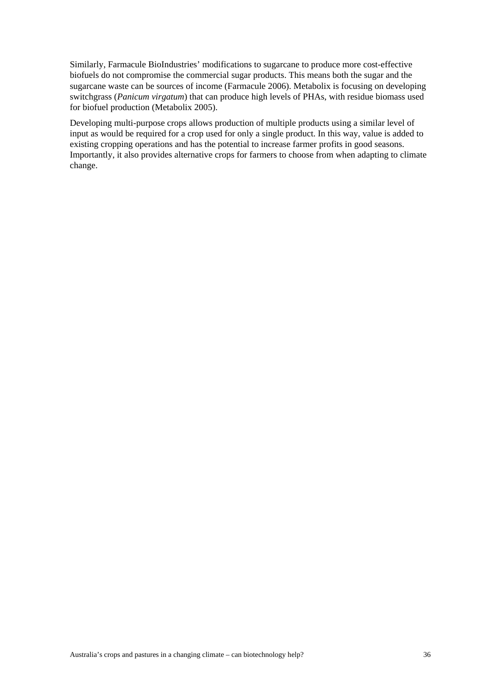Similarly, Farmacule BioIndustries' modifications to sugarcane to produce more cost-effective biofuels do not compromise the commercial sugar products. This means both the sugar and the sugarcane waste can be sources of income (Farmacule 2006). Metabolix is focusing on developing switchgrass (*Panicum virgatum*) that can produce high levels of PHAs, with residue biomass used for biofuel production (Metabolix 2005).

Developing multi-purpose crops allows production of multiple products using a similar level of input as would be required for a crop used for only a single product. In this way, value is added to existing cropping operations and has the potential to increase farmer profits in good seasons. Importantly, it also provides alternative crops for farmers to choose from when adapting to climate change.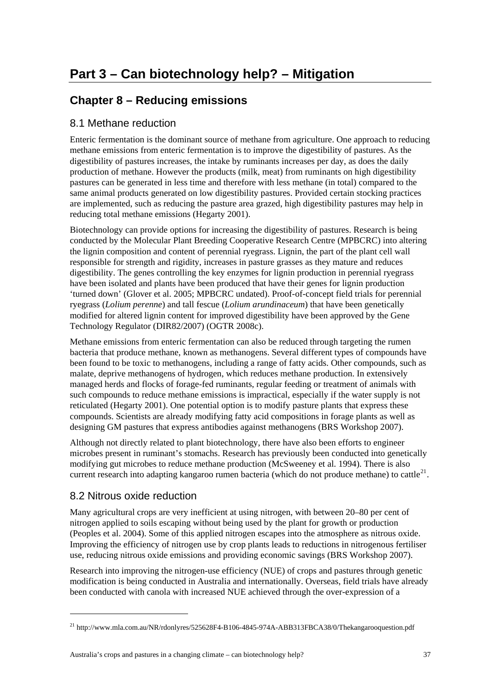# **Chapter 8 – Reducing emissions**

### 8.1 Methane reduction

Enteric fermentation is the dominant source of methane from agriculture. One approach to reducing methane emissions from enteric fermentation is to improve the digestibility of pastures. As the digestibility of pastures increases, the intake by ruminants increases per day, as does the daily production of methane. However the products (milk, meat) from ruminants on high digestibility pastures can be generated in less time and therefore with less methane (in total) compared to the same animal products generated on low digestibility pastures. Provided certain stocking practices are implemented, such as reducing the pasture area grazed, high digestibility pastures may help in reducing total methane emissions (Hegarty 2001).

Biotechnology can provide options for increasing the digestibility of pastures. Research is being conducted by the Molecular Plant Breeding Cooperative Research Centre (MPBCRC) into altering the lignin composition and content of perennial ryegrass. Lignin, the part of the plant cell wall responsible for strength and rigidity, increases in pasture grasses as they mature and reduces digestibility. The genes controlling the key enzymes for lignin production in perennial ryegrass have been isolated and plants have been produced that have their genes for lignin production 'turned down' (Glover et al. 2005; MPBCRC undated). Proof-of-concept field trials for perennial ryegrass (*Lolium perenne*) and tall fescue (*Lolium arundinaceum*) that have been genetically modified for altered lignin content for improved digestibility have been approved by the Gene Technology Regulator (DIR82/2007) (OGTR 2008c).

Methane emissions from enteric fermentation can also be reduced through targeting the rumen bacteria that produce methane, known as methanogens. Several different types of compounds have been found to be toxic to methanogens, including a range of fatty acids. Other compounds, such as malate, deprive methanogens of hydrogen, which reduces methane production. In extensively managed herds and flocks of forage-fed ruminants, regular feeding or treatment of animals with such compounds to reduce methane emissions is impractical, especially if the water supply is not reticulated (Hegarty 2001). One potential option is to modify pasture plants that express these compounds. Scientists are already modifying fatty acid compositions in forage plants as well as designing GM pastures that express antibodies against methanogens (BRS Workshop 2007).

Although not directly related to plant biotechnology, there have also been efforts to engineer microbes present in ruminant's stomachs. Research has previously been conducted into genetically modifying gut microbes to reduce methane production (McSweeney et al. 1994). There is also current research into adapting kangaroo rumen bacteria (which do not produce methane) to cattle<sup>[21](#page-48-0)</sup>.

### 8.2 Nitrous oxide reduction

-

Many agricultural crops are very inefficient at using nitrogen, with between 20–80 per cent of nitrogen applied to soils escaping without being used by the plant for growth or production (Peoples et al. 2004). Some of this applied nitrogen escapes into the atmosphere as nitrous oxide. Improving the efficiency of nitrogen use by crop plants leads to reductions in nitrogenous fertiliser use, reducing nitrous oxide emissions and providing economic savings (BRS Workshop 2007).

Research into improving the nitrogen-use efficiency (NUE) of crops and pastures through genetic modification is being conducted in Australia and internationally. Overseas, field trials have already been conducted with canola with increased NUE achieved through the over-expression of a

<span id="page-48-0"></span><sup>&</sup>lt;sup>21</sup> http://www.mla.com.au/NR/rdonlyres/525628F4-B106-4845-974A-ABB313FBCA38/0/Thekangarooquestion.pdf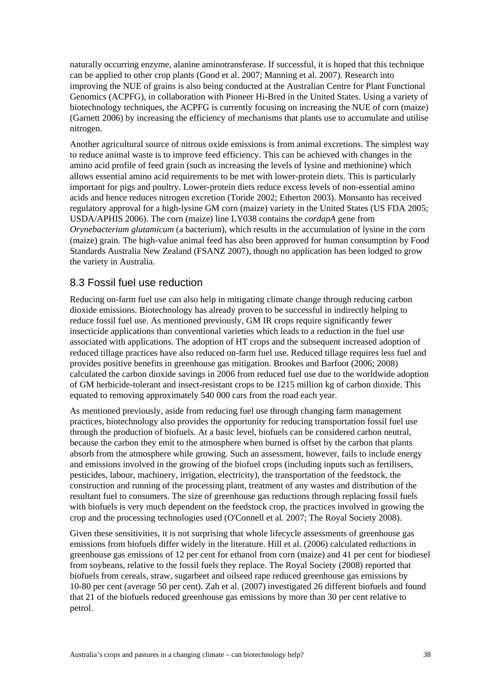naturally occurring enzyme, alanine aminotransferase. If successful, it is hoped that this technique can be applied to other crop plants (Good et al. 2007; Manning et al. 2007). Research into improving the NUE of grains is also being conducted at the Australian Centre for Plant Functional Genomics (ACPFG), in collaboration with Pioneer Hi-Bred in the United States. Using a variety of biotechnology techniques, the ACPFG is currently focusing on increasing the NUE of corn (maize) (Garnett 2006) by increasing the efficiency of mechanisms that plants use to accumulate and utilise nitrogen.

Another agricultural source of nitrous oxide emissions is from animal excretions. The simplest way to reduce animal waste is to improve feed efficiency. This can be achieved with changes in the amino acid profile of feed grain (such as increasing the levels of lysine and methionine) which allows essential amino acid requirements to be met with lower-protein diets. This is particularly important for pigs and poultry. Lower-protein diets reduce excess levels of non-essential amino acids and hence reduces nitrogen excretion (Toride 2002; Etherton 2003). Monsanto has received regulatory approval for a high-lysine GM corn (maize) variety in the United States (US FDA 2005; USDA/APHIS 2006). The corn (maize) line LY038 contains the *cordapA* gene from *Orynebacterium glutamicum* (a bacterium), which results in the accumulation of lysine in the corn (maize) grain. The high-value animal feed has also been approved for human consumption by Food Standards Australia New Zealand (FSANZ 2007), though no application has been lodged to grow the variety in Australia.

#### 8.3 Fossil fuel use reduction

Reducing on-farm fuel use can also help in mitigating climate change through reducing carbon dioxide emissions. Biotechnology has already proven to be successful in indirectly helping to reduce fossil fuel use. As mentioned previously, GM IR crops require significantly fewer insecticide applications than conventional varieties which leads to a reduction in the fuel use associated with applications. The adoption of HT crops and the subsequent increased adoption of reduced tillage practices have also reduced on-farm fuel use. Reduced tillage requires less fuel and provides positive benefits in greenhouse gas mitigation. Brookes and Barfoot (2006; 2008) calculated the carbon dioxide savings in 2006 from reduced fuel use due to the worldwide adoption of GM herbicide-tolerant and insect-resistant crops to be 1215 million kg of carbon dioxide. This equated to removing approximately 540 000 cars from the road each year.

As mentioned previously, aside from reducing fuel use through changing farm management practices, biotechnology also provides the opportunity for reducing transportation fossil fuel use through the production of biofuels. At a basic level, biofuels can be considered carbon neutral, because the carbon they emit to the atmosphere when burned is offset by the carbon that plants absorb from the atmosphere while growing. Such an assessment, however, fails to include energy and emissions involved in the growing of the biofuel crops (including inputs such as fertilisers, pesticides, labour, machinery, irrigation, electricity), the transportation of the feedstock, the construction and running of the processing plant, treatment of any wastes and distribution of the resultant fuel to consumers. The size of greenhouse gas reductions through replacing fossil fuels with biofuels is very much dependent on the feedstock crop, the practices involved in growing the crop and the processing technologies used (O'Connell et al. 2007; The Royal Society 2008).

Given these sensitivities, it is not surprising that whole lifecycle assessments of greenhouse gas emissions from biofuels differ widely in the literature. Hill et al. (2006) calculated reductions in greenhouse gas emissions of 12 per cent for ethanol from corn (maize) and 41 per cent for biodiesel from soybeans, relative to the fossil fuels they replace. The Royal Society (2008) reported that biofuels from cereals, straw, sugarbeet and oilseed rape reduced greenhouse gas emissions by 10-80 per cent (average 50 per cent). Zah et al. (2007) investigated 26 different biofuels and found that 21 of the biofuels reduced greenhouse gas emissions by more than 30 per cent relative to petrol.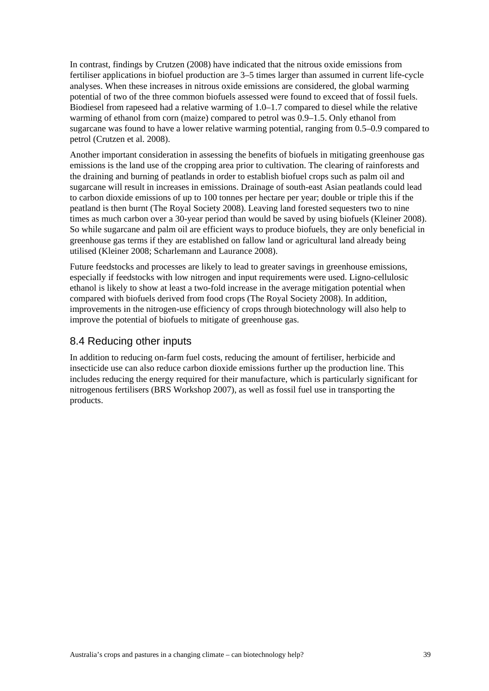In contrast, findings by Crutzen (2008) have indicated that the nitrous oxide emissions from fertiliser applications in biofuel production are 3–5 times larger than assumed in current life-cycle analyses. When these increases in nitrous oxide emissions are considered, the global warming potential of two of the three common biofuels assessed were found to exceed that of fossil fuels. Biodiesel from rapeseed had a relative warming of 1.0–1.7 compared to diesel while the relative warming of ethanol from corn (maize) compared to petrol was 0.9–1.5. Only ethanol from sugarcane was found to have a lower relative warming potential, ranging from 0.5–0.9 compared to petrol (Crutzen et al. 2008).

Another important consideration in assessing the benefits of biofuels in mitigating greenhouse gas emissions is the land use of the cropping area prior to cultivation. The clearing of rainforests and the draining and burning of peatlands in order to establish biofuel crops such as palm oil and sugarcane will result in increases in emissions. Drainage of south-east Asian peatlands could lead to carbon dioxide emissions of up to 100 tonnes per hectare per year; double or triple this if the peatland is then burnt (The Royal Society 2008). Leaving land forested sequesters two to nine times as much carbon over a 30-year period than would be saved by using biofuels (Kleiner 2008). So while sugarcane and palm oil are efficient ways to produce biofuels, they are only beneficial in greenhouse gas terms if they are established on fallow land or agricultural land already being utilised (Kleiner 2008; Scharlemann and Laurance 2008).

Future feedstocks and processes are likely to lead to greater savings in greenhouse emissions, especially if feedstocks with low nitrogen and input requirements were used. Ligno-cellulosic ethanol is likely to show at least a two-fold increase in the average mitigation potential when compared with biofuels derived from food crops (The Royal Society 2008). In addition, improvements in the nitrogen-use efficiency of crops through biotechnology will also help to improve the potential of biofuels to mitigate of greenhouse gas.

#### 8.4 Reducing other inputs

In addition to reducing on-farm fuel costs, reducing the amount of fertiliser, herbicide and insecticide use can also reduce carbon dioxide emissions further up the production line. This includes reducing the energy required for their manufacture, which is particularly significant for nitrogenous fertilisers (BRS Workshop 2007), as well as fossil fuel use in transporting the products.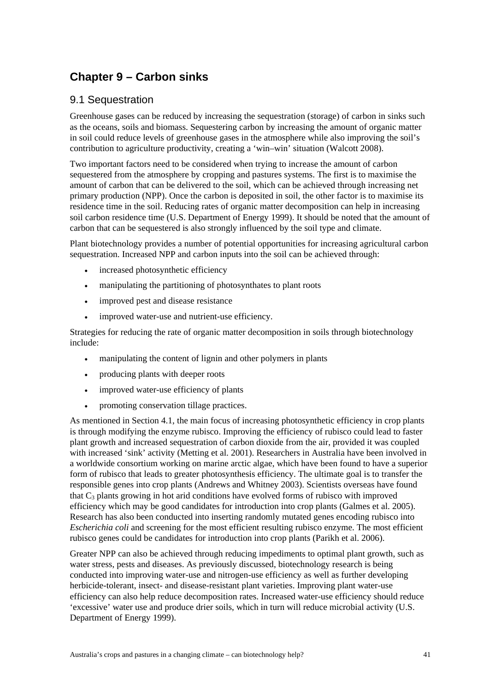# **Chapter 9 – Carbon sinks**

### 9.1 Sequestration

Greenhouse gases can be reduced by increasing the sequestration (storage) of carbon in sinks such as the oceans, soils and biomass. Sequestering carbon by increasing the amount of organic matter in soil could reduce levels of greenhouse gases in the atmosphere while also improving the soil's contribution to agriculture productivity, creating a 'win–win' situation (Walcott 2008).

Two important factors need to be considered when trying to increase the amount of carbon sequestered from the atmosphere by cropping and pastures systems. The first is to maximise the amount of carbon that can be delivered to the soil, which can be achieved through increasing net primary production (NPP). Once the carbon is deposited in soil, the other factor is to maximise its residence time in the soil. Reducing rates of organic matter decomposition can help in increasing soil carbon residence time (U.S. Department of Energy 1999). It should be noted that the amount of carbon that can be sequestered is also strongly influenced by the soil type and climate.

Plant biotechnology provides a number of potential opportunities for increasing agricultural carbon sequestration. Increased NPP and carbon inputs into the soil can be achieved through:

- increased photosynthetic efficiency
- manipulating the partitioning of photosynthates to plant roots
- improved pest and disease resistance
- improved water-use and nutrient-use efficiency.

Strategies for reducing the rate of organic matter decomposition in soils through biotechnology include:

- manipulating the content of lignin and other polymers in plants
- producing plants with deeper roots
- improved water-use efficiency of plants
- promoting conservation tillage practices.

As mentioned in Section 4.1, the main focus of increasing photosynthetic efficiency in crop plants is through modifying the enzyme rubisco. Improving the efficiency of rubisco could lead to faster plant growth and increased sequestration of carbon dioxide from the air, provided it was coupled with increased 'sink' activity (Metting et al. 2001). Researchers in Australia have been involved in a worldwide consortium working on marine arctic algae, which have been found to have a superior form of rubisco that leads to greater photosynthesis efficiency. The ultimate goal is to transfer the responsible genes into crop plants (Andrews and Whitney 2003). Scientists overseas have found that  $C_3$  plants growing in hot arid conditions have evolved forms of rubisco with improved efficiency which may be good candidates for introduction into crop plants (Galmes et al. 2005). Research has also been conducted into inserting randomly mutated genes encoding rubisco into *Escherichia coli* and screening for the most efficient resulting rubisco enzyme. The most efficient rubisco genes could be candidates for introduction into crop plants (Parikh et al. 2006).

Greater NPP can also be achieved through reducing impediments to optimal plant growth, such as water stress, pests and diseases. As previously discussed, biotechnology research is being conducted into improving water-use and nitrogen-use efficiency as well as further developing herbicide-tolerant, insect- and disease-resistant plant varieties. Improving plant water-use efficiency can also help reduce decomposition rates. Increased water-use efficiency should reduce 'excessive' water use and produce drier soils, which in turn will reduce microbial activity (U.S. Department of Energy 1999).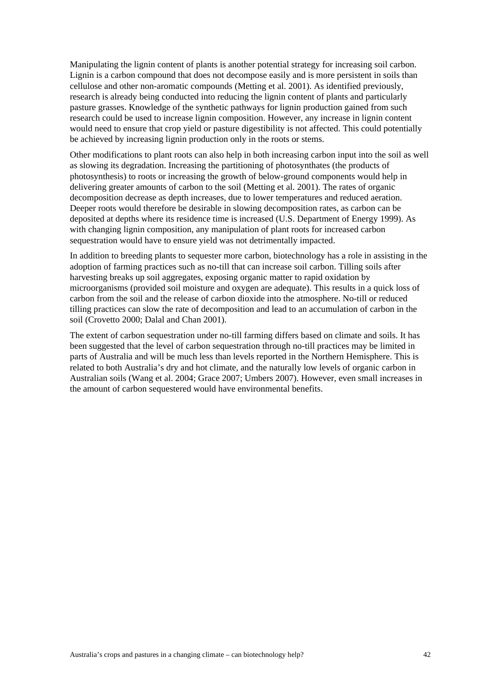Manipulating the lignin content of plants is another potential strategy for increasing soil carbon. Lignin is a carbon compound that does not decompose easily and is more persistent in soils than cellulose and other non-aromatic compounds (Metting et al. 2001). As identified previously, research is already being conducted into reducing the lignin content of plants and particularly pasture grasses. Knowledge of the synthetic pathways for lignin production gained from such research could be used to increase lignin composition. However, any increase in lignin content would need to ensure that crop yield or pasture digestibility is not affected. This could potentially be achieved by increasing lignin production only in the roots or stems.

Other modifications to plant roots can also help in both increasing carbon input into the soil as well as slowing its degradation. Increasing the partitioning of photosynthates (the products of photosynthesis) to roots or increasing the growth of below-ground components would help in delivering greater amounts of carbon to the soil (Metting et al. 2001). The rates of organic decomposition decrease as depth increases, due to lower temperatures and reduced aeration. Deeper roots would therefore be desirable in slowing decomposition rates, as carbon can be deposited at depths where its residence time is increased (U.S. Department of Energy 1999). As with changing lignin composition, any manipulation of plant roots for increased carbon sequestration would have to ensure yield was not detrimentally impacted.

In addition to breeding plants to sequester more carbon, biotechnology has a role in assisting in the adoption of farming practices such as no-till that can increase soil carbon. Tilling soils after harvesting breaks up soil aggregates, exposing organic matter to rapid oxidation by microorganisms (provided soil moisture and oxygen are adequate). This results in a quick loss of carbon from the soil and the release of carbon dioxide into the atmosphere. No-till or reduced tilling practices can slow the rate of decomposition and lead to an accumulation of carbon in the soil (Crovetto 2000; Dalal and Chan 2001).

The extent of carbon sequestration under no-till farming differs based on climate and soils. It has been suggested that the level of carbon sequestration through no-till practices may be limited in parts of Australia and will be much less than levels reported in the Northern Hemisphere. This is related to both Australia's dry and hot climate, and the naturally low levels of organic carbon in Australian soils (Wang et al. 2004; Grace 2007; Umbers 2007). However, even small increases in the amount of carbon sequestered would have environmental benefits.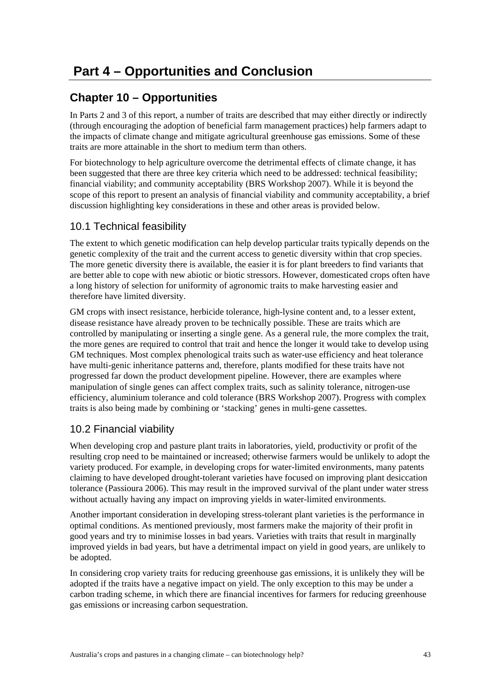## **Chapter 10 – Opportunities**

In Parts 2 and 3 of this report, a number of traits are described that may either directly or indirectly (through encouraging the adoption of beneficial farm management practices) help farmers adapt to the impacts of climate change and mitigate agricultural greenhouse gas emissions. Some of these traits are more attainable in the short to medium term than others.

For biotechnology to help agriculture overcome the detrimental effects of climate change, it has been suggested that there are three key criteria which need to be addressed: technical feasibility; financial viability; and community acceptability (BRS Workshop 2007). While it is beyond the scope of this report to present an analysis of financial viability and community acceptability, a brief discussion highlighting key considerations in these and other areas is provided below.

### 10.1 Technical feasibility

The extent to which genetic modification can help develop particular traits typically depends on the genetic complexity of the trait and the current access to genetic diversity within that crop species. The more genetic diversity there is available, the easier it is for plant breeders to find variants that are better able to cope with new abiotic or biotic stressors. However, domesticated crops often have a long history of selection for uniformity of agronomic traits to make harvesting easier and therefore have limited diversity.

GM crops with insect resistance, herbicide tolerance, high-lysine content and, to a lesser extent, disease resistance have already proven to be technically possible. These are traits which are controlled by manipulating or inserting a single gene. As a general rule, the more complex the trait, the more genes are required to control that trait and hence the longer it would take to develop using GM techniques. Most complex phenological traits such as water-use efficiency and heat tolerance have multi-genic inheritance patterns and, therefore, plants modified for these traits have not progressed far down the product development pipeline. However, there are examples where manipulation of single genes can affect complex traits, such as salinity tolerance, nitrogen-use efficiency, aluminium tolerance and cold tolerance (BRS Workshop 2007). Progress with complex traits is also being made by combining or 'stacking' genes in multi-gene cassettes.

### 10.2 Financial viability

When developing crop and pasture plant traits in laboratories, yield, productivity or profit of the resulting crop need to be maintained or increased; otherwise farmers would be unlikely to adopt the variety produced. For example, in developing crops for water-limited environments, many patents claiming to have developed drought-tolerant varieties have focused on improving plant desiccation tolerance (Passioura 2006). This may result in the improved survival of the plant under water stress without actually having any impact on improving yields in water-limited environments.

Another important consideration in developing stress-tolerant plant varieties is the performance in optimal conditions. As mentioned previously, most farmers make the majority of their profit in good years and try to minimise losses in bad years. Varieties with traits that result in marginally improved yields in bad years, but have a detrimental impact on yield in good years, are unlikely to be adopted.

In considering crop variety traits for reducing greenhouse gas emissions, it is unlikely they will be adopted if the traits have a negative impact on yield. The only exception to this may be under a carbon trading scheme, in which there are financial incentives for farmers for reducing greenhouse gas emissions or increasing carbon sequestration.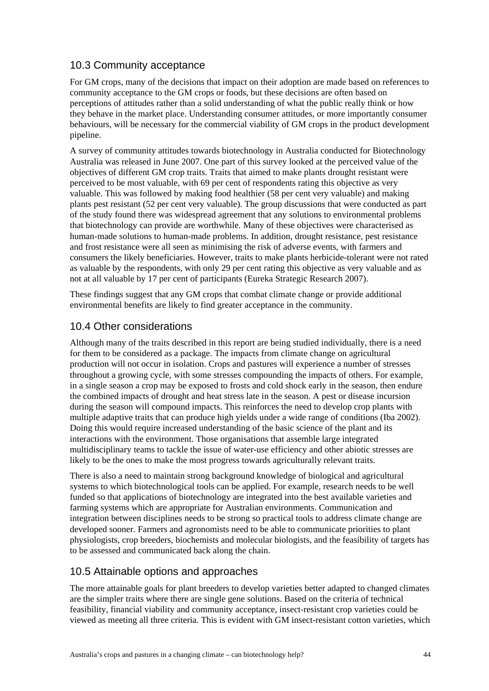### 10.3 Community acceptance

For GM crops, many of the decisions that impact on their adoption are made based on references to community acceptance to the GM crops or foods, but these decisions are often based on perceptions of attitudes rather than a solid understanding of what the public really think or how they behave in the market place. Understanding consumer attitudes, or more importantly consumer behaviours, will be necessary for the commercial viability of GM crops in the product development pipeline.

A survey of community attitudes towards biotechnology in Australia conducted for Biotechnology Australia was released in June 2007. One part of this survey looked at the perceived value of the objectives of different GM crop traits. Traits that aimed to make plants drought resistant were perceived to be most valuable, with 69 per cent of respondents rating this objective as very valuable. This was followed by making food healthier (58 per cent very valuable) and making plants pest resistant (52 per cent very valuable). The group discussions that were conducted as part of the study found there was widespread agreement that any solutions to environmental problems that biotechnology can provide are worthwhile. Many of these objectives were characterised as human-made solutions to human-made problems. In addition, drought resistance, pest resistance and frost resistance were all seen as minimising the risk of adverse events, with farmers and consumers the likely beneficiaries. However, traits to make plants herbicide-tolerant were not rated as valuable by the respondents, with only 29 per cent rating this objective as very valuable and as not at all valuable by 17 per cent of participants (Eureka Strategic Research 2007).

These findings suggest that any GM crops that combat climate change or provide additional environmental benefits are likely to find greater acceptance in the community.

### 10.4 Other considerations

Although many of the traits described in this report are being studied individually, there is a need for them to be considered as a package. The impacts from climate change on agricultural production will not occur in isolation. Crops and pastures will experience a number of stresses throughout a growing cycle, with some stresses compounding the impacts of others. For example, in a single season a crop may be exposed to frosts and cold shock early in the season, then endure the combined impacts of drought and heat stress late in the season. A pest or disease incursion during the season will compound impacts. This reinforces the need to develop crop plants with multiple adaptive traits that can produce high yields under a wide range of conditions (Iba 2002). Doing this would require increased understanding of the basic science of the plant and its interactions with the environment. Those organisations that assemble large integrated multidisciplinary teams to tackle the issue of water-use efficiency and other abiotic stresses are likely to be the ones to make the most progress towards agriculturally relevant traits.

There is also a need to maintain strong background knowledge of biological and agricultural systems to which biotechnological tools can be applied. For example, research needs to be well funded so that applications of biotechnology are integrated into the best available varieties and farming systems which are appropriate for Australian environments. Communication and integration between disciplines needs to be strong so practical tools to address climate change are developed sooner. Farmers and agronomists need to be able to communicate priorities to plant physiologists, crop breeders, biochemists and molecular biologists, and the feasibility of targets has to be assessed and communicated back along the chain.

### 10.5 Attainable options and approaches

The more attainable goals for plant breeders to develop varieties better adapted to changed climates are the simpler traits where there are single gene solutions. Based on the criteria of technical feasibility, financial viability and community acceptance, insect-resistant crop varieties could be viewed as meeting all three criteria. This is evident with GM insect-resistant cotton varieties, which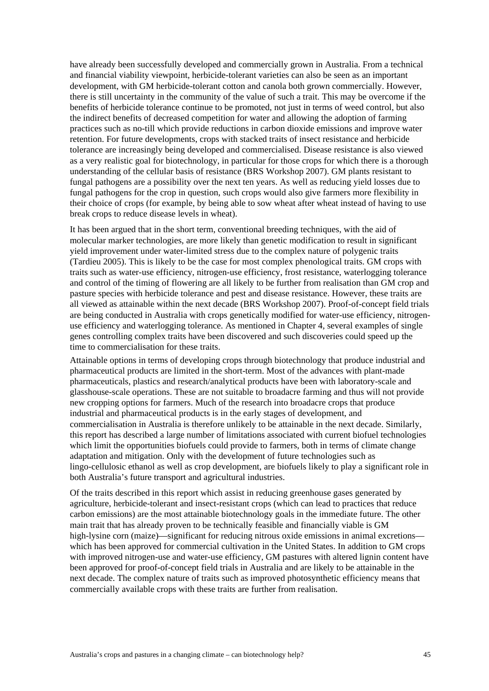have already been successfully developed and commercially grown in Australia. From a technical and financial viability viewpoint, herbicide-tolerant varieties can also be seen as an important development, with GM herbicide-tolerant cotton and canola both grown commercially. However, there is still uncertainty in the community of the value of such a trait. This may be overcome if the benefits of herbicide tolerance continue to be promoted, not just in terms of weed control, but also the indirect benefits of decreased competition for water and allowing the adoption of farming practices such as no-till which provide reductions in carbon dioxide emissions and improve water retention. For future developments, crops with stacked traits of insect resistance and herbicide tolerance are increasingly being developed and commercialised. Disease resistance is also viewed as a very realistic goal for biotechnology, in particular for those crops for which there is a thorough understanding of the cellular basis of resistance (BRS Workshop 2007). GM plants resistant to fungal pathogens are a possibility over the next ten years. As well as reducing yield losses due to fungal pathogens for the crop in question, such crops would also give farmers more flexibility in their choice of crops (for example, by being able to sow wheat after wheat instead of having to use break crops to reduce disease levels in wheat).

It has been argued that in the short term, conventional breeding techniques, with the aid of molecular marker technologies, are more likely than genetic modification to result in significant yield improvement under water-limited stress due to the complex nature of polygenic traits (Tardieu 2005). This is likely to be the case for most complex phenological traits. GM crops with traits such as water-use efficiency, nitrogen-use efficiency, frost resistance, waterlogging tolerance and control of the timing of flowering are all likely to be further from realisation than GM crop and pasture species with herbicide tolerance and pest and disease resistance. However, these traits are all viewed as attainable within the next decade (BRS Workshop 2007). Proof-of-concept field trials are being conducted in Australia with crops genetically modified for water-use efficiency, nitrogenuse efficiency and waterlogging tolerance. As mentioned in Chapter 4, several examples of single genes controlling complex traits have been discovered and such discoveries could speed up the time to commercialisation for these traits.

Attainable options in terms of developing crops through biotechnology that produce industrial and pharmaceutical products are limited in the short-term. Most of the advances with plant-made pharmaceuticals, plastics and research/analytical products have been with laboratory-scale and glasshouse-scale operations. These are not suitable to broadacre farming and thus will not provide new cropping options for farmers. Much of the research into broadacre crops that produce industrial and pharmaceutical products is in the early stages of development, and commercialisation in Australia is therefore unlikely to be attainable in the next decade. Similarly, this report has described a large number of limitations associated with current biofuel technologies which limit the opportunities biofuels could provide to farmers, both in terms of climate change adaptation and mitigation. Only with the development of future technologies such as lingo-cellulosic ethanol as well as crop development, are biofuels likely to play a significant role in both Australia's future transport and agricultural industries.

Of the traits described in this report which assist in reducing greenhouse gases generated by agriculture, herbicide-tolerant and insect-resistant crops (which can lead to practices that reduce carbon emissions) are the most attainable biotechnology goals in the immediate future. The other main trait that has already proven to be technically feasible and financially viable is GM high-lysine corn (maize)—significant for reducing nitrous oxide emissions in animal excretions which has been approved for commercial cultivation in the United States. In addition to GM crops with improved nitrogen-use and water-use efficiency, GM pastures with altered lignin content have been approved for proof-of-concept field trials in Australia and are likely to be attainable in the next decade. The complex nature of traits such as improved photosynthetic efficiency means that commercially available crops with these traits are further from realisation.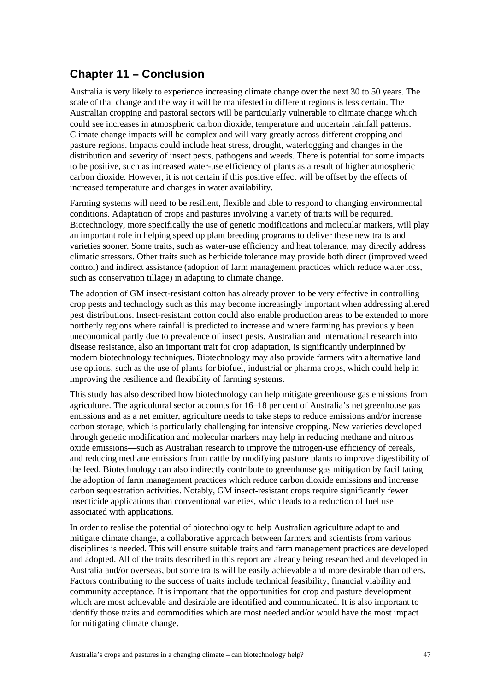## **Chapter 11 – Conclusion**

Australia is very likely to experience increasing climate change over the next 30 to 50 years. The scale of that change and the way it will be manifested in different regions is less certain. The Australian cropping and pastoral sectors will be particularly vulnerable to climate change which could see increases in atmospheric carbon dioxide, temperature and uncertain rainfall patterns. Climate change impacts will be complex and will vary greatly across different cropping and pasture regions. Impacts could include heat stress, drought, waterlogging and changes in the distribution and severity of insect pests, pathogens and weeds. There is potential for some impacts to be positive, such as increased water-use efficiency of plants as a result of higher atmospheric carbon dioxide. However, it is not certain if this positive effect will be offset by the effects of increased temperature and changes in water availability.

Farming systems will need to be resilient, flexible and able to respond to changing environmental conditions. Adaptation of crops and pastures involving a variety of traits will be required. Biotechnology, more specifically the use of genetic modifications and molecular markers, will play an important role in helping speed up plant breeding programs to deliver these new traits and varieties sooner. Some traits, such as water-use efficiency and heat tolerance, may directly address climatic stressors. Other traits such as herbicide tolerance may provide both direct (improved weed control) and indirect assistance (adoption of farm management practices which reduce water loss, such as conservation tillage) in adapting to climate change.

The adoption of GM insect-resistant cotton has already proven to be very effective in controlling crop pests and technology such as this may become increasingly important when addressing altered pest distributions. Insect-resistant cotton could also enable production areas to be extended to more northerly regions where rainfall is predicted to increase and where farming has previously been uneconomical partly due to prevalence of insect pests. Australian and international research into disease resistance, also an important trait for crop adaptation, is significantly underpinned by modern biotechnology techniques. Biotechnology may also provide farmers with alternative land use options, such as the use of plants for biofuel, industrial or pharma crops, which could help in improving the resilience and flexibility of farming systems.

This study has also described how biotechnology can help mitigate greenhouse gas emissions from agriculture. The agricultural sector accounts for 16–18 per cent of Australia's net greenhouse gas emissions and as a net emitter, agriculture needs to take steps to reduce emissions and/or increase carbon storage, which is particularly challenging for intensive cropping. New varieties developed through genetic modification and molecular markers may help in reducing methane and nitrous oxide emissions—such as Australian research to improve the nitrogen-use efficiency of cereals, and reducing methane emissions from cattle by modifying pasture plants to improve digestibility of the feed. Biotechnology can also indirectly contribute to greenhouse gas mitigation by facilitating the adoption of farm management practices which reduce carbon dioxide emissions and increase carbon sequestration activities. Notably, GM insect-resistant crops require significantly fewer insecticide applications than conventional varieties, which leads to a reduction of fuel use associated with applications.

In order to realise the potential of biotechnology to help Australian agriculture adapt to and mitigate climate change, a collaborative approach between farmers and scientists from various disciplines is needed. This will ensure suitable traits and farm management practices are developed and adopted. All of the traits described in this report are already being researched and developed in Australia and/or overseas, but some traits will be easily achievable and more desirable than others. Factors contributing to the success of traits include technical feasibility, financial viability and community acceptance. It is important that the opportunities for crop and pasture development which are most achievable and desirable are identified and communicated. It is also important to identify those traits and commodities which are most needed and/or would have the most impact for mitigating climate change.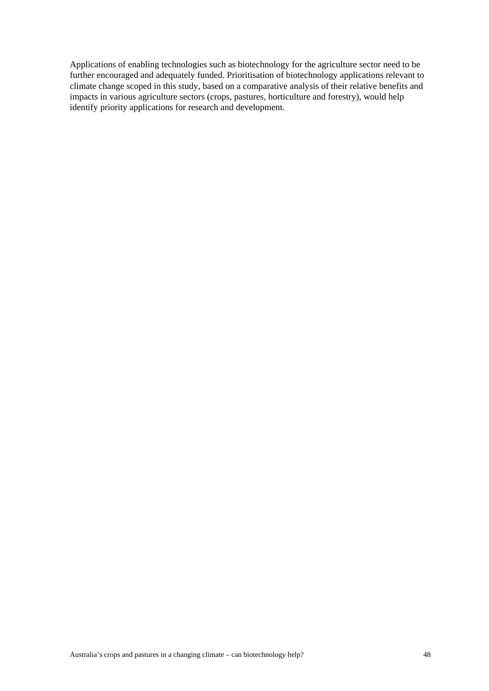Applications of enabling technologies such as biotechnology for the agriculture sector need to be further encouraged and adequately funded. Prioritisation of biotechnology applications relevant to climate change scoped in this study, based on a comparative analysis of their relative benefits and impacts in various agriculture sectors (crops, pastures, horticulture and forestry), would help identify priority applications for research and development.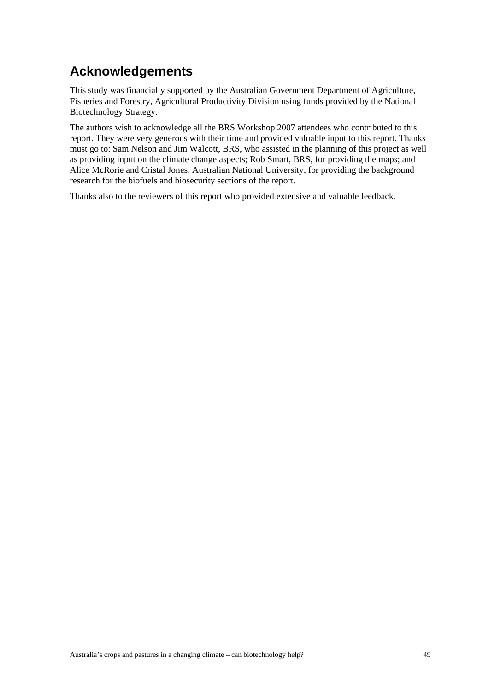# **Acknowledgements**

This study was financially supported by the Australian Government Department of Agriculture, Fisheries and Forestry, Agricultural Productivity Division using funds provided by the National Biotechnology Strategy.

The authors wish to acknowledge all the BRS Workshop 2007 attendees who contributed to this report. They were very generous with their time and provided valuable input to this report. Thanks must go to: Sam Nelson and Jim Walcott, BRS, who assisted in the planning of this project as well as providing input on the climate change aspects; Rob Smart, BRS, for providing the maps; and Alice McRorie and Cristal Jones, Australian National University, for providing the background research for the biofuels and biosecurity sections of the report.

Thanks also to the reviewers of this report who provided extensive and valuable feedback.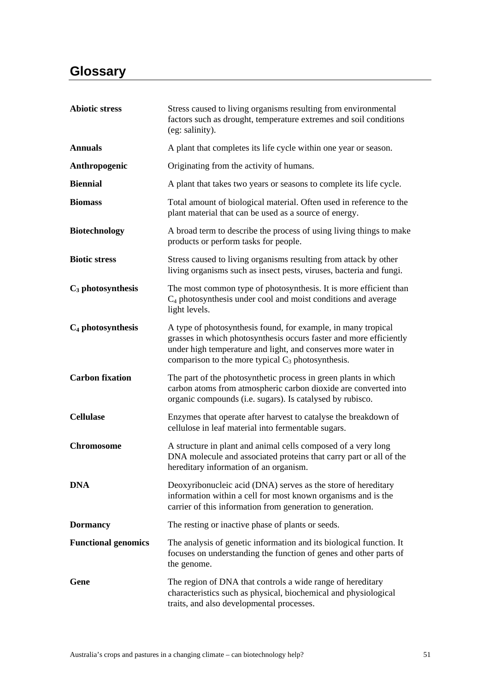# **Glossary**

| <b>Abiotic stress</b>      | Stress caused to living organisms resulting from environmental<br>factors such as drought, temperature extremes and soil conditions<br>(eg: salinity).                                                                                                       |
|----------------------------|--------------------------------------------------------------------------------------------------------------------------------------------------------------------------------------------------------------------------------------------------------------|
| <b>Annuals</b>             | A plant that completes its life cycle within one year or season.                                                                                                                                                                                             |
| Anthropogenic              | Originating from the activity of humans.                                                                                                                                                                                                                     |
| <b>Biennial</b>            | A plant that takes two years or seasons to complete its life cycle.                                                                                                                                                                                          |
| <b>Biomass</b>             | Total amount of biological material. Often used in reference to the<br>plant material that can be used as a source of energy.                                                                                                                                |
| <b>Biotechnology</b>       | A broad term to describe the process of using living things to make<br>products or perform tasks for people.                                                                                                                                                 |
| <b>Biotic stress</b>       | Stress caused to living organisms resulting from attack by other<br>living organisms such as insect pests, viruses, bacteria and fungi.                                                                                                                      |
| $C_3$ photosynthesis       | The most common type of photosynthesis. It is more efficient than<br>$C_4$ photosynthesis under cool and moist conditions and average<br>light levels.                                                                                                       |
| $C_4$ photosynthesis       | A type of photosynthesis found, for example, in many tropical<br>grasses in which photosynthesis occurs faster and more efficiently<br>under high temperature and light, and conserves more water in<br>comparison to the more typical $C_3$ photosynthesis. |
| <b>Carbon fixation</b>     | The part of the photosynthetic process in green plants in which<br>carbon atoms from atmospheric carbon dioxide are converted into<br>organic compounds (i.e. sugars). Is catalysed by rubisco.                                                              |
| <b>Cellulase</b>           | Enzymes that operate after harvest to catalyse the breakdown of<br>cellulose in leaf material into fermentable sugars.                                                                                                                                       |
| <b>Chromosome</b>          | A structure in plant and animal cells composed of a very long<br>DNA molecule and associated proteins that carry part or all of the<br>hereditary information of an organism.                                                                                |
| <b>DNA</b>                 | Deoxyribonucleic acid (DNA) serves as the store of hereditary<br>information within a cell for most known organisms and is the<br>carrier of this information from generation to generation.                                                                 |
| <b>Dormancy</b>            | The resting or inactive phase of plants or seeds.                                                                                                                                                                                                            |
| <b>Functional genomics</b> | The analysis of genetic information and its biological function. It<br>focuses on understanding the function of genes and other parts of<br>the genome.                                                                                                      |
| Gene                       | The region of DNA that controls a wide range of hereditary<br>characteristics such as physical, biochemical and physiological<br>traits, and also developmental processes.                                                                                   |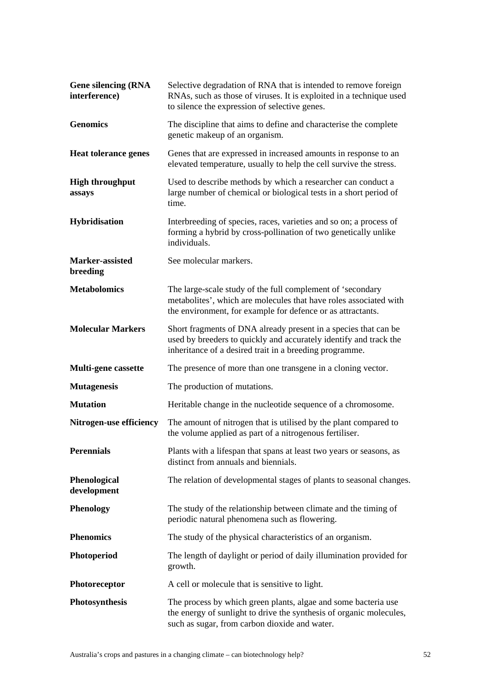| <b>Gene silencing (RNA</b><br>interference) | Selective degradation of RNA that is intended to remove foreign<br>RNAs, such as those of viruses. It is exploited in a technique used<br>to silence the expression of selective genes.         |
|---------------------------------------------|-------------------------------------------------------------------------------------------------------------------------------------------------------------------------------------------------|
| <b>Genomics</b>                             | The discipline that aims to define and characterise the complete<br>genetic makeup of an organism.                                                                                              |
| <b>Heat tolerance genes</b>                 | Genes that are expressed in increased amounts in response to an<br>elevated temperature, usually to help the cell survive the stress.                                                           |
| <b>High throughput</b><br>assays            | Used to describe methods by which a researcher can conduct a<br>large number of chemical or biological tests in a short period of<br>time.                                                      |
| Hybridisation                               | Interbreeding of species, races, varieties and so on; a process of<br>forming a hybrid by cross-pollination of two genetically unlike<br>individuals.                                           |
| Marker-assisted<br>breeding                 | See molecular markers.                                                                                                                                                                          |
| <b>Metabolomics</b>                         | The large-scale study of the full complement of 'secondary<br>metabolites', which are molecules that have roles associated with<br>the environment, for example for defence or as attractants.  |
| <b>Molecular Markers</b>                    | Short fragments of DNA already present in a species that can be<br>used by breeders to quickly and accurately identify and track the<br>inheritance of a desired trait in a breeding programme. |
| Multi-gene cassette                         | The presence of more than one transgene in a cloning vector.                                                                                                                                    |
| <b>Mutagenesis</b>                          | The production of mutations.                                                                                                                                                                    |
| <b>Mutation</b>                             | Heritable change in the nucleotide sequence of a chromosome.                                                                                                                                    |
| Nitrogen-use efficiency                     | The amount of nitrogen that is utilised by the plant compared to<br>the volume applied as part of a nitrogenous fertiliser.                                                                     |
| <b>Perennials</b>                           | Plants with a lifespan that spans at least two years or seasons, as<br>distinct from annuals and biennials.                                                                                     |
| Phenological<br>development                 | The relation of developmental stages of plants to seasonal changes.                                                                                                                             |
| <b>Phenology</b>                            | The study of the relationship between climate and the timing of<br>periodic natural phenomena such as flowering.                                                                                |
| <b>Phenomics</b>                            | The study of the physical characteristics of an organism.                                                                                                                                       |
| Photoperiod                                 | The length of daylight or period of daily illumination provided for<br>growth.                                                                                                                  |
| Photoreceptor                               | A cell or molecule that is sensitive to light.                                                                                                                                                  |
| Photosynthesis                              | The process by which green plants, algae and some bacteria use<br>the energy of sunlight to drive the synthesis of organic molecules,<br>such as sugar, from carbon dioxide and water.          |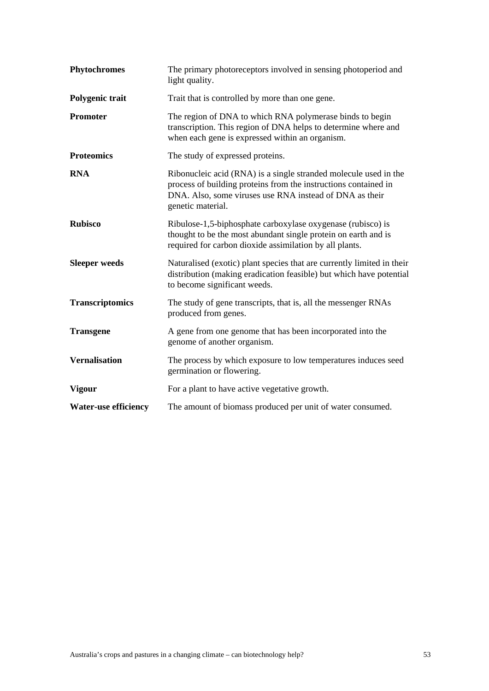| <b>Phytochromes</b>         | The primary photoreceptors involved in sensing photoperiod and<br>light quality.                                                                                                                                    |
|-----------------------------|---------------------------------------------------------------------------------------------------------------------------------------------------------------------------------------------------------------------|
| Polygenic trait             | Trait that is controlled by more than one gene.                                                                                                                                                                     |
| <b>Promoter</b>             | The region of DNA to which RNA polymerase binds to begin<br>transcription. This region of DNA helps to determine where and<br>when each gene is expressed within an organism.                                       |
| <b>Proteomics</b>           | The study of expressed proteins.                                                                                                                                                                                    |
| <b>RNA</b>                  | Ribonucleic acid (RNA) is a single stranded molecule used in the<br>process of building proteins from the instructions contained in<br>DNA. Also, some viruses use RNA instead of DNA as their<br>genetic material. |
| <b>Rubisco</b>              | Ribulose-1,5-biphosphate carboxylase oxygenase (rubisco) is<br>thought to be the most abundant single protein on earth and is<br>required for carbon dioxide assimilation by all plants.                            |
| <b>Sleeper</b> weeds        | Naturalised (exotic) plant species that are currently limited in their<br>distribution (making eradication feasible) but which have potential<br>to become significant weeds.                                       |
| <b>Transcriptomics</b>      | The study of gene transcripts, that is, all the messenger RNAs<br>produced from genes.                                                                                                                              |
| <b>Transgene</b>            | A gene from one genome that has been incorporated into the<br>genome of another organism.                                                                                                                           |
| <b>Vernalisation</b>        | The process by which exposure to low temperatures induces seed<br>germination or flowering.                                                                                                                         |
| <b>Vigour</b>               | For a plant to have active vegetative growth.                                                                                                                                                                       |
| <b>Water-use efficiency</b> | The amount of biomass produced per unit of water consumed.                                                                                                                                                          |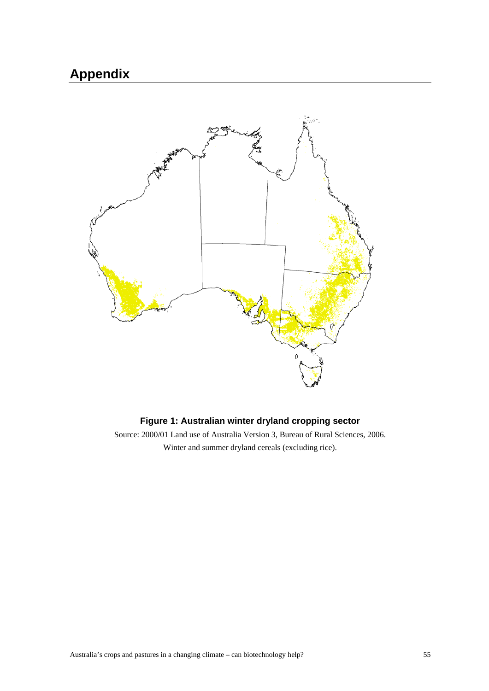# **Appendix**



### **Figure 1: Australian winter dryland cropping sector**

Source: 2000/01 Land use of Australia Version 3, Bureau of Rural Sciences, 2006. Winter and summer dryland cereals (excluding rice).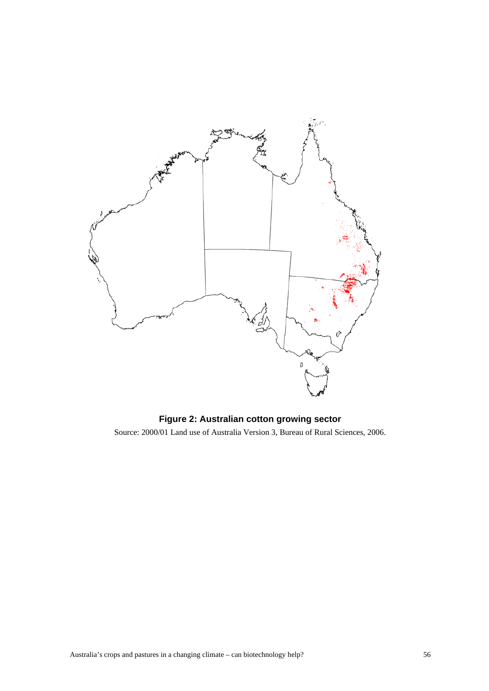

### **Figure 2: Australian cotton growing sector**

Source: 2000/01 Land use of Australia Version 3, Bureau of Rural Sciences, 2006.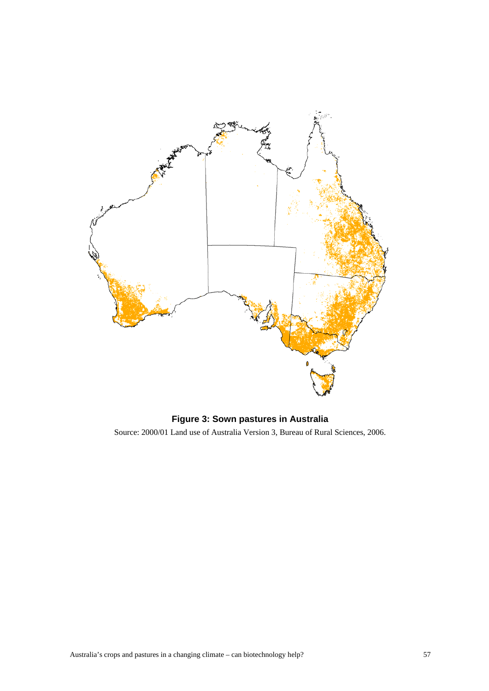

### **Figure 3: Sown pastures in Australia**

Source: 2000/01 Land use of Australia Version 3, Bureau of Rural Sciences, 2006.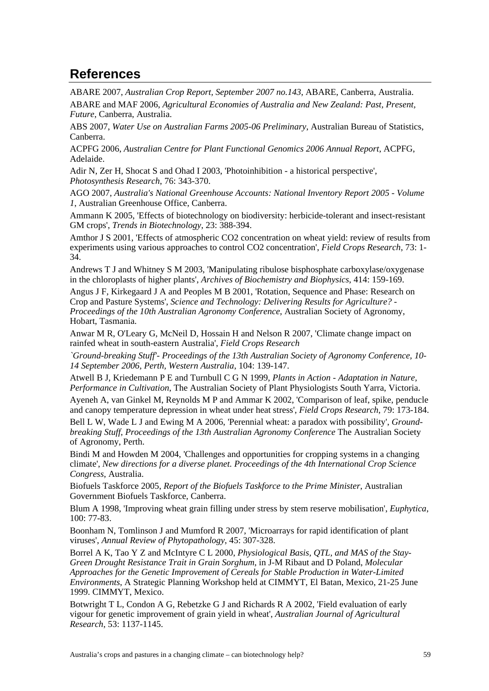# **References**

ABARE 2007, *Australian Crop Report, September 2007 no.143*, ABARE, Canberra, Australia.

ABARE and MAF 2006, *Agricultural Economies of Australia and New Zealand: Past, Present, Future*, Canberra, Australia.

ABS 2007, *Water Use on Australian Farms 2005-06 Preliminary*, Australian Bureau of Statistics, Canberra.

ACPFG 2006, *Australian Centre for Plant Functional Genomics 2006 Annual Report*, ACPFG, Adelaide.

Adir N, Zer H, Shocat S and Ohad I 2003, 'Photoinhibition - a historical perspective', *Photosynthesis Research*, 76: 343-370.

AGO 2007, *Australia's National Greenhouse Accounts: National Inventory Report 2005 - Volume 1*, Australian Greenhouse Office, Canberra.

Ammann K 2005, 'Effects of biotechnology on biodiversity: herbicide-tolerant and insect-resistant GM crops', *Trends in Biotechnology*, 23: 388-394.

Amthor J S 2001, 'Effects of atmospheric CO2 concentration on wheat yield: review of results from experiments using various approaches to control CO2 concentration', *Field Crops Research*, 73: 1- 34.

Andrews T J and Whitney S M 2003, 'Manipulating ribulose bisphosphate carboxylase/oxygenase in the chloroplasts of higher plants', *Archives of Biochemistry and Biophysics*, 414: 159-169.

Angus J F, Kirkegaard J A and Peoples M B 2001, 'Rotation, Sequence and Phase: Research on Crop and Pasture Systems', *Science and Technology: Delivering Results for Agriculture? - Proceedings of the 10th Australian Agronomy Conference*, Australian Society of Agronomy, Hobart, Tasmania.

Anwar M R, O'Leary G, McNeil D, Hossain H and Nelson R 2007, 'Climate change impact on rainfed wheat in south-eastern Australia', *Field Crops Research* 

*`Ground-breaking Stuff'- Proceedings of the 13th Australian Society of Agronomy Conference, 10- 14 September 2006, Perth, Western Australia*, 104: 139-147.

Atwell B J, Kriedemann P E and Turnbull C G N 1999, *Plants in Action - Adaptation in Nature, Performance in Cultivation*, The Australian Society of Plant Physiologists South Yarra, Victoria.

Ayeneh A, van Ginkel M, Reynolds M P and Ammar K 2002, 'Comparison of leaf, spike, penducle and canopy temperature depression in wheat under heat stress', *Field Crops Research*, 79: 173-184.

Bell L W, Wade L J and Ewing M A 2006, 'Perennial wheat: a paradox with possibility', *Groundbreaking Stuff, Proceedings of the 13th Australian Agronomy Conference* The Australian Society of Agronomy, Perth.

Bindi M and Howden M 2004, 'Challenges and opportunities for cropping systems in a changing climate', *New directions for a diverse planet. Proceedings of the 4th International Crop Science Congress*, Australia.

Biofuels Taskforce 2005, *Report of the Biofuels Taskforce to the Prime Minister*, Australian Government Biofuels Taskforce, Canberra.

Blum A 1998, 'Improving wheat grain filling under stress by stem reserve mobilisation', *Euphytica*, 100: 77-83.

Boonham N, Tomlinson J and Mumford R 2007, 'Microarrays for rapid identification of plant viruses', *Annual Review of Phytopathology*, 45: 307-328.

Borrel A K, Tao Y Z and McIntyre C L 2000, *Physiological Basis, QTL, and MAS of the Stay-Green Drought Resistance Trait in Grain Sorghum*, in J-M Ribaut and D Poland, *Molecular Approaches for the Genetic Improvement of Cereals for Stable Production in Water-Limited Environments*, A Strategic Planning Workshop held at CIMMYT, El Batan, Mexico, 21-25 June 1999. CIMMYT, Mexico.

Botwright T L, Condon A G, Rebetzke G J and Richards R A 2002, 'Field evaluation of early vigour for genetic improvement of grain yield in wheat', *Australian Journal of Agricultural Research*, 53: 1137-1145.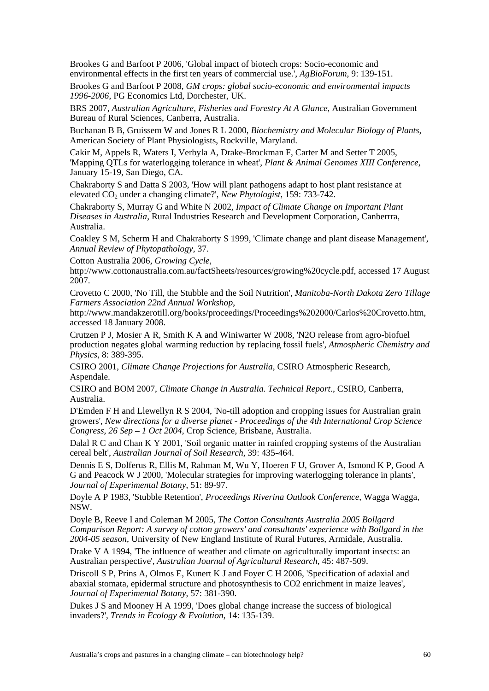Brookes G and Barfoot P 2006, 'Global impact of biotech crops: Socio-economic and environmental effects in the first ten years of commercial use.', *AgBioForum*, 9: 139-151.

Brookes G and Barfoot P 2008, *GM crops: global socio-economic and environmental impacts 1996-2006*, PG Economics Ltd, Dorchester, UK.

BRS 2007, *Australian Agriculture, Fisheries and Forestry At A Glance*, Australian Government Bureau of Rural Sciences, Canberra, Australia.

Buchanan B B, Gruissem W and Jones R L 2000, *Biochemistry and Molecular Biology of Plants*, American Society of Plant Physiologists, Rockville, Maryland.

Cakir M, Appels R, Waters I, Verbyla A, Drake-Brockman F, Carter M and Setter T 2005, 'Mapping QTLs for waterlogging tolerance in wheat', *Plant & Animal Genomes XIII Conference*, January 15-19, San Diego, CA.

Chakraborty S and Datta S 2003, 'How will plant pathogens adapt to host plant resistance at elevated CO<sub>2</sub> under a changing climate?', *New Phytologist*, 159: 733-742.

Chakraborty S, Murray G and White N 2002, *Impact of Climate Change on Important Plant Diseases in Australia*, Rural Industries Research and Development Corporation, Canberrra, Australia.

Coakley S M, Scherm H and Chakraborty S 1999, 'Climate change and plant disease Management', *Annual Review of Phytopathology*, 37.

Cotton Australia 2006, *Growing Cycle*,

http://www.cottonaustralia.com.au/factSheets/resources/growing%20cycle.pdf, accessed 17 August 2007.

Crovetto C 2000, 'No Till, the Stubble and the Soil Nutrition', *Manitoba-North Dakota Zero Tillage Farmers Association 22nd Annual Workshop*,

http://www.mandakzerotill.org/books/proceedings/Proceedings%202000/Carlos%20Crovetto.htm, accessed 18 January 2008.

Crutzen P J, Mosier A R, Smith K A and Winiwarter W 2008, 'N2O release from agro-biofuel production negates global warming reduction by replacing fossil fuels', *Atmospheric Chemistry and Physics*, 8: 389-395.

CSIRO 2001, *Climate Change Projections for Australia*, CSIRO Atmospheric Research, Aspendale.

CSIRO and BOM 2007, *Climate Change in Australia. Technical Report.*, CSIRO, Canberra, Australia.

D'Emden F H and Llewellyn R S 2004, 'No-till adoption and cropping issues for Australian grain growers', *New directions for a diverse planet - Proceedings of the 4th International Crop Science Congress, 26 Sep – 1 Oct 2004*, Crop Science, Brisbane, Australia.

Dalal R C and Chan K Y 2001, 'Soil organic matter in rainfed cropping systems of the Australian cereal belt', *Australian Journal of Soil Research*, 39: 435-464.

Dennis E S, Dolferus R, Ellis M, Rahman M, Wu Y, Hoeren F U, Grover A, Ismond K P, Good A G and Peacock W J 2000, 'Molecular strategies for improving waterlogging tolerance in plants', *Journal of Experimental Botany*, 51: 89-97.

Doyle A P 1983, 'Stubble Retention', *Proceedings Riverina Outlook Conference*, Wagga Wagga, NSW.

Doyle B, Reeve I and Coleman M 2005, *The Cotton Consultants Australia 2005 Bollgard Comparison Report: A survey of cotton growers' and consultants' experience with Bollgard in the 2004-05 season*, University of New England Institute of Rural Futures, Armidale, Australia.

Drake V A 1994, 'The influence of weather and climate on agriculturally important insects: an Australian perspective', *Australian Journal of Agricultural Research*, 45: 487-509.

Driscoll S P, Prins A, Olmos E, Kunert K J and Foyer C H 2006, 'Specification of adaxial and abaxial stomata, epidermal structure and photosynthesis to CO2 enrichment in maize leaves', *Journal of Experimental Botany*, 57: 381-390.

Dukes J S and Mooney H A 1999, 'Does global change increase the success of biological invaders?', *Trends in Ecology & Evolution*, 14: 135-139.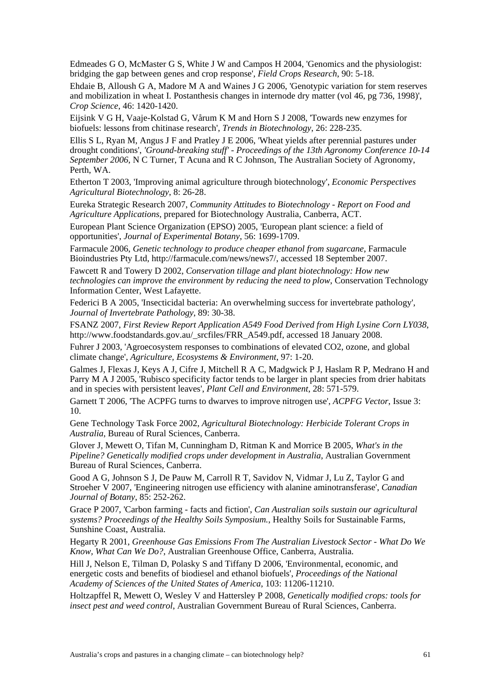Edmeades G O, McMaster G S, White J W and Campos H 2004, 'Genomics and the physiologist: bridging the gap between genes and crop response', *Field Crops Research*, 90: 5-18.

Ehdaie B, Alloush G A, Madore M A and Waines J G 2006, 'Genotypic variation for stem reserves and mobilization in wheat I. Postanthesis changes in internode dry matter (vol 46, pg 736, 1998)', *Crop Science*, 46: 1420-1420.

Eijsink V G H, Vaaje-Kolstad G, Vårum K M and Horn S J 2008, 'Towards new enzymes for biofuels: lessons from chitinase research', *Trends in Biotechnology*, 26: 228-235.

Ellis S L, Ryan M, Angus J F and Pratley J E 2006, 'Wheat yields after perennial pastures under drought conditions', *'Ground-breaking stuff' - Proceedings of the 13th Agronomy Conference 10-14 September 2006*, N C Turner, T Acuna and R C Johnson, The Australian Society of Agronomy, Perth, WA.

Etherton T 2003, 'Improving animal agriculture through biotechnology', *Economic Perspectives Agricultural Biotechnology*, 8: 26-28.

Eureka Strategic Research 2007, *Community Attitudes to Biotechnology - Report on Food and Agriculture Applications*, prepared for Biotechnology Australia, Canberra, ACT.

European Plant Science Organization (EPSO) 2005, 'European plant science: a field of opportunities', *Journal of Experimental Botany*, 56: 1699-1709.

Farmacule 2006, *Genetic technology to produce cheaper ethanol from sugarcane*, Farmacule Bioindustries Pty Ltd, http://farmacule.com/news/news7/, accessed 18 September 2007.

Fawcett R and Towery D 2002, *Conservation tillage and plant biotechnology: How new technologies can improve the environment by reducing the need to plow*, Conservation Technology Information Center, West Lafayette.

Federici B A 2005, 'Insecticidal bacteria: An overwhelming success for invertebrate pathology', *Journal of Invertebrate Pathology*, 89: 30-38.

FSANZ 2007, *First Review Report Application A549 Food Derived from High Lysine Corn LY038*, http://www.foodstandards.gov.au/\_srcfiles/FRR\_A549.pdf, accessed 18 January 2008.

Fuhrer J 2003, 'Agroecosystem responses to combinations of elevated CO2, ozone, and global climate change', *Agriculture, Ecosystems & Environment*, 97: 1-20.

Galmes J, Flexas J, Keys A J, Cifre J, Mitchell R A C, Madgwick P J, Haslam R P, Medrano H and Parry M A J 2005, 'Rubisco specificity factor tends to be larger in plant species from drier habitats and in species with persistent leaves', *Plant Cell and Environment*, 28: 571-579.

Garnett T 2006, 'The ACPFG turns to dwarves to improve nitrogen use', *ACPFG Vector*, Issue 3: 10.

Gene Technology Task Force 2002, *Agricultural Biotechnology: Herbicide Tolerant Crops in Australia*, Bureau of Rural Sciences, Canberra.

Glover J, Mewett O, Tifan M, Cunningham D, Ritman K and Morrice B 2005, *What's in the Pipeline? Genetically modified crops under development in Australia*, Australian Government Bureau of Rural Sciences, Canberra.

Good A G, Johnson S J, De Pauw M, Carroll R T, Savidov N, Vidmar J, Lu Z, Taylor G and Stroeher V 2007, 'Engineering nitrogen use efficiency with alanine aminotransferase', *Canadian Journal of Botany*, 85: 252-262.

Grace P 2007, 'Carbon farming - facts and fiction', *Can Australian soils sustain our agricultural systems? Proceedings of the Healthy Soils Symposium.*, Healthy Soils for Sustainable Farms, Sunshine Coast, Australia.

Hegarty R 2001, *Greenhouse Gas Emissions From The Australian Livestock Sector - What Do We Know, What Can We Do?*, Australian Greenhouse Office, Canberra, Australia.

Hill J, Nelson E, Tilman D, Polasky S and Tiffany D 2006, 'Environmental, economic, and energetic costs and benefits of biodiesel and ethanol biofuels', *Proceedings of the National Academy of Sciences of the United States of America*, 103: 11206-11210.

Holtzapffel R, Mewett O, Wesley V and Hattersley P 2008, *Genetically modified crops: tools for insect pest and weed control*, Australian Government Bureau of Rural Sciences, Canberra.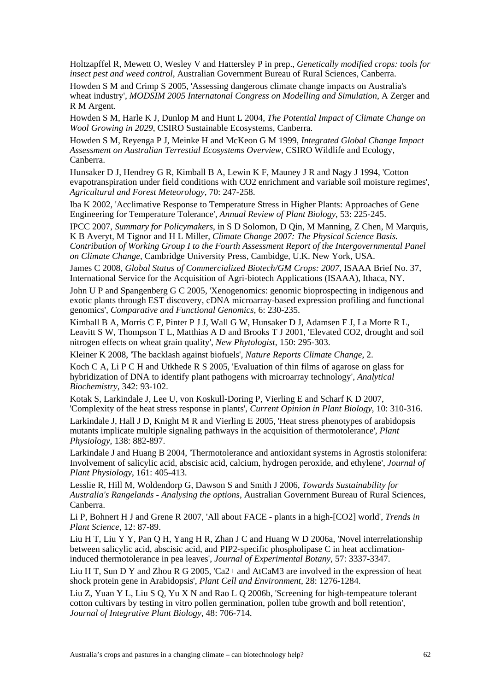Holtzapffel R, Mewett O, Wesley V and Hattersley P in prep., *Genetically modified crops: tools for insect pest and weed control*, Australian Government Bureau of Rural Sciences, Canberra.

Howden S M and Crimp S 2005, 'Assessing dangerous climate change impacts on Australia's wheat industry', *MODSIM 2005 Internatonal Congress on Modelling and Simulation*, A Zerger and R M Argent.

Howden S M, Harle K J, Dunlop M and Hunt L 2004, *The Potential Impact of Climate Change on Wool Growing in 2029*, CSIRO Sustainable Ecosystems, Canberra.

Howden S M, Reyenga P J, Meinke H and McKeon G M 1999, *Integrated Global Change Impact Assessment on Australian Terrestial Ecosystems Overview*, CSIRO Wildlife and Ecology, Canberra.

Hunsaker D J, Hendrey G R, Kimball B A, Lewin K F, Mauney J R and Nagy J 1994, 'Cotton evapotranspiration under field conditions with CO2 enrichment and variable soil moisture regimes', *Agricultural and Forest Meteorology*, 70: 247-258.

Iba K 2002, 'Acclimative Response to Temperature Stress in Higher Plants: Approaches of Gene Engineering for Temperature Tolerance', *Annual Review of Plant Biology*, 53: 225-245.

IPCC 2007, *Summary for Policymakers*, in S D Solomon, D Qin, M Manning, Z Chen, M Marquis, K B Averyt, M Tignor and H L Miller, *Climate Change 2007: The Physical Science Basis. Contribution of Working Group I to the Fourth Assessment Report of the Intergovernmental Panel on Climate Change*, Cambridge University Press, Cambidge, U.K. New York, USA.

James C 2008, *Global Status of Commercialized Biotech/GM Crops: 2007*, ISAAA Brief No. 37, International Service for the Acquisition of Agri-biotech Applications (ISAAA), Ithaca, NY.

John U P and Spangenberg G C 2005, 'Xenogenomics: genomic bioprospecting in indigenous and exotic plants through EST discovery, cDNA microarray-based expression profiling and functional genomics', *Comparative and Functional Genomics*, 6: 230-235.

Kimball B A, Morris C F, Pinter P J J, Wall G W, Hunsaker D J, Adamsen F J, La Morte R L, Leavitt S W, Thompson T L, Matthias A D and Brooks T J 2001, 'Elevated CO2, drought and soil nitrogen effects on wheat grain quality', *New Phytologist*, 150: 295-303.

Kleiner K 2008, 'The backlash against biofuels', *Nature Reports Climate Change*, 2.

Koch C A, Li P C H and Utkhede R S 2005, 'Evaluation of thin films of agarose on glass for hybridization of DNA to identify plant pathogens with microarray technology', *Analytical Biochemistry*, 342: 93-102.

Kotak S, Larkindale J, Lee U, von Koskull-Doring P, Vierling E and Scharf K D 2007, 'Complexity of the heat stress response in plants', *Current Opinion in Plant Biology*, 10: 310-316.

Larkindale J, Hall J D, Knight M R and Vierling E 2005, 'Heat stress phenotypes of arabidopsis mutants implicate multiple signaling pathways in the acquisition of thermotolerance', *Plant Physiology*, 138: 882-897.

Larkindale J and Huang B 2004, 'Thermotolerance and antioxidant systems in Agrostis stolonifera: Involvement of salicylic acid, abscisic acid, calcium, hydrogen peroxide, and ethylene', *Journal of Plant Physiology*, 161: 405-413.

Lesslie R, Hill M, Woldendorp G, Dawson S and Smith J 2006, *Towards Sustainability for Australia's Rangelands - Analysing the options*, Australian Government Bureau of Rural Sciences, Canberra.

Li P, Bohnert H J and Grene R 2007, 'All about FACE - plants in a high-[CO2] world', *Trends in Plant Science*, 12: 87-89.

Liu H T, Liu Y Y, Pan Q H, Yang H R, Zhan J C and Huang W D 2006a, 'Novel interrelationship between salicylic acid, abscisic acid, and PIP2-specific phospholipase C in heat acclimationinduced thermotolerance in pea leaves', *Journal of Experimental Botany*, 57: 3337-3347.

Liu H T, Sun D Y and Zhou R G 2005, 'Ca2+ and AtCaM3 are involved in the expression of heat shock protein gene in Arabidopsis', *Plant Cell and Environment*, 28: 1276-1284.

Liu Z, Yuan Y L, Liu S Q, Yu X N and Rao L Q 2006b, 'Screening for high-tempeature tolerant cotton cultivars by testing in vitro pollen germination, pollen tube growth and boll retention', *Journal of Integrative Plant Biology*, 48: 706-714.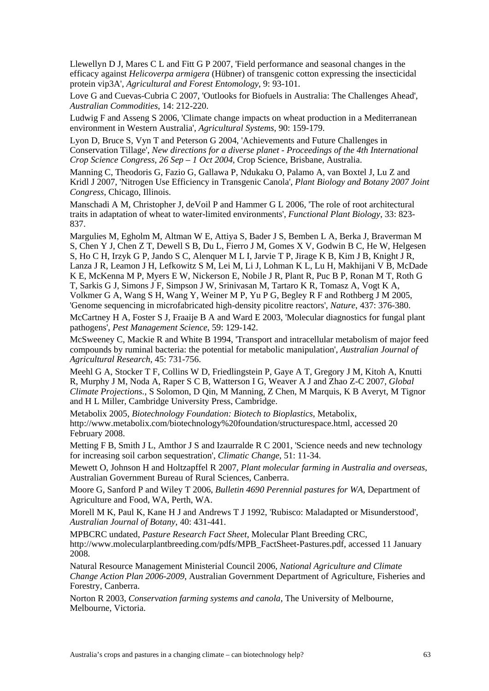Llewellyn D J, Mares C L and Fitt G P 2007, 'Field performance and seasonal changes in the efficacy against *Helicoverpa armigera* (Hübner) of transgenic cotton expressing the insecticidal protein vip3A', *Agricultural and Forest Entomology*, 9: 93-101.

Love G and Cuevas-Cubria C 2007, 'Outlooks for Biofuels in Australia: The Challenges Ahead', *Australian Commodities*, 14: 212-220.

Ludwig F and Asseng S 2006, 'Climate change impacts on wheat production in a Mediterranean environment in Western Australia', *Agricultural Systems*, 90: 159-179.

Lyon D, Bruce S, Vyn T and Peterson G 2004, 'Achievements and Future Challenges in Conservation Tillage', *New directions for a diverse planet - Proceedings of the 4th International Crop Science Congress, 26 Sep – 1 Oct 2004*, Crop Science, Brisbane, Australia.

Manning C, Theodoris G, Fazio G, Gallawa P, Ndukaku O, Palamo A, van Boxtel J, Lu Z and Kridl J 2007, 'Nitrogen Use Efficiency in Transgenic Canola', *Plant Biology and Botany 2007 Joint Congress*, Chicago, Illinois.

Manschadi A M, Christopher J, deVoil P and Hammer G L 2006, 'The role of root architectural traits in adaptation of wheat to water-limited environments', *Functional Plant Biology*, 33: 823- 837.

Margulies M, Egholm M, Altman W E, Attiya S, Bader J S, Bemben L A, Berka J, Braverman M S, Chen Y J, Chen Z T, Dewell S B, Du L, Fierro J M, Gomes X V, Godwin B C, He W, Helgesen S, Ho C H, Irzyk G P, Jando S C, Alenquer M L I, Jarvie T P, Jirage K B, Kim J B, Knight J R, Lanza J R, Leamon J H, Lefkowitz S M, Lei M, Li J, Lohman K L, Lu H, Makhijani V B, McDade K E, McKenna M P, Myers E W, Nickerson E, Nobile J R, Plant R, Puc B P, Ronan M T, Roth G T, Sarkis G J, Simons J F, Simpson J W, Srinivasan M, Tartaro K R, Tomasz A, Vogt K A, Volkmer G A, Wang S H, Wang Y, Weiner M P, Yu P G, Begley R F and Rothberg J M 2005, 'Genome sequencing in microfabricated high-density picolitre reactors', *Nature*, 437: 376-380.

McCartney H A, Foster S J, Fraaije B A and Ward E 2003, 'Molecular diagnostics for fungal plant pathogens', *Pest Management Science*, 59: 129-142.

McSweeney C, Mackie R and White B 1994, 'Transport and intracellular metabolism of major feed compounds by ruminal bacteria: the potential for metabolic manipulation', *Australian Journal of Agricultural Research*, 45: 731-756.

Meehl G A, Stocker T F, Collins W D, Friedlingstein P, Gaye A T, Gregory J M, Kitoh A, Knutti R, Murphy J M, Noda A, Raper S C B, Watterson I G, Weaver A J and Zhao Z-C 2007, *Global Climate Projections.*, S Solomon, D Qin, M Manning, Z Chen, M Marquis, K B Averyt, M Tignor and H L Miller, Cambridge University Press, Cambridge.

Metabolix 2005, *Biotechnology Foundation: Biotech to Bioplastics*, Metabolix, http://www.metabolix.com/biotechnology%20foundation/structurespace.html, accessed 20 February 2008.

Metting F B, Smith J L, Amthor J S and Izaurralde R C 2001, 'Science needs and new technology for increasing soil carbon sequestration', *Climatic Change*, 51: 11-34.

Mewett O, Johnson H and Holtzapffel R 2007, *Plant molecular farming in Australia and overseas*, Australian Government Bureau of Rural Sciences, Canberra.

Moore G, Sanford P and Wiley T 2006, *Bulletin 4690 Perennial pastures for WA*, Department of Agriculture and Food, WA, Perth, WA.

Morell M K, Paul K, Kane H J and Andrews T J 1992, 'Rubisco: Maladapted or Misunderstood', *Australian Journal of Botany*, 40: 431-441.

MPBCRC undated, *Pasture Research Fact Sheet*, Molecular Plant Breeding CRC, http://www.molecularplantbreeding.com/pdfs/MPB\_FactSheet-Pastures.pdf, accessed 11 January 2008.

Natural Resource Management Ministerial Council 2006, *National Agriculture and Climate Change Action Plan 2006-2009*, Australian Government Department of Agriculture, Fisheries and Forestry, Canberra.

Norton R 2003, *Conservation farming systems and canola*, The University of Melbourne, Melbourne, Victoria.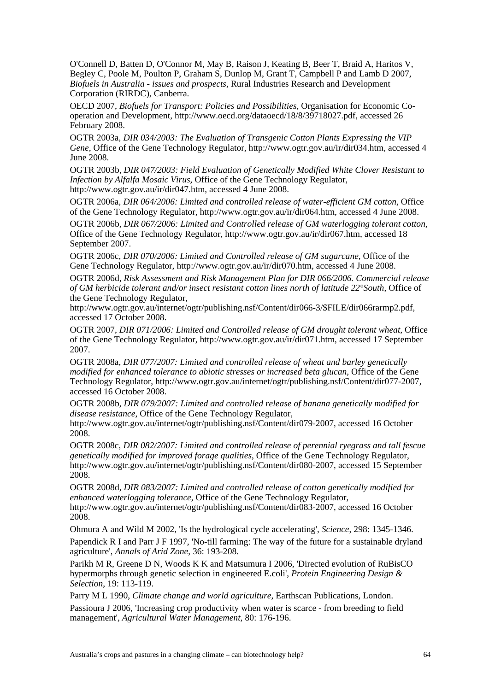O'Connell D, Batten D, O'Connor M, May B, Raison J, Keating B, Beer T, Braid A, Haritos V, Begley C, Poole M, Poulton P, Graham S, Dunlop M, Grant T, Campbell P and Lamb D 2007, *Biofuels in Australia - issues and prospects*, Rural Industries Research and Development Corporation (RIRDC), Canberra.

OECD 2007, *Biofuels for Transport: Policies and Possibilities*, Organisation for Economic Cooperation and Development, http://www.oecd.org/dataoecd/18/8/39718027.pdf, accessed 26 February 2008.

OGTR 2003a, *DIR 034/2003: The Evaluation of Transgenic Cotton Plants Expressing the VIP Gene*, Office of the Gene Technology Regulator, http://www.ogtr.gov.au/ir/dir034.htm, accessed 4 June 2008.

OGTR 2003b, *DIR 047/2003: Field Evaluation of Genetically Modified White Clover Resistant to Infection by Alfalfa Mosaic Virus*, Office of the Gene Technology Regulator, http://www.ogtr.gov.au/ir/dir047.htm, accessed 4 June 2008.

OGTR 2006a, *DIR 064/2006: Limited and controlled release of water-efficient GM cotton*, Office of the Gene Technology Regulator, http://www.ogtr.gov.au/ir/dir064.htm, accessed 4 June 2008.

OGTR 2006b, *DIR 067/2006: Limited and Controlled release of GM waterlogging tolerant cotton*, Office of the Gene Technology Regulator, http://www.ogtr.gov.au/ir/dir067.htm, accessed 18 September 2007.

OGTR 2006c, *DIR 070/2006: Limited and Controlled release of GM sugarcane*, Office of the Gene Technology Regulator, http://www.ogtr.gov.au/ir/dir070.htm, accessed 4 June 2008.

OGTR 2006d, *Risk Assessment and Risk Management Plan for DIR 066/2006. Commercial release of GM herbicide tolerant and/or insect resistant cotton lines north of latitude 22°South*, Office of the Gene Technology Regulator,

http://www.ogtr.gov.au/internet/ogtr/publishing.nsf/Content/dir066-3/\$FILE/dir066rarmp2.pdf, accessed 17 October 2008.

OGTR 2007, *DIR 071/2006: Limited and Controlled release of GM drought tolerant wheat*, Office of the Gene Technology Regulator, http://www.ogtr.gov.au/ir/dir071.htm, accessed 17 September 2007.

OGTR 2008a, *DIR 077/2007: Limited and controlled release of wheat and barley genetically modified for enhanced tolerance to abiotic stresses or increased beta glucan*, Office of the Gene Technology Regulator, http://www.ogtr.gov.au/internet/ogtr/publishing.nsf/Content/dir077-2007, accessed 16 October 2008.

OGTR 2008b, *DIR 079/2007: Limited and controlled release of banana genetically modified for disease resistance*, Office of the Gene Technology Regulator,

http://www.ogtr.gov.au/internet/ogtr/publishing.nsf/Content/dir079-2007, accessed 16 October 2008.

OGTR 2008c, *DIR 082/2007: Limited and controlled release of perennial ryegrass and tall fescue genetically modified for improved forage qualities*, Office of the Gene Technology Regulator, http://www.ogtr.gov.au/internet/ogtr/publishing.nsf/Content/dir080-2007, accessed 15 September 2008.

OGTR 2008d, *DIR 083/2007: Limited and controlled release of cotton genetically modified for enhanced waterlogging tolerance*, Office of the Gene Technology Regulator, http://www.ogtr.gov.au/internet/ogtr/publishing.nsf/Content/dir083-2007, accessed 16 October 2008.

Ohmura A and Wild M 2002, 'Is the hydrological cycle accelerating', *Science*, 298: 1345-1346. Papendick R I and Parr J F 1997, 'No-till farming: The way of the future for a sustainable dryland agriculture', *Annals of Arid Zone*, 36: 193-208.

Parikh M R, Greene D N, Woods K K and Matsumura I 2006, 'Directed evolution of RuBisCO hypermorphs through genetic selection in engineered E.coli', *Protein Engineering Design & Selection*, 19: 113-119.

Parry M L 1990, *Climate change and world agriculture*, Earthscan Publications, London. Passioura J 2006, 'Increasing crop productivity when water is scarce - from breeding to field management', *Agricultural Water Management*, 80: 176-196.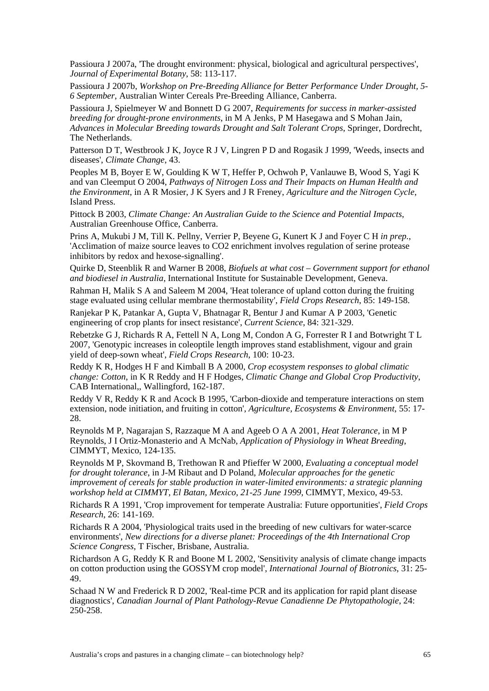Passioura J 2007a, 'The drought environment: physical, biological and agricultural perspectives', *Journal of Experimental Botany*, 58: 113-117.

Passioura J 2007b, *Workshop on Pre-Breeding Alliance for Better Performance Under Drought, 5- 6 September*, Australian Winter Cereals Pre-Breeding Alliance, Canberra.

Passioura J, Spielmeyer W and Bonnett D G 2007, *Requirements for success in marker-assisted breeding for drought-prone environments*, in M A Jenks, P M Hasegawa and S Mohan Jain, *Advances in Molecular Breeding towards Drought and Salt Tolerant Crops*, Springer, Dordrecht, The Netherlands.

Patterson D T, Westbrook J K, Joyce R J V, Lingren P D and Rogasik J 1999, 'Weeds, insects and diseases', *Climate Change*, 43.

Peoples M B, Boyer E W, Goulding K W T, Heffer P, Ochwoh P, Vanlauwe B, Wood S, Yagi K and van Cleemput O 2004, *Pathways of Nitrogen Loss and Their Impacts on Human Health and the Environment*, in A R Mosier, J K Syers and J R Freney, *Agriculture and the Nitrogen Cycle*, Island Press.

Pittock B 2003, *Climate Change: An Australian Guide to the Science and Potential Impacts*, Australian Greenhouse Office, Canberra.

Prins A, Mukubi J M, Till K. Pellny, Verrier P, Beyene G, Kunert K J and Foyer C H *in prep.*, 'Acclimation of maize source leaves to CO2 enrichment involves regulation of serine protease inhibitors by redox and hexose-signalling'.

Quirke D, Steenblik R and Warner B 2008, *Biofuels at what cost – Government support for ethanol and biodiesel in Australia*, International Institute for Sustainable Development, Geneva.

Rahman H, Malik S A and Saleem M 2004, 'Heat tolerance of upland cotton during the fruiting stage evaluated using cellular membrane thermostability', *Field Crops Research*, 85: 149-158.

Ranjekar P K, Patankar A, Gupta V, Bhatnagar R, Bentur J and Kumar A P 2003, 'Genetic engineering of crop plants for insect resistance', *Current Science*, 84: 321-329.

Rebetzke G J, Richards R A, Fettell N A, Long M, Condon A G, Forrester R I and Botwright T L 2007, 'Genotypic increases in coleoptile length improves stand establishment, vigour and grain yield of deep-sown wheat', *Field Crops Research*, 100: 10-23.

Reddy K R, Hodges H F and Kimball B A 2000, *Crop ecosystem responses to global climatic change: Cotton*, in K R Reddy and H F Hodges, *Climatic Change and Global Crop Productivity*, CAB International,, Wallingford, 162-187.

Reddy V R, Reddy K R and Acock B 1995, 'Carbon-dioxide and temperature interactions on stem extension, node initiation, and fruiting in cotton', *Agriculture, Ecosystems & Environment*, 55: 17- 28.

Reynolds M P, Nagarajan S, Razzaque M A and Ageeb O A A 2001, *Heat Tolerance*, in M P Reynolds, J I Ortiz-Monasterio and A McNab, *Application of Physiology in Wheat Breeding*, CIMMYT, Mexico, 124-135.

Reynolds M P, Skovmand B, Trethowan R and Pfieffer W 2000, *Evaluating a conceptual model for drought tolerance*, in J-M Ribaut and D Poland, *Molecular approaches for the genetic improvement of cereals for stable production in water-limited environments: a strategic planning workshop held at CIMMYT, El Batan, Mexico, 21-25 June 1999*, CIMMYT, Mexico, 49-53.

Richards R A 1991, 'Crop improvement for temperate Australia: Future opportunities', *Field Crops Research*, 26: 141-169.

Richards R A 2004, 'Physiological traits used in the breeding of new cultivars for water-scarce environments', *New directions for a diverse planet: Proceedings of the 4th International Crop Science Congress*, T Fischer, Brisbane, Australia.

Richardson A G, Reddy K R and Boone M L 2002, 'Sensitivity analysis of climate change impacts on cotton production using the GOSSYM crop model', *International Journal of Biotronics*, 31: 25- 49.

Schaad N W and Frederick R D 2002, 'Real-time PCR and its application for rapid plant disease diagnostics', *Canadian Journal of Plant Pathology-Revue Canadienne De Phytopathologie*, 24: 250-258.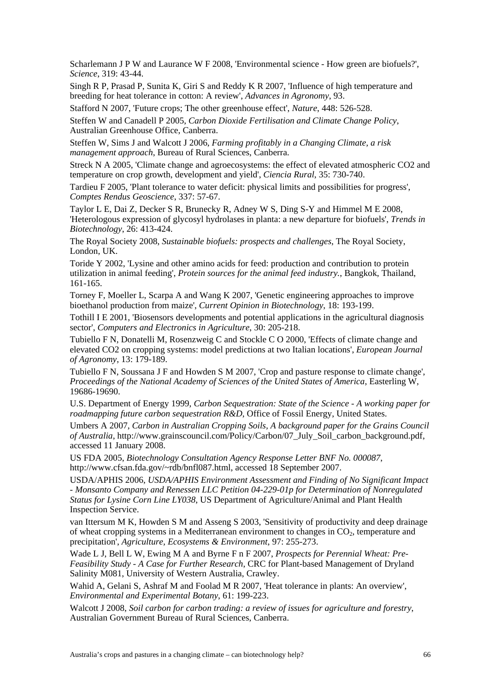Scharlemann J P W and Laurance W F 2008, 'Environmental science - How green are biofuels?', *Science*, 319: 43-44.

Singh R P, Prasad P, Sunita K, Giri S and Reddy K R 2007, 'Influence of high temperature and breeding for heat tolerance in cotton: A review', *Advances in Agronomy*, 93.

Stafford N 2007, 'Future crops; The other greenhouse effect', *Nature*, 448: 526-528.

Steffen W and Canadell P 2005, *Carbon Dioxide Fertilisation and Climate Change Policy*, Australian Greenhouse Office, Canberra.

Steffen W, Sims J and Walcott J 2006, *Farming profitably in a Changing Climate, a risk management approach*, Bureau of Rural Sciences, Canberra.

Streck N A 2005, 'Climate change and agroecosystems: the effect of elevated atmospheric CO2 and temperature on crop growth, development and yield', *Ciencia Rural*, 35: 730-740.

Tardieu F 2005, 'Plant tolerance to water deficit: physical limits and possibilities for progress', *Comptes Rendus Geoscience*, 337: 57-67.

Taylor L E, Dai Z, Decker S R, Brunecky R, Adney W S, Ding S-Y and Himmel M E 2008, 'Heterologous expression of glycosyl hydrolases in planta: a new departure for biofuels', *Trends in Biotechnology*, 26: 413-424.

The Royal Society 2008, *Sustainable biofuels: prospects and challenges*, The Royal Society, London, UK.

Toride Y 2002, 'Lysine and other amino acids for feed: production and contribution to protein utilization in animal feeding', *Protein sources for the animal feed industry.*, Bangkok, Thailand, 161-165.

Torney F, Moeller L, Scarpa A and Wang K 2007, 'Genetic engineering approaches to improve bioethanol production from maize', *Current Opinion in Biotechnology*, 18: 193-199.

Tothill I E 2001, 'Biosensors developments and potential applications in the agricultural diagnosis sector', *Computers and Electronics in Agriculture*, 30: 205-218.

Tubiello F N, Donatelli M, Rosenzweig C and Stockle C O 2000, 'Effects of climate change and elevated CO2 on cropping systems: model predictions at two Italian locations', *European Journal of Agronomy*, 13: 179-189.

Tubiello F N, Soussana J F and Howden S M 2007, 'Crop and pasture response to climate change', *Proceedings of the National Academy of Sciences of the United States of America*, Easterling W, 19686-19690.

U.S. Department of Energy 1999, *Carbon Sequestration: State of the Science - A working paper for roadmapping future carbon sequestration R&D*, Office of Fossil Energy, United States.

Umbers A 2007, *Carbon in Australian Cropping Soils, A background paper for the Grains Council of Australia*, http://www.grainscouncil.com/Policy/Carbon/07\_July\_Soil\_carbon\_background.pdf, accessed 11 January 2008.

US FDA 2005, *Biotechnology Consultation Agency Response Letter BNF No. 000087*, http://www.cfsan.fda.gov/~rdb/bnfl087.html, accessed 18 September 2007.

USDA/APHIS 2006, *USDA/APHIS Environment Assessment and Finding of No Significant Impact - Monsanto Company and Renessen LLC Petition 04-229-01p for Determination of Nonregulated Status for Lysine Corn Line LY038*, US Department of Agriculture/Animal and Plant Health Inspection Service.

van Ittersum M K, Howden S M and Asseng S 2003, 'Sensitivity of productivity and deep drainage of wheat cropping systems in a Mediterranean environment to changes in  $CO<sub>2</sub>$ , temperature and precipitation', *Agriculture, Ecosystems & Environment*, 97: 255-273.

Wade L J, Bell L W, Ewing M A and Byrne F n F 2007, *Prospects for Perennial Wheat: Pre-Feasibility Study - A Case for Further Research*, CRC for Plant-based Management of Dryland Salinity M081, University of Western Australia, Crawley.

Wahid A, Gelani S, Ashraf M and Foolad M R 2007, 'Heat tolerance in plants: An overview', *Environmental and Experimental Botany*, 61: 199-223.

Walcott J 2008, *Soil carbon for carbon trading: a review of issues for agriculture and forestry*, Australian Government Bureau of Rural Sciences, Canberra.